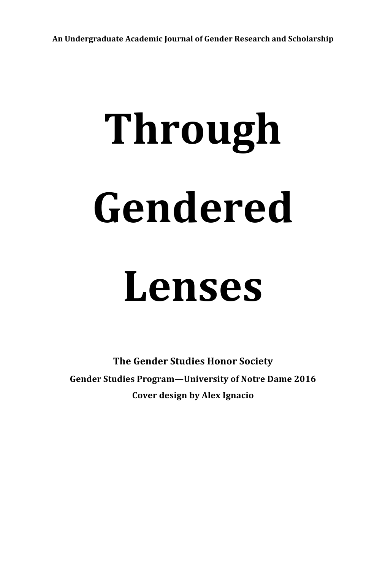# **Through Gendered Lenses**

**The Gender Studies Honor Society** Gender Studies Program-University of Notre Dame 2016 **Cover design by Alex Ignacio**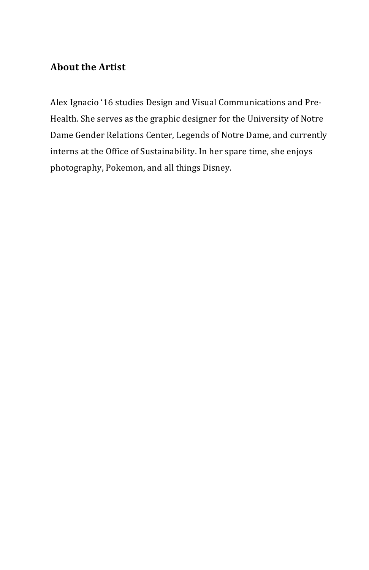# **About the Artist**

Alex Ignacio '16 studies Design and Visual Communications and Pre-Health. She serves as the graphic designer for the University of Notre Dame Gender Relations Center, Legends of Notre Dame, and currently interns at the Office of Sustainability. In her spare time, she enjoys photography, Pokemon, and all things Disney.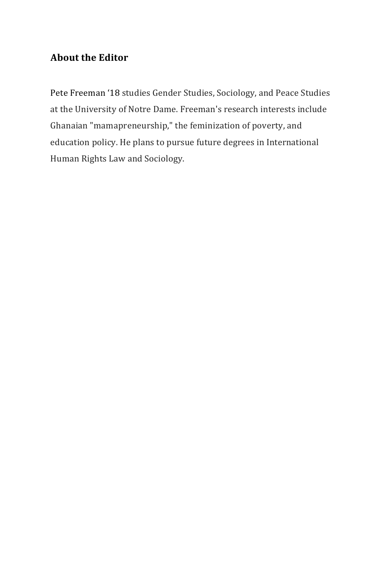# **About the Editor**

Pete Freeman '18 studies Gender Studies, Sociology, and Peace Studies at the University of Notre Dame. Freeman's research interests include Ghanaian "mamapreneurship," the feminization of poverty, and education policy. He plans to pursue future degrees in International Human Rights Law and Sociology.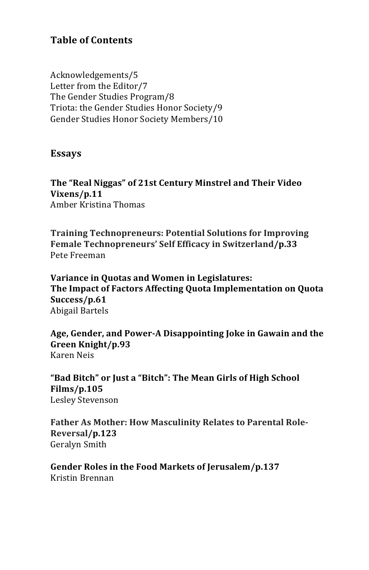# **Table of Contents**

Acknowledgements/5 Letter from the Editor/7 The Gender Studies Program/8 Triota: the Gender Studies Honor Society/9 Gender Studies Honor Society Members/10

**Essays**

The "Real Niggas" of 21st Century Minstrel and Their Video **Vixens/p.11** Amber Kristina Thomas

**Training Technopreneurs: Potential Solutions for Improving** Female Technopreneurs' Self Efficacy in Switzerland/p.33 Pete Freeman

**Variance in Ouotas and Women in Legislatures:** The Impact of Factors Affecting Quota Implementation on Quota **Success/p.61** Abigail Bartels

Age, Gender, and Power-A Disappointing Joke in Gawain and the **Green Knight/p.93** Karen Neis

"Bad Bitch" or Just a "Bitch": The Mean Girls of High School **Films/p.105** Lesley Stevenson

Father As Mother: How Masculinity Relates to Parental Role-**Reversal/p.123** Geralyn Smith

Gender Roles in the Food Markets of Jerusalem/p.137 Kristin Brennan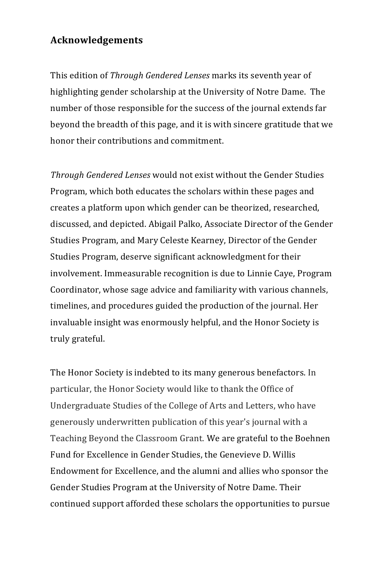### **Acknowledgements**

This edition of *Through Gendered Lenses* marks its seventh year of highlighting gender scholarship at the University of Notre Dame. The number of those responsible for the success of the journal extends far beyond the breadth of this page, and it is with sincere gratitude that we honor their contributions and commitment.

**Through Gendered Lenses would not exist without the Gender Studies** Program, which both educates the scholars within these pages and creates a platform upon which gender can be theorized, researched, discussed, and depicted. Abigail Palko, Associate Director of the Gender Studies Program, and Mary Celeste Kearney, Director of the Gender Studies Program, deserve significant acknowledgment for their involvement. Immeasurable recognition is due to Linnie Caye, Program Coordinator, whose sage advice and familiarity with various channels, timelines, and procedures guided the production of the journal. Her invaluable insight was enormously helpful, and the Honor Society is truly grateful.

The Honor Society is indebted to its many generous benefactors. In particular, the Honor Society would like to thank the Office of Undergraduate Studies of the College of Arts and Letters, who have generously underwritten publication of this year's journal with a Teaching Beyond the Classroom Grant. We are grateful to the Boehnen Fund for Excellence in Gender Studies, the Genevieve D. Willis Endowment for Excellence, and the alumni and allies who sponsor the Gender Studies Program at the University of Notre Dame. Their continued support afforded these scholars the opportunities to pursue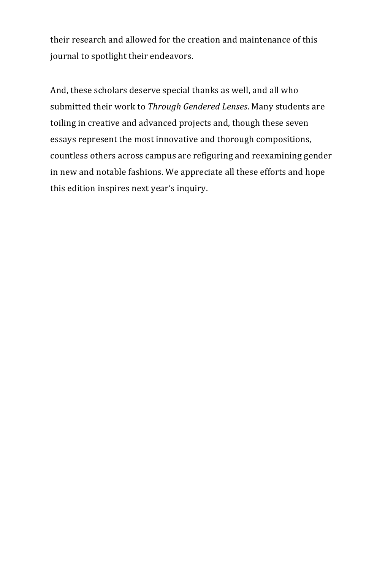their research and allowed for the creation and maintenance of this journal to spotlight their endeavors.

And, these scholars deserve special thanks as well, and all who submitted their work to Through Gendered Lenses. Many students are toiling in creative and advanced projects and, though these seven essays represent the most innovative and thorough compositions, countless others across campus are refiguring and reexamining gender in new and notable fashions. We appreciate all these efforts and hope this edition inspires next year's inquiry.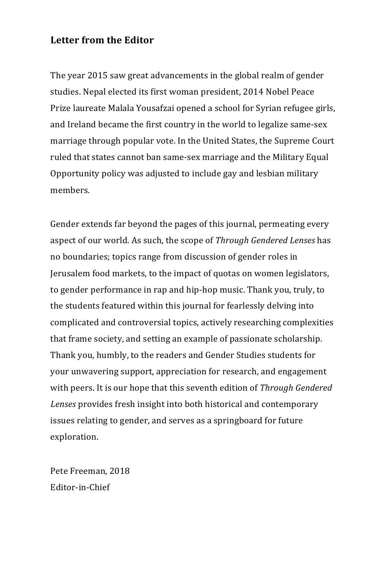#### Letter from the Editor

The year 2015 saw great advancements in the global realm of gender studies. Nepal elected its first woman president, 2014 Nobel Peace Prize laureate Malala Yousafzai opened a school for Syrian refugee girls, and Ireland became the first country in the world to legalize same-sex marriage through popular vote. In the United States, the Supreme Court ruled that states cannot ban same-sex marriage and the Military Equal Opportunity policy was adjusted to include gay and lesbian military members.

Gender extends far beyond the pages of this journal, permeating every aspect of our world. As such, the scope of *Through Gendered Lenses* has no boundaries; topics range from discussion of gender roles in Jerusalem food markets, to the impact of quotas on women legislators, to gender performance in rap and hip-hop music. Thank you, truly, to the students featured within this journal for fearlessly delving into complicated and controversial topics, actively researching complexities that frame society, and setting an example of passionate scholarship. Thank you, humbly, to the readers and Gender Studies students for your unwavering support, appreciation for research, and engagement with peers. It is our hope that this seventh edition of *Through Gendered* Lenses provides fresh insight into both historical and contemporary issues relating to gender, and serves as a springboard for future exploration.

Pete Freeman, 2018 Editor-in-Chief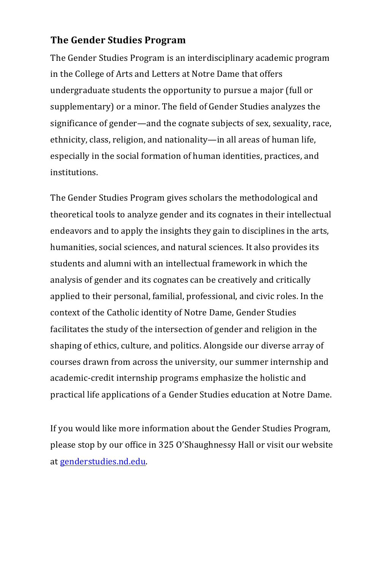# **The Gender Studies Program**

The Gender Studies Program is an interdisciplinary academic program in the College of Arts and Letters at Notre Dame that offers undergraduate students the opportunity to pursue a major (full or supplementary) or a minor. The field of Gender Studies analyzes the significance of gender—and the cognate subjects of sex, sexuality, race, ethnicity, class, religion, and nationality-in all areas of human life, especially in the social formation of human identities, practices, and institutions. 

The Gender Studies Program gives scholars the methodological and theoretical tools to analyze gender and its cognates in their intellectual endeavors and to apply the insights they gain to disciplines in the arts, humanities, social sciences, and natural sciences. It also provides its students and alumni with an intellectual framework in which the analysis of gender and its cognates can be creatively and critically applied to their personal, familial, professional, and civic roles. In the context of the Catholic identity of Notre Dame, Gender Studies facilitates the study of the intersection of gender and religion in the shaping of ethics, culture, and politics. Alongside our diverse array of courses drawn from across the university, our summer internship and academic-credit internship programs emphasize the holistic and practical life applications of a Gender Studies education at Notre Dame.

If you would like more information about the Gender Studies Program, please stop by our office in 325 O'Shaughnessy Hall or visit our website at [genderstudies.nd.edu](http://genderstudies.nd.edu/).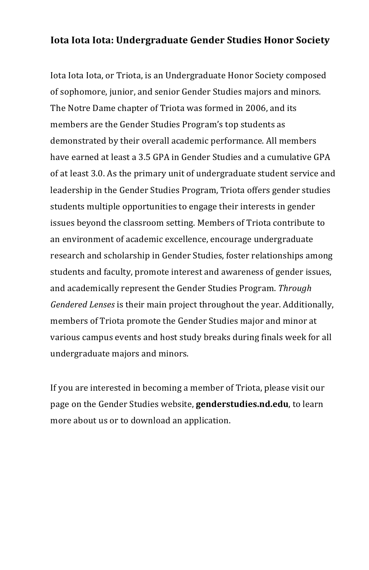#### **Iota Iota Iota: Undergraduate Gender Studies Honor Society**

Iota Iota Iota, or Triota, is an Undergraduate Honor Society composed of sophomore, junior, and senior Gender Studies majors and minors. The Notre Dame chapter of Triota was formed in 2006, and its members are the Gender Studies Program's top students as demonstrated by their overall academic performance. All members have earned at least a 3.5 GPA in Gender Studies and a cumulative GPA of at least 3.0. As the primary unit of undergraduate student service and leadership in the Gender Studies Program, Triota offers gender studies students multiple opportunities to engage their interests in gender issues beyond the classroom setting. Members of Triota contribute to an environment of academic excellence, encourage undergraduate research and scholarship in Gender Studies, foster relationships among students and faculty, promote interest and awareness of gender issues, and academically represent the Gender Studies Program. *Through Gendered Lenses* is their main project throughout the year. Additionally, members of Triota promote the Gender Studies major and minor at various campus events and host study breaks during finals week for all undergraduate majors and minors.

If you are interested in becoming a member of Triota, please visit our page on the Gender Studies website, **genderstudies.nd.edu**, to learn more about us or to download an application.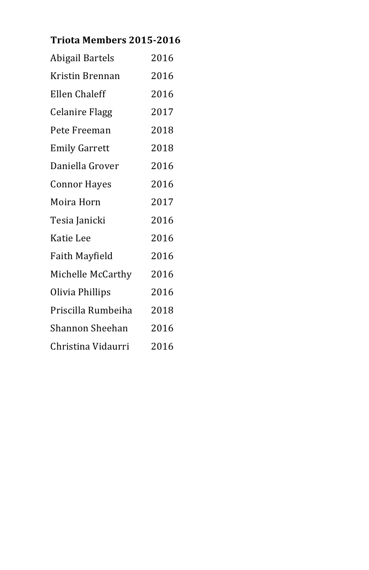# **Triota Members 2015-2016**

| Abigail Bartels      | 2016 |
|----------------------|------|
| Kristin Brennan      | 2016 |
| <b>Ellen Chaleff</b> | 2016 |
| Celanire Flagg       | 2017 |
| Pete Freeman         | 2018 |
| <b>Emily Garrett</b> | 2018 |
| Daniella Grover      | 2016 |
| Connor Hayes         | 2016 |
| Moira Horn           | 2017 |
| Tesia Janicki        | 2016 |
| Katie Lee            | 2016 |
| Faith Mayfield       | 2016 |
| Michelle McCarthy    | 2016 |
| Olivia Phillips      | 2016 |
| Priscilla Rumbeiha   | 2018 |
| Shannon Sheehan      | 2016 |
| Christina Vidaurri   | 2016 |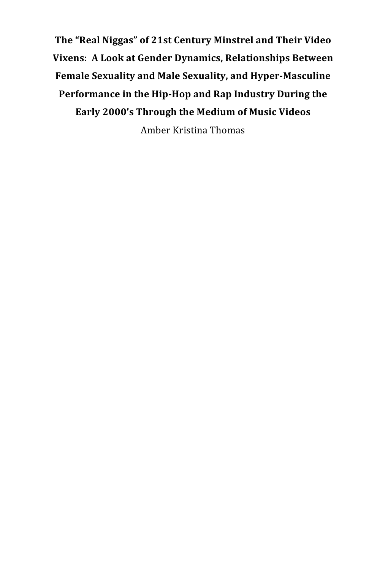The "Real Niggas" of 21st Century Minstrel and Their Video **Vixens: A Look at Gender Dynamics, Relationships Between** Female Sexuality and Male Sexuality, and Hyper-Masculine Performance in the Hip-Hop and Rap Industry During the Early 2000's Through the Medium of Music Videos Amber Kristina Thomas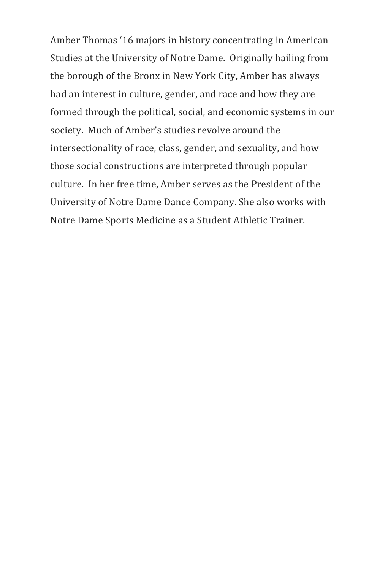Amber Thomas '16 majors in history concentrating in American Studies at the University of Notre Dame. Originally hailing from the borough of the Bronx in New York City, Amber has always had an interest in culture, gender, and race and how they are formed through the political, social, and economic systems in our society. Much of Amber's studies revolve around the intersectionality of race, class, gender, and sexuality, and how those social constructions are interpreted through popular culture. In her free time, Amber serves as the President of the University of Notre Dame Dance Company. She also works with Notre Dame Sports Medicine as a Student Athletic Trainer.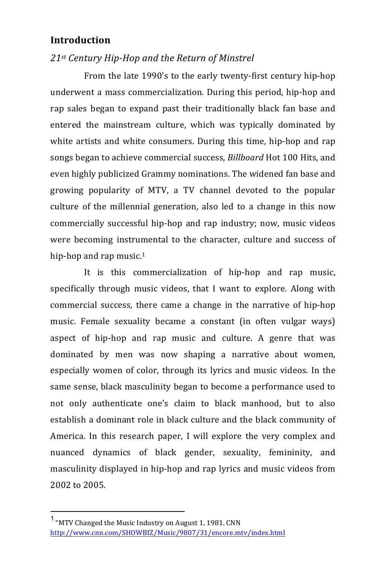#### **Introduction**

#### *21st Century Hip-Hop and the Return of Minstrel*

From the late 1990's to the early twenty-first century hip-hop underwent a mass commercialization. During this period, hip-hop and rap sales began to expand past their traditionally black fan base and entered the mainstream culture, which was typically dominated by white artists and white consumers. During this time, hip-hop and rap songs began to achieve commercial success, *Billboard* Hot 100 Hits, and even highly publicized Grammy nominations. The widened fan base and growing popularity of MTV, a TV channel devoted to the popular culture of the millennial generation, also led to a change in this now commercially successful hip-hop and rap industry; now, music videos were becoming instrumental to the character, culture and success of hip-hop and rap music. $1$ 

It is this commercialization of hip-hop and rap music, specifically through music videos, that I want to explore. Along with commercial success, there came a change in the narrative of hip-hop music. Female sexuality became a constant (in often vulgar ways) aspect of hip-hop and rap music and culture. A genre that was dominated by men was now shaping a narrative about women, especially women of color, through its lyrics and music videos. In the same sense, black masculinity began to become a performance used to not only authenticate one's claim to black manhood, but to also establish a dominant role in black culture and the black community of America. In this research paper, I will explore the very complex and nuanced dynamics of black gender, sexuality, femininity, and masculinity displayed in hip-hop and rap lyrics and music videos from 2002 to 2005.

 $1$  "MTV Changed the Music Industry on August 1, 1981. CNN http://www.cnn.com/SHOWBIZ/Music/9807/31/encore.mtv/index.html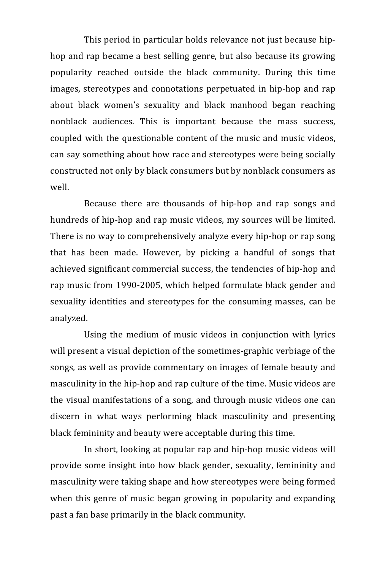This period in particular holds relevance not just because hiphop and rap became a best selling genre, but also because its growing popularity reached outside the black community. During this time images, stereotypes and connotations perpetuated in hip-hop and rap about black women's sexuality and black manhood began reaching nonblack audiences. This is important because the mass success, coupled with the questionable content of the music and music videos, can say something about how race and stereotypes were being socially constructed not only by black consumers but by nonblack consumers as well.

Because there are thousands of hip-hop and rap songs and hundreds of hip-hop and rap music videos, my sources will be limited. There is no way to comprehensively analyze every hip-hop or rap song that has been made. However, by picking a handful of songs that achieved significant commercial success, the tendencies of hip-hop and rap music from 1990-2005, which helped formulate black gender and sexuality identities and stereotypes for the consuming masses, can be analyzed. 

Using the medium of music videos in conjunction with lyrics will present a visual depiction of the sometimes-graphic verbiage of the songs, as well as provide commentary on images of female beauty and masculinity in the hip-hop and rap culture of the time. Music videos are the visual manifestations of a song, and through music videos one can discern in what ways performing black masculinity and presenting black femininity and beauty were acceptable during this time.

In short, looking at popular rap and hip-hop music videos will provide some insight into how black gender, sexuality, femininity and masculinity were taking shape and how stereotypes were being formed when this genre of music began growing in popularity and expanding past a fan base primarily in the black community.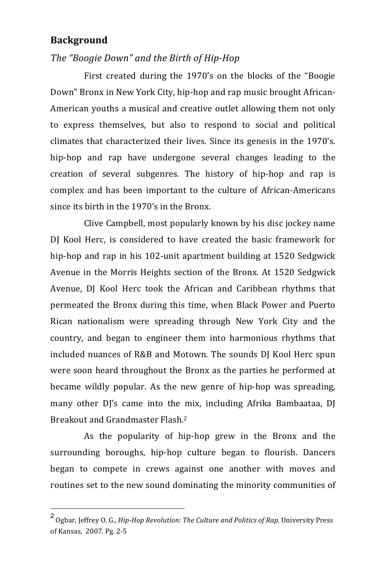#### **Background**

#### The "Boogie Down" and the Birth of Hip-Hop

First created during the 1970's on the blocks of the "Boogie Down" Bronx in New York City, hip-hop and rap music brought African-American youths a musical and creative outlet allowing them not only to express themselves, but also to respond to social and political climates that characterized their lives. Since its genesis in the 1970's. hip-hop and rap have undergone several changes leading to the creation of several subgenres. The history of hip-hop and rap is complex and has been important to the culture of African-Americans since its birth in the 1970's in the Bronx.

Clive Campbell, most popularly known by his disc jockey name DJ Kool Herc, is considered to have created the basic framework for hip-hop and rap in his 102-unit apartment building at 1520 Sedgwick Avenue in the Morris Heights section of the Bronx. At 1520 Sedgwick Avenue, DJ Kool Herc took the African and Caribbean rhythms that permeated the Bronx during this time, when Black Power and Puerto Rican nationalism were spreading through New York City and the country, and began to engineer them into harmonious rhythms that included nuances of R&B and Motown. The sounds DJ Kool Herc spun were soon heard throughout the Bronx as the parties he performed at became wildly popular. As the new genre of hip-hop was spreading, many other DJ's came into the mix, including Afrika Bambaataa, DJ Breakout and Grandmaster Flash.<sup>2</sup>

As the popularity of hip-hop grew in the Bronx and the surrounding boroughs, hip-hop culture began to flourish. Dancers began to compete in crews against one another with moves and routines set to the new sound dominating the minority communities of

<sup>&</sup>lt;sup>2</sup> Ogbar. Ieffrey O. G., *Hip-Hop Revolution: The Culture and Politics of Rap.* University Press of Kansas, 2007. Pg. 2-5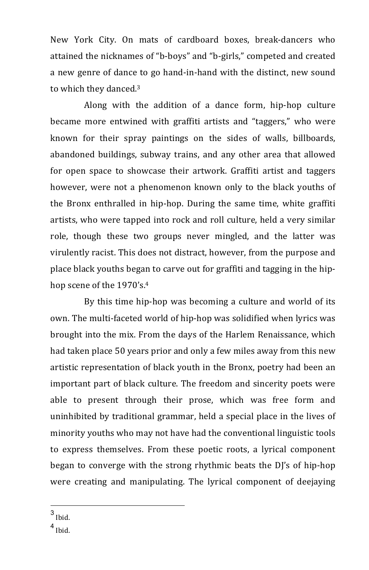New York City. On mats of cardboard boxes, break-dancers who attained the nicknames of "b-boys" and "b-girls," competed and created a new genre of dance to go hand-in-hand with the distinct, new sound to which they danced.<sup>3</sup>

Along with the addition of a dance form, hip-hop culture became more entwined with graffiti artists and "taggers," who were known for their spray paintings on the sides of walls, billboards, abandoned buildings, subway trains, and any other area that allowed for open space to showcase their artwork. Graffiti artist and taggers however, were not a phenomenon known only to the black youths of the Bronx enthralled in hip-hop. During the same time, white graffiti artists, who were tapped into rock and roll culture, held a very similar role, though these two groups never mingled, and the latter was virulently racist. This does not distract, however, from the purpose and place black youths began to carve out for graffiti and tagging in the hiphop scene of the 1970's.<sup>4</sup>

By this time hip-hop was becoming a culture and world of its own. The multi-faceted world of hip-hop was solidified when lyrics was brought into the mix. From the days of the Harlem Renaissance, which had taken place 50 years prior and only a few miles away from this new artistic representation of black youth in the Bronx, poetry had been an important part of black culture. The freedom and sincerity poets were able to present through their prose, which was free form and uninhibited by traditional grammar, held a special place in the lives of minority youths who may not have had the conventional linguistic tools to express themselves. From these poetic roots, a lyrical component began to converge with the strong rhythmic beats the DJ's of hip-hop were creating and manipulating. The lyrical component of deejaying

 $3$  Ihid.

 $4$  Ibid.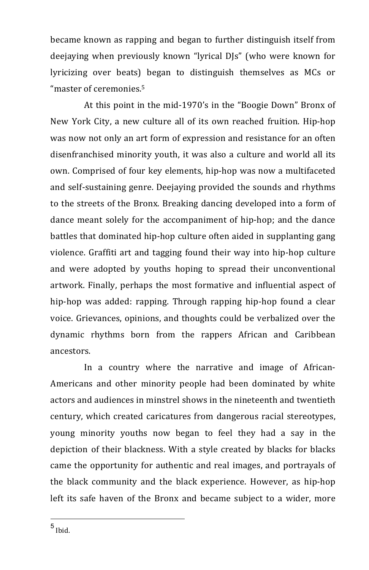became known as rapping and began to further distinguish itself from deejaying when previously known "lyrical DJs" (who were known for lyricizing over beats) began to distinguish themselves as MCs or "master of ceremonies.<sup>5</sup>

At this point in the mid-1970's in the "Boogie Down" Bronx of New York City, a new culture all of its own reached fruition. Hip-hop was now not only an art form of expression and resistance for an often disenfranchised minority youth, it was also a culture and world all its own. Comprised of four key elements, hip-hop was now a multifaceted and self-sustaining genre. Deejaying provided the sounds and rhythms to the streets of the Bronx. Breaking dancing developed into a form of dance meant solely for the accompaniment of hip-hop; and the dance battles that dominated hip-hop culture often aided in supplanting gang violence. Graffiti art and tagging found their way into hip-hop culture and were adopted by youths hoping to spread their unconventional artwork. Finally, perhaps the most formative and influential aspect of hip-hop was added: rapping. Through rapping hip-hop found a clear voice. Grievances, opinions, and thoughts could be verbalized over the dynamic rhythms born from the rappers African and Caribbean ancestors.

In a country where the narrative and image of African-Americans and other minority people had been dominated by white actors and audiences in minstrel shows in the nineteenth and twentieth century, which created caricatures from dangerous racial stereotypes, young minority youths now began to feel they had a say in the depiction of their blackness. With a style created by blacks for blacks came the opportunity for authentic and real images, and portrayals of the black community and the black experience. However, as hip-hop left its safe haven of the Bronx and became subject to a wider, more

 $5$  Ibid.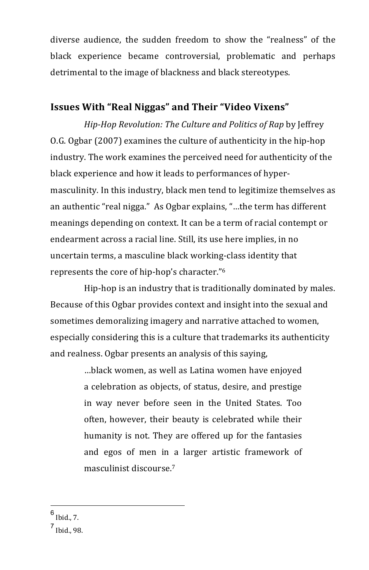diverse audience, the sudden freedom to show the "realness" of the black experience became controversial, problematic and perhaps detrimental to the image of blackness and black stereotypes.

## **Issues With "Real Niggas" and Their "Video Vixens"**

*Hip-Hop Revolution: The Culture and Politics of Rap by Jeffrey* O.G. Ogbar (2007) examines the culture of authenticity in the hip-hop industry. The work examines the perceived need for authenticity of the black experience and how it leads to performances of hypermasculinity. In this industry, black men tend to legitimize themselves as an authentic "real nigga." As Ogbar explains, "...the term has different meanings depending on context. It can be a term of racial contempt or endearment across a racial line. Still, its use here implies, in no uncertain terms, a masculine black working-class identity that represents the core of hip-hop's character."<sup>6</sup>

Hip-hop is an industry that is traditionally dominated by males. Because of this Ogbar provides context and insight into the sexual and sometimes demoralizing imagery and narrative attached to women, especially considering this is a culture that trademarks its authenticity and realness. Ogbar presents an analysis of this saying,

> …black women, as well as Latina women have enjoyed a celebration as obiects, of status, desire, and prestige in way never before seen in the United States. Too often, however, their beauty is celebrated while their humanity is not. They are offered up for the fantasies and egos of men in a larger artistic framework of masculinist discourse.<sup>7</sup>

 $6$  Ibid., 7.

 $^7$  Ibid., 98.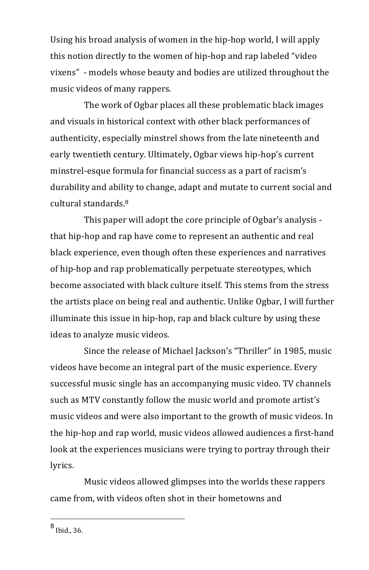Using his broad analysis of women in the hip-hop world, I will apply this notion directly to the women of hip-hop and rap labeled "video" vixens" - models whose beauty and bodies are utilized throughout the music videos of many rappers.

The work of Ogbar places all these problematic black images and visuals in historical context with other black performances of authenticity, especially minstrel shows from the late nineteenth and early twentieth century. Ultimately, Ogbar views hip-hop's current minstrel-esque formula for financial success as a part of racism's durability and ability to change, adapt and mutate to current social and cultural standards.<sup>8</sup>

This paper will adopt the core principle of Ogbar's analysis that hip-hop and rap have come to represent an authentic and real black experience, even though often these experiences and narratives of hip-hop and rap problematically perpetuate stereotypes, which become associated with black culture itself. This stems from the stress the artists place on being real and authentic. Unlike Ogbar, I will further illuminate this issue in hip-hop, rap and black culture by using these ideas to analyze music videos.

Since the release of Michael Jackson's "Thriller" in 1985, music videos have become an integral part of the music experience. Every successful music single has an accompanying music video. TV channels such as MTV constantly follow the music world and promote artist's music videos and were also important to the growth of music videos. In the hip-hop and rap world, music videos allowed audiences a first-hand look at the experiences musicians were trying to portray through their lyrics. 

Music videos allowed glimpses into the worlds these rappers came from, with videos often shot in their hometowns and

 $8$  Ibid., 36.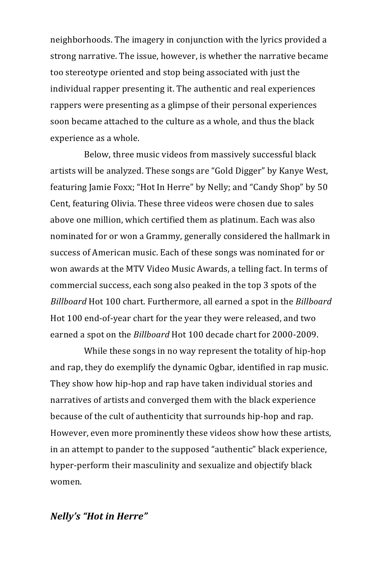neighborhoods. The imagery in conjunction with the lyrics provided a strong narrative. The issue, however, is whether the narrative became too stereotype oriented and stop being associated with just the individual rapper presenting it. The authentic and real experiences rappers were presenting as a glimpse of their personal experiences soon became attached to the culture as a whole, and thus the black experience as a whole.

Below, three music videos from massively successful black artists will be analyzed. These songs are "Gold Digger" by Kanye West, featuring Jamie Foxx; "Hot In Herre" by Nelly; and "Candy Shop" by 50 Cent, featuring Olivia. These three videos were chosen due to sales above one million, which certified them as platinum. Each was also nominated for or won a Grammy, generally considered the hallmark in success of American music. Each of these songs was nominated for or won awards at the MTV Video Music Awards, a telling fact. In terms of commercial success, each song also peaked in the top 3 spots of the *Billboard* Hot 100 chart. Furthermore, all earned a spot in the *Billboard* Hot 100 end-of-year chart for the year they were released, and two earned a spot on the *Billboard* Hot 100 decade chart for 2000-2009.

While these songs in no way represent the totality of hip-hop and rap, they do exemplify the dynamic Ogbar, identified in rap music. They show how hip-hop and rap have taken individual stories and narratives of artists and converged them with the black experience because of the cult of authenticity that surrounds hip-hop and rap. However, even more prominently these videos show how these artists, in an attempt to pander to the supposed "authentic" black experience, hyper-perform their masculinity and sexualize and objectify black women.

# *Nelly's "Hot in Herre"*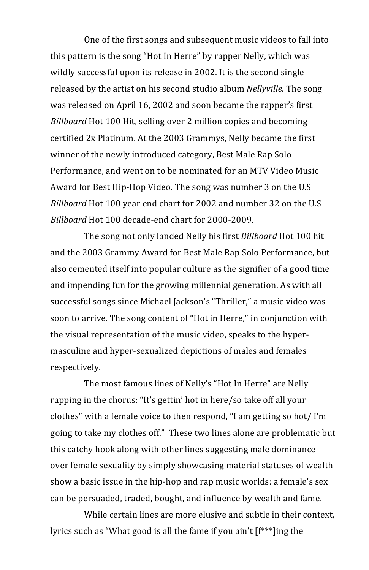One of the first songs and subsequent music videos to fall into this pattern is the song "Hot In Herre" by rapper Nelly, which was wildly successful upon its release in 2002. It is the second single released by the artist on his second studio album *Nellyville*. The song was released on April 16, 2002 and soon became the rapper's first *Billboard* Hot 100 Hit, selling over 2 million copies and becoming certified 2x Platinum. At the 2003 Grammys, Nelly became the first winner of the newly introduced category, Best Male Rap Solo Performance, and went on to be nominated for an MTV Video Music Award for Best Hip-Hop Video. The song was number 3 on the U.S *Billboard* Hot 100 year end chart for 2002 and number 32 on the U.S *Billboard* Hot 100 decade-end chart for 2000-2009.

The song not only landed Nelly his first *Billboard* Hot 100 hit and the 2003 Grammy Award for Best Male Rap Solo Performance, but also cemented itself into popular culture as the signifier of a good time and impending fun for the growing millennial generation. As with all successful songs since Michael Jackson's "Thriller," a music video was soon to arrive. The song content of "Hot in Herre," in conjunction with the visual representation of the music video, speaks to the hypermasculine and hyper-sexualized depictions of males and females respectively.

The most famous lines of Nelly's "Hot In Herre" are Nelly rapping in the chorus: "It's gettin' hot in here/so take off all your clothes" with a female voice to then respond, "I am getting so hot/ I'm going to take my clothes off." These two lines alone are problematic but this catchy hook along with other lines suggesting male dominance over female sexuality by simply showcasing material statuses of wealth show a basic issue in the hip-hop and rap music worlds: a female's sex can be persuaded, traded, bought, and influence by wealth and fame.

While certain lines are more elusive and subtle in their context, lyrics such as "What good is all the fame if you ain't  $[f^{***}]$ ing the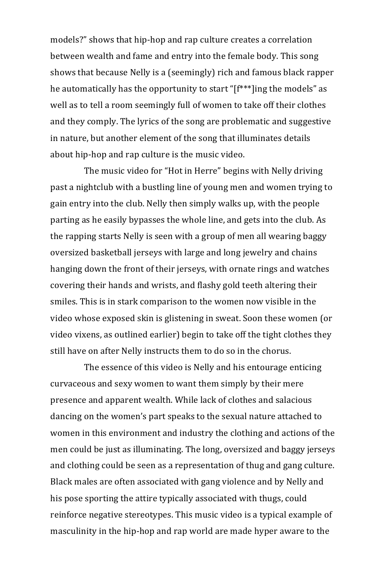models?" shows that hip-hop and rap culture creates a correlation between wealth and fame and entry into the female body. This song shows that because Nelly is a (seemingly) rich and famous black rapper he automatically has the opportunity to start " $[f^{***}]$ ing the models" as well as to tell a room seemingly full of women to take off their clothes and they comply. The lyrics of the song are problematic and suggestive in nature, but another element of the song that illuminates details about hip-hop and rap culture is the music video.

The music video for "Hot in Herre" begins with Nelly driving past a nightclub with a bustling line of young men and women trying to gain entry into the club. Nelly then simply walks up, with the people parting as he easily bypasses the whole line, and gets into the club. As the rapping starts Nelly is seen with a group of men all wearing baggy oversized basketball jerseys with large and long jewelry and chains hanging down the front of their jerseys, with ornate rings and watches covering their hands and wrists, and flashy gold teeth altering their smiles. This is in stark comparison to the women now visible in the video whose exposed skin is glistening in sweat. Soon these women (or video vixens, as outlined earlier) begin to take off the tight clothes they still have on after Nelly instructs them to do so in the chorus.

The essence of this video is Nelly and his entourage enticing curvaceous and sexy women to want them simply by their mere presence and apparent wealth. While lack of clothes and salacious dancing on the women's part speaks to the sexual nature attached to women in this environment and industry the clothing and actions of the men could be just as illuminating. The long, oversized and baggy jerseys and clothing could be seen as a representation of thug and gang culture. Black males are often associated with gang violence and by Nelly and his pose sporting the attire typically associated with thugs, could reinforce negative stereotypes. This music video is a typical example of masculinity in the hip-hop and rap world are made hyper aware to the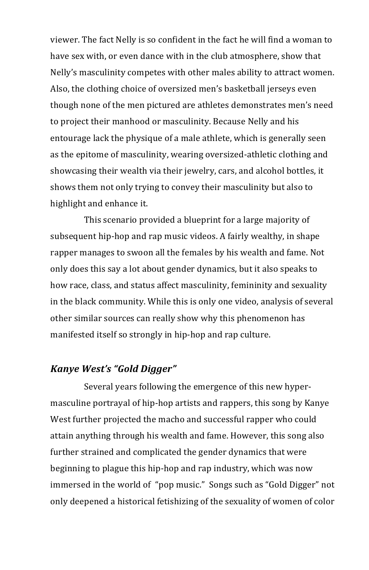viewer. The fact Nelly is so confident in the fact he will find a woman to have sex with, or even dance with in the club atmosphere, show that Nelly's masculinity competes with other males ability to attract women. Also, the clothing choice of oversized men's basketball jerseys even though none of the men pictured are athletes demonstrates men's need to project their manhood or masculinity. Because Nelly and his entourage lack the physique of a male athlete, which is generally seen as the epitome of masculinity, wearing oversized-athletic clothing and showcasing their wealth via their jewelry, cars, and alcohol bottles, it shows them not only trying to convey their masculinity but also to highlight and enhance it.

This scenario provided a blueprint for a large majority of subsequent hip-hop and rap music videos. A fairly wealthy, in shape rapper manages to swoon all the females by his wealth and fame. Not only does this say a lot about gender dynamics, but it also speaks to how race, class, and status affect masculinity, femininity and sexuality in the black community. While this is only one video, analysis of several other similar sources can really show why this phenomenon has manifested itself so strongly in hip-hop and rap culture.

## *Kanye West's* "Gold Digger"

Several vears following the emergence of this new hypermasculine portrayal of hip-hop artists and rappers, this song by Kanye West further projected the macho and successful rapper who could attain anything through his wealth and fame. However, this song also further strained and complicated the gender dynamics that were beginning to plague this hip-hop and rap industry, which was now immersed in the world of "pop music." Songs such as "Gold Digger" not only deepened a historical fetishizing of the sexuality of women of color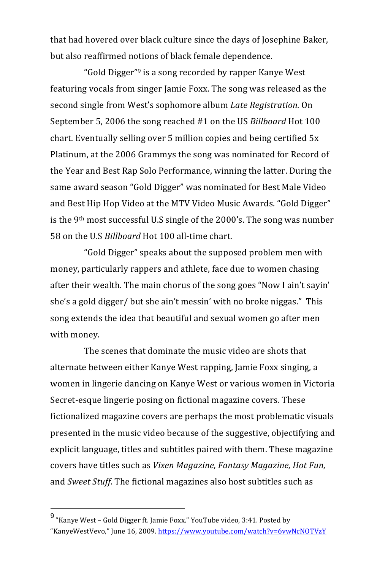that had hovered over black culture since the days of Josephine Baker, but also reaffirmed notions of black female dependence.

"Gold Digger"<sup>9</sup> is a song recorded by rapper Kanye West featuring vocals from singer Jamie Foxx. The song was released as the second single from West's sophomore album *Late Registration*. On September 5, 2006 the song reached #1 on the US *Billboard* Hot 100 chart. Eventually selling over 5 million copies and being certified 5x Platinum, at the 2006 Grammys the song was nominated for Record of the Year and Best Rap Solo Performance, winning the latter. During the same award season "Gold Digger" was nominated for Best Male Video and Best Hip Hop Video at the MTV Video Music Awards. "Gold Digger" is the  $9<sup>th</sup>$  most successful U.S single of the 2000's. The song was number 58 on the U.S *Billboard* Hot 100 all-time chart.

"Gold Digger" speaks about the supposed problem men with money, particularly rappers and athlete, face due to women chasing after their wealth. The main chorus of the song goes "Now I ain't sayin' she's a gold digger/ but she ain't messin' with no broke niggas." This song extends the idea that beautiful and sexual women go after men with money.

The scenes that dominate the music video are shots that alternate between either Kanye West rapping, Jamie Foxx singing, a women in lingerie dancing on Kanye West or various women in Victoria Secret-esque lingerie posing on fictional magazine covers. These fictionalized magazine covers are perhaps the most problematic visuals presented in the music video because of the suggestive, objectifying and explicit language, titles and subtitles paired with them. These magazine covers have titles such as *Vixen Magazine, Fantasy Magazine, Hot Fun,* and *Sweet Stuff*. The fictional magazines also host subtitles such as

 $9$  "Kanve West – Gold Digger ft. Jamie Foxx." YouTube video, 3:41. Posted by "KanyeWestVevo," June 16, 2009. https://www.youtube.com/watch?v=6vwNcNOTVzY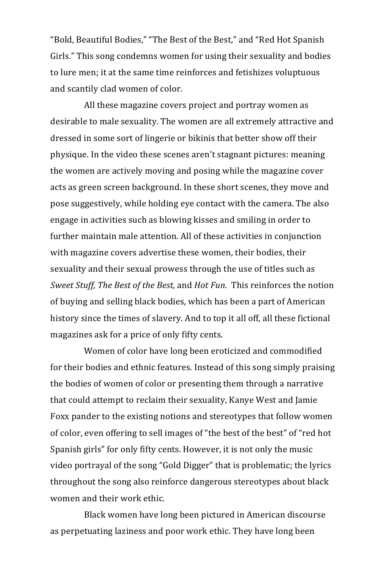"Bold, Beautiful Bodies," "The Best of the Best," and "Red Hot Spanish Girls." This song condemns women for using their sexuality and bodies to lure men; it at the same time reinforces and fetishizes voluptuous and scantily clad women of color.

All these magazine covers project and portray women as desirable to male sexuality. The women are all extremely attractive and dressed in some sort of lingerie or bikinis that better show off their physique. In the video these scenes aren't stagnant pictures: meaning the women are actively moving and posing while the magazine cover acts as green screen background. In these short scenes, they move and pose suggestively, while holding eye contact with the camera. The also engage in activities such as blowing kisses and smiling in order to further maintain male attention. All of these activities in conjunction with magazine covers advertise these women, their bodies, their sexuality and their sexual prowess through the use of titles such as *Sweet Stuff, The Best of the Best, and Hot Fun. This reinforces the notion* of buying and selling black bodies, which has been a part of American history since the times of slavery. And to top it all off, all these fictional magazines ask for a price of only fifty cents.

Women of color have long been eroticized and commodified for their bodies and ethnic features. Instead of this song simply praising the bodies of women of color or presenting them through a narrative that could attempt to reclaim their sexuality, Kanye West and Jamie Foxx pander to the existing notions and stereotypes that follow women of color, even offering to sell images of "the best of the best" of "red hot Spanish girls" for only fifty cents. However, it is not only the music video portrayal of the song "Gold Digger" that is problematic; the lyrics throughout the song also reinforce dangerous stereotypes about black women and their work ethic.

Black women have long been pictured in American discourse as perpetuating laziness and poor work ethic. They have long been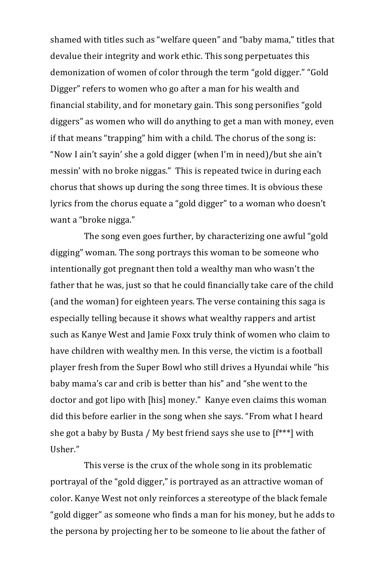shamed with titles such as "welfare queen" and "baby mama," titles that devalue their integrity and work ethic. This song perpetuates this demonization of women of color through the term "gold digger." "Gold Digger" refers to women who go after a man for his wealth and financial stability, and for monetary gain. This song personifies "gold" diggers" as women who will do anything to get a man with money, even if that means "trapping" him with a child. The chorus of the song is: "Now I ain't sayin' she a gold digger (when I'm in need)/but she ain't messin' with no broke niggas." This is repeated twice in during each chorus that shows up during the song three times. It is obvious these lyrics from the chorus equate a "gold digger" to a woman who doesn't want a "broke nigga."

The song even goes further, by characterizing one awful "gold digging" woman. The song portrays this woman to be someone who intentionally got pregnant then told a wealthy man who wasn't the father that he was, just so that he could financially take care of the child (and the woman) for eighteen years. The verse containing this saga is especially telling because it shows what wealthy rappers and artist such as Kanye West and Jamie Foxx truly think of women who claim to have children with wealthy men. In this verse, the victim is a football player fresh from the Super Bowl who still drives a Hyundai while "his baby mama's car and crib is better than his" and "she went to the doctor and got lipo with [his] money." Kanye even claims this woman did this before earlier in the song when she says. "From what I heard she got a baby by Busta / My best friend says she use to  $[f^{***}]$  with Usher." 

This verse is the crux of the whole song in its problematic portrayal of the "gold digger," is portrayed as an attractive woman of color. Kanye West not only reinforces a stereotype of the black female "gold digger" as someone who finds a man for his money, but he adds to the persona by projecting her to be someone to lie about the father of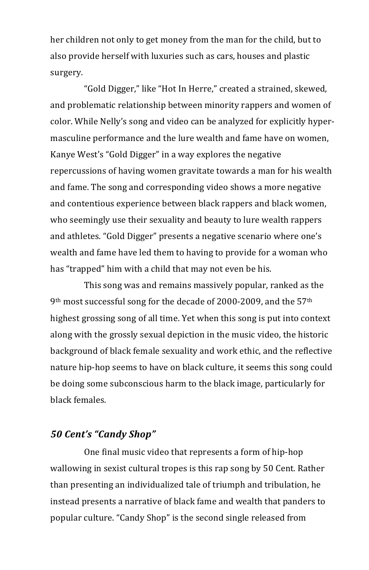her children not only to get money from the man for the child, but to also provide herself with luxuries such as cars, houses and plastic surgery.

"Gold Digger," like "Hot In Herre," created a strained, skewed, and problematic relationship between minority rappers and women of color. While Nelly's song and video can be analyzed for explicitly hypermasculine performance and the lure wealth and fame have on women, Kanye West's "Gold Digger" in a way explores the negative repercussions of having women gravitate towards a man for his wealth and fame. The song and corresponding video shows a more negative and contentious experience between black rappers and black women, who seemingly use their sexuality and beauty to lure wealth rappers and athletes. "Gold Digger" presents a negative scenario where one's wealth and fame have led them to having to provide for a woman who has "trapped" him with a child that may not even be his.

This song was and remains massively popular, ranked as the  $9<sup>th</sup>$  most successful song for the decade of 2000-2009, and the 57<sup>th</sup> highest grossing song of all time. Yet when this song is put into context along with the grossly sexual depiction in the music video, the historic background of black female sexuality and work ethic, and the reflective nature hip-hop seems to have on black culture, it seems this song could be doing some subconscious harm to the black image, particularly for black females.

#### *50 Cent's "Candy Shop"*

One final music video that represents a form of hip-hop wallowing in sexist cultural tropes is this rap song by 50 Cent. Rather than presenting an individualized tale of triumph and tribulation, he instead presents a narrative of black fame and wealth that panders to popular culture. "Candy Shop" is the second single released from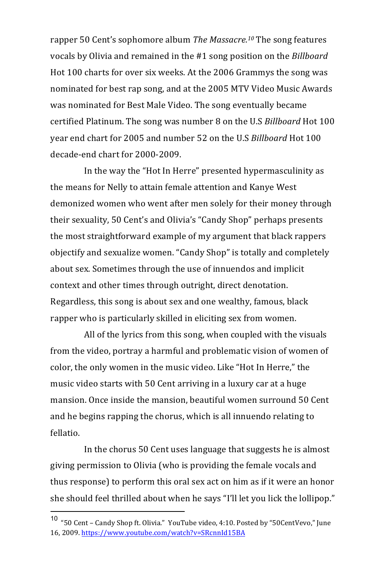rapper 50 Cent's sophomore album *The Massacre.<sup>10</sup>* The song features vocals by Olivia and remained in the #1 song position on the *Billboard* Hot 100 charts for over six weeks. At the 2006 Grammys the song was nominated for best rap song, and at the 2005 MTV Video Music Awards was nominated for Best Male Video. The song eventually became certified Platinum. The song was number 8 on the U.S *Billboard* Hot 100 vear end chart for 2005 and number 52 on the U.S *Billboard* Hot 100 decade-end chart for 2000-2009.

In the way the "Hot In Herre" presented hypermasculinity as the means for Nelly to attain female attention and Kanye West demonized women who went after men solely for their money through their sexuality, 50 Cent's and Olivia's "Candy Shop" perhaps presents the most straightforward example of my argument that black rappers objectify and sexualize women. "Candy Shop" is totally and completely about sex. Sometimes through the use of innuendos and implicit context and other times through outright, direct denotation. Regardless, this song is about sex and one wealthy, famous, black rapper who is particularly skilled in eliciting sex from women.

All of the lyrics from this song, when coupled with the visuals from the video, portray a harmful and problematic vision of women of color, the only women in the music video. Like "Hot In Herre," the music video starts with 50 Cent arriving in a luxury car at a huge mansion. Once inside the mansion, beautiful women surround 50 Cent and he begins rapping the chorus, which is all innuendo relating to fellatio.

In the chorus 50 Cent uses language that suggests he is almost giving permission to Olivia (who is providing the female vocals and thus response) to perform this oral sex act on him as if it were an honor she should feel thrilled about when he says "I'll let you lick the lollipop."

<sup>&</sup>lt;sup>10</sup> "50 Cent – Candy Shop ft. Olivia." YouTube video, 4:10. Posted by "50CentVevo," June 16, 2009. https://www.youtube.com/watch?v=SRcnnId15BA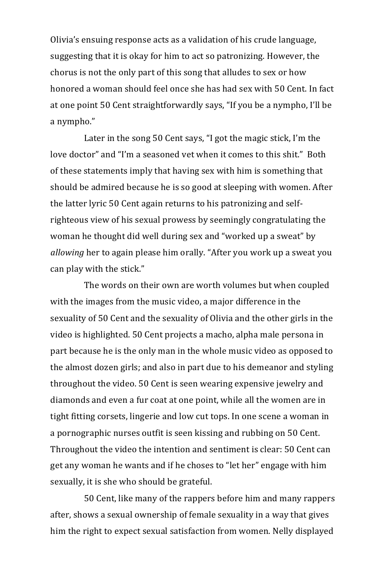Olivia's ensuing response acts as a validation of his crude language, suggesting that it is okay for him to act so patronizing. However, the chorus is not the only part of this song that alludes to sex or how honored a woman should feel once she has had sex with 50 Cent. In fact at one point 50 Cent straightforwardly says, "If you be a nympho, I'll be a nympho." 

Later in the song 50 Cent says, "I got the magic stick, I'm the love doctor" and "I'm a seasoned vet when it comes to this shit." Both of these statements imply that having sex with him is something that should be admired because he is so good at sleeping with women. After the latter lyric 50 Cent again returns to his patronizing and selfrighteous view of his sexual prowess by seemingly congratulating the woman he thought did well during sex and "worked up a sweat" by *allowing* her to again please him orally. "After you work up a sweat you can play with the stick."

The words on their own are worth volumes but when coupled with the images from the music video, a major difference in the sexuality of 50 Cent and the sexuality of Olivia and the other girls in the video is highlighted. 50 Cent projects a macho, alpha male persona in part because he is the only man in the whole music video as opposed to the almost dozen girls; and also in part due to his demeanor and styling throughout the video. 50 Cent is seen wearing expensive jewelry and diamonds and even a fur coat at one point, while all the women are in tight fitting corsets, lingerie and low cut tops. In one scene a woman in a pornographic nurses outfit is seen kissing and rubbing on 50 Cent. Throughout the video the intention and sentiment is clear: 50 Cent can get any woman he wants and if he choses to "let her" engage with him sexually, it is she who should be grateful.

50 Cent, like many of the rappers before him and many rappers after, shows a sexual ownership of female sexuality in a way that gives him the right to expect sexual satisfaction from women. Nelly displayed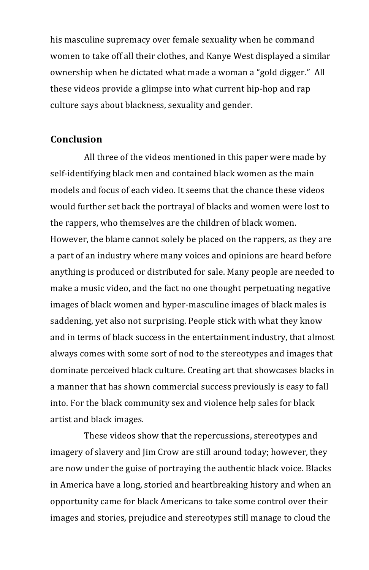his masculine supremacy over female sexuality when he command women to take off all their clothes, and Kanye West displayed a similar ownership when he dictated what made a woman a "gold digger." All these videos provide a glimpse into what current hip-hop and rap culture says about blackness, sexuality and gender.

#### **Conclusion**

All three of the videos mentioned in this paper were made by self-identifying black men and contained black women as the main models and focus of each video. It seems that the chance these videos would further set back the portrayal of blacks and women were lost to the rappers, who themselves are the children of black women. However, the blame cannot solely be placed on the rappers, as they are a part of an industry where many voices and opinions are heard before anything is produced or distributed for sale. Many people are needed to make a music video, and the fact no one thought perpetuating negative images of black women and hyper-masculine images of black males is saddening, yet also not surprising. People stick with what they know and in terms of black success in the entertainment industry, that almost always comes with some sort of nod to the stereotypes and images that dominate perceived black culture. Creating art that showcases blacks in a manner that has shown commercial success previously is easy to fall into. For the black community sex and violence help sales for black artist and black images.

These videos show that the repercussions, stereotypes and imagery of slavery and Jim Crow are still around today; however, they are now under the guise of portraying the authentic black voice. Blacks in America have a long, storied and heartbreaking history and when an opportunity came for black Americans to take some control over their images and stories, prejudice and stereotypes still manage to cloud the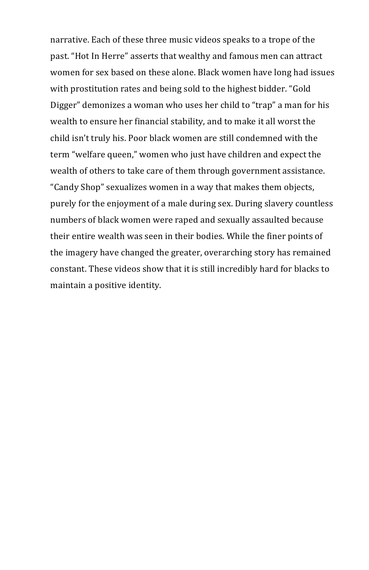narrative. Each of these three music videos speaks to a trope of the past. "Hot In Herre" asserts that wealthy and famous men can attract women for sex based on these alone. Black women have long had issues with prostitution rates and being sold to the highest bidder. "Gold Digger" demonizes a woman who uses her child to "trap" a man for his wealth to ensure her financial stability, and to make it all worst the child isn't truly his. Poor black women are still condemned with the term "welfare queen," women who just have children and expect the wealth of others to take care of them through government assistance. "Candy Shop" sexualizes women in a way that makes them objects, purely for the enjoyment of a male during sex. During slavery countless numbers of black women were raped and sexually assaulted because their entire wealth was seen in their bodies. While the finer points of the imagery have changed the greater, overarching story has remained constant. These videos show that it is still incredibly hard for blacks to maintain a positive identity.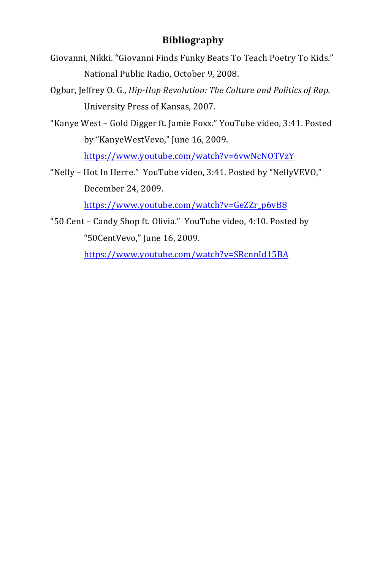# **Bibliography**

- Giovanni, Nikki. "Giovanni Finds Funky Beats To Teach Poetry To Kids." National Public Radio, October 9, 2008.
- Ogbar, Jeffrey O. G., *Hip-Hop Revolution: The Culture and Politics of Rap.* University Press of Kansas, 2007.
- "Kanye West Gold Digger ft. Jamie Foxx." YouTube video, 3:41. Posted by "KanyeWestVevo," June 16, 2009.

<https://www.youtube.com/watch?v=6vwNcNOTVzY>

"Nelly - Hot In Herre." YouTube video, 3:41. Posted by "NellyVEVO," December 24, 2009. 

[https://www.youtube.com/watch?v=GeZZr\\_p6vB8](https://www.youtube.com/watch?v=GeZZr_p6vB8)

"50 Cent - Candy Shop ft. Olivia." YouTube video, 4:10. Posted by "50CentVevo," June 16, 2009.

<https://www.youtube.com/watch?v=SRcnnId15BA>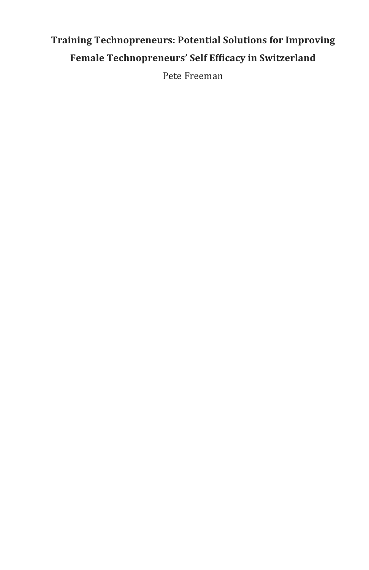# **Training Technopreneurs: Potential Solutions for Improving** Female Technopreneurs' Self Efficacy in Switzerland

Pete Freeman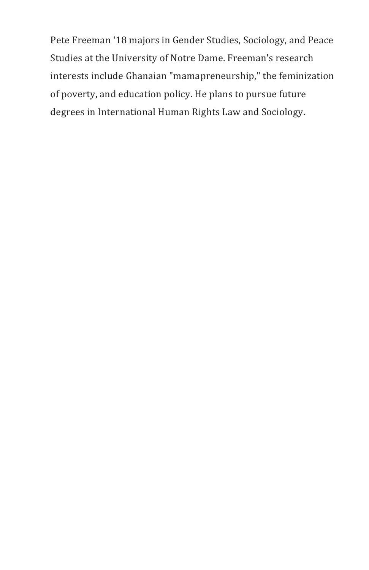Pete Freeman '18 majors in Gender Studies, Sociology, and Peace Studies at the University of Notre Dame. Freeman's research interests include Ghanaian "mamapreneurship," the feminization of poverty, and education policy. He plans to pursue future degrees in International Human Rights Law and Sociology.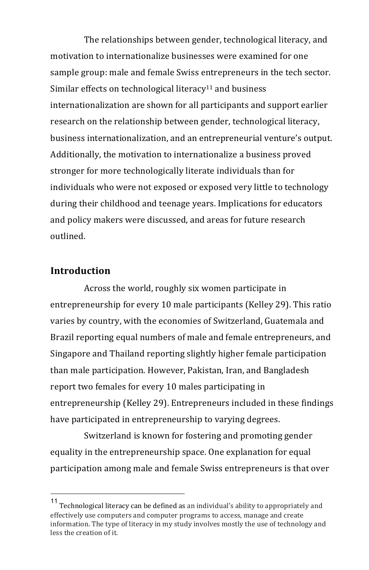The relationships between gender, technological literacy, and motivation to internationalize businesses were examined for one sample group: male and female Swiss entrepreneurs in the tech sector. Similar effects on technological literacy<sup>11</sup> and business internationalization are shown for all participants and support earlier research on the relationship between gender, technological literacy, business internationalization, and an entrepreneurial venture's output. Additionally, the motivation to internationalize a business proved stronger for more technologically literate individuals than for individuals who were not exposed or exposed very little to technology during their childhood and teenage years. Implications for educators and policy makers were discussed, and areas for future research outlined.

#### **Introduction**

Across the world, roughly six women participate in entrepreneurship for every 10 male participants (Kelley 29). This ratio varies by country, with the economies of Switzerland, Guatemala and Brazil reporting equal numbers of male and female entrepreneurs, and Singapore and Thailand reporting slightly higher female participation than male participation. However, Pakistan, Iran, and Bangladesh report two females for every 10 males participating in entrepreneurship (Kelley 29). Entrepreneurs included in these findings have participated in entrepreneurship to varying degrees.

Switzerland is known for fostering and promoting gender equality in the entrepreneurship space. One explanation for equal participation among male and female Swiss entrepreneurs is that over

<sup>&</sup>lt;sup>11</sup> Technological literacy can be defined as an individual's ability to appropriately and effectively use computers and computer programs to access, manage and create information. The type of literacy in my study involves mostly the use of technology and less the creation of it.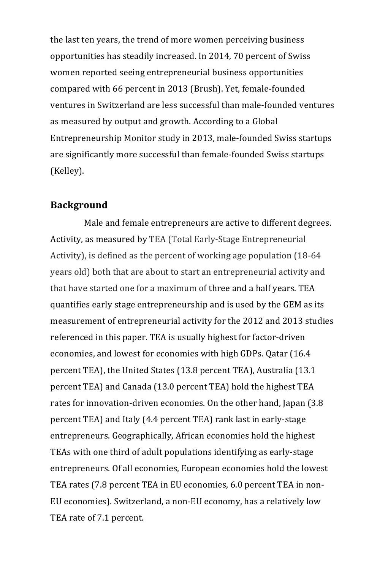the last ten years, the trend of more women perceiving business opportunities has steadily increased. In 2014, 70 percent of Swiss women reported seeing entrepreneurial business opportunities compared with 66 percent in 2013 (Brush). Yet, female-founded ventures in Switzerland are less successful than male-founded ventures as measured by output and growth. According to a Global Entrepreneurship Monitor study in 2013, male-founded Swiss startups are significantly more successful than female-founded Swiss startups (Kelley).

#### **Background**

Male and female entrepreneurs are active to different degrees. Activity, as measured by TEA (Total Early-Stage Entrepreneurial Activity), is defined as the percent of working age population  $(18-64)$ years old) both that are about to start an entrepreneurial activity and that have started one for a maximum of three and a half years. TEA quantifies early stage entrepreneurship and is used by the GEM as its measurement of entrepreneurial activity for the 2012 and 2013 studies referenced in this paper. TEA is usually highest for factor-driven economies, and lowest for economies with high GDPs. Qatar (16.4) percent TEA), the United States (13.8 percent TEA), Australia (13.1) percent TEA) and Canada (13.0 percent TEA) hold the highest TEA rates for innovation-driven economies. On the other hand, Japan (3.8) percent TEA) and Italy (4.4 percent TEA) rank last in early-stage entrepreneurs. Geographically, African economies hold the highest TEAs with one third of adult populations identifying as early-stage entrepreneurs. Of all economies, European economies hold the lowest TEA rates (7.8 percent TEA in EU economies, 6.0 percent TEA in non-EU economies). Switzerland, a non-EU economy, has a relatively low TEA rate of 7.1 percent.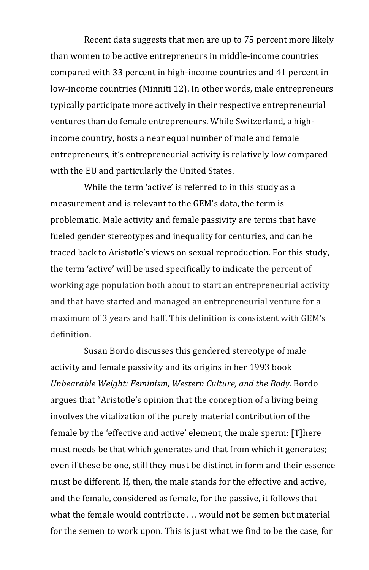Recent data suggests that men are up to 75 percent more likely than women to be active entrepreneurs in middle-income countries compared with 33 percent in high-income countries and 41 percent in low-income countries (Minniti 12). In other words, male entrepreneurs typically participate more actively in their respective entrepreneurial ventures than do female entrepreneurs. While Switzerland, a highincome country, hosts a near equal number of male and female entrepreneurs, it's entrepreneurial activity is relatively low compared with the EU and particularly the United States.

While the term 'active' is referred to in this study as a measurement and is relevant to the GEM's data, the term is problematic. Male activity and female passivity are terms that have fueled gender stereotypes and inequality for centuries, and can be traced back to Aristotle's views on sexual reproduction. For this study, the term 'active' will be used specifically to indicate the percent of working age population both about to start an entrepreneurial activity and that have started and managed an entrepreneurial venture for a maximum of 3 years and half. This definition is consistent with GEM's definition.

Susan Bordo discusses this gendered stereotype of male activity and female passivity and its origins in her 1993 book *Unbearable Weight: Feminism, Western Culture, and the Body. Bordo* argues that "Aristotle's opinion that the conception of a living being involves the vitalization of the purely material contribution of the female by the 'effective and active' element, the male sperm: [T]here must needs be that which generates and that from which it generates; even if these be one, still they must be distinct in form and their essence must be different. If, then, the male stands for the effective and active, and the female, considered as female, for the passive, it follows that what the female would contribute  $\ldots$  would not be semen but material for the semen to work upon. This is just what we find to be the case, for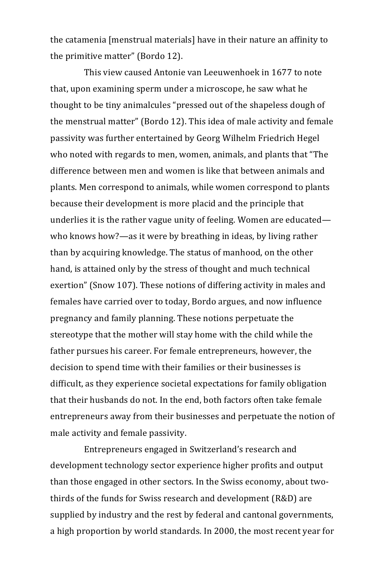the catamenia [menstrual materials] have in their nature an affinity to the primitive matter" (Bordo 12).

This view caused Antonie van Leeuwenhoek in 1677 to note that, upon examining sperm under a microscope, he saw what he thought to be tiny animalcules "pressed out of the shapeless dough of the menstrual matter" (Bordo 12). This idea of male activity and female passivity was further entertained by Georg Wilhelm Friedrich Hegel who noted with regards to men, women, animals, and plants that "The difference between men and women is like that between animals and plants. Men correspond to animals, while women correspond to plants because their development is more placid and the principle that underlies it is the rather vague unity of feeling. Women are educated who knows how?—as it were by breathing in ideas, by living rather than by acquiring knowledge. The status of manhood, on the other hand, is attained only by the stress of thought and much technical exertion" (Snow 107). These notions of differing activity in males and females have carried over to today, Bordo argues, and now influence pregnancy and family planning. These notions perpetuate the stereotype that the mother will stay home with the child while the father pursues his career. For female entrepreneurs, however, the decision to spend time with their families or their businesses is difficult, as they experience societal expectations for family obligation that their husbands do not. In the end, both factors often take female entrepreneurs away from their businesses and perpetuate the notion of male activity and female passivity.

Entrepreneurs engaged in Switzerland's research and development technology sector experience higher profits and output than those engaged in other sectors. In the Swiss economy, about twothirds of the funds for Swiss research and development (R&D) are supplied by industry and the rest by federal and cantonal governments, a high proportion by world standards. In 2000, the most recent year for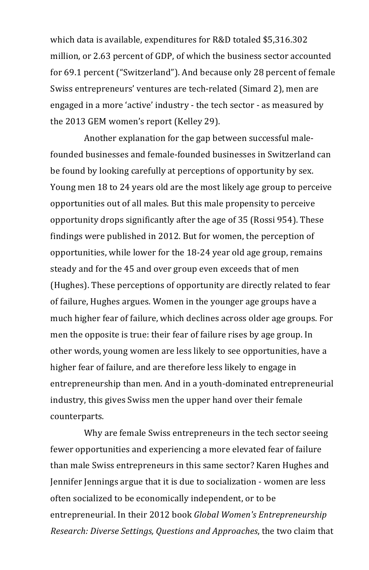which data is available, expenditures for R&D totaled \$5,316.302 million, or 2.63 percent of GDP, of which the business sector accounted for 69.1 percent ("Switzerland"). And because only 28 percent of female Swiss entrepreneurs' ventures are tech-related (Simard 2), men are engaged in a more 'active' industry - the tech sector - as measured by the 2013 GEM women's report (Kelley 29).

Another explanation for the gap between successful malefounded businesses and female-founded businesses in Switzerland can be found by looking carefully at perceptions of opportunity by sex. Young men 18 to 24 years old are the most likely age group to perceive opportunities out of all males. But this male propensity to perceive opportunity drops significantly after the age of 35 (Rossi 954). These findings were published in 2012. But for women, the perception of opportunities, while lower for the 18-24 year old age group, remains steady and for the 45 and over group even exceeds that of men (Hughes). These perceptions of opportunity are directly related to fear of failure, Hughes argues. Women in the younger age groups have a much higher fear of failure, which declines across older age groups. For men the opposite is true: their fear of failure rises by age group. In other words, young women are less likely to see opportunities, have a higher fear of failure, and are therefore less likely to engage in entrepreneurship than men. And in a youth-dominated entrepreneurial industry, this gives Swiss men the upper hand over their female counterparts.

Why are female Swiss entrepreneurs in the tech sector seeing fewer opportunities and experiencing a more elevated fear of failure than male Swiss entrepreneurs in this same sector? Karen Hughes and Jennifer Jennings argue that it is due to socialization - women are less often socialized to be economically independent, or to be entrepreneurial. In their 2012 book *Global Women's Entrepreneurship Research: Diverse Settings, Questions and Approaches, the two claim that*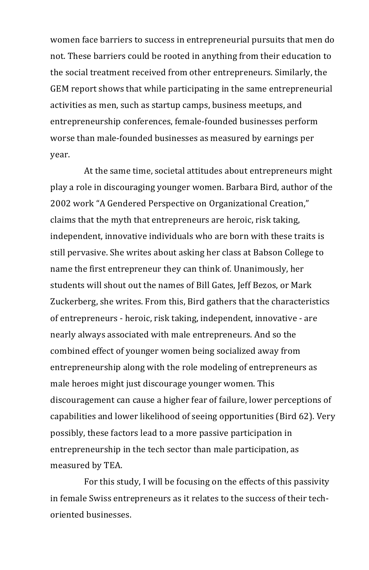women face barriers to success in entrepreneurial pursuits that men do not. These barriers could be rooted in anything from their education to the social treatment received from other entrepreneurs. Similarly, the GEM report shows that while participating in the same entrepreneurial activities as men, such as startup camps, business meetups, and entrepreneurship conferences, female-founded businesses perform worse than male-founded businesses as measured by earnings per year.

At the same time, societal attitudes about entrepreneurs might play a role in discouraging younger women. Barbara Bird, author of the 2002 work "A Gendered Perspective on Organizational Creation," claims that the myth that entrepreneurs are heroic, risk taking, independent, innovative individuals who are born with these traits is still pervasive. She writes about asking her class at Babson College to name the first entrepreneur they can think of. Unanimously, her students will shout out the names of Bill Gates, Jeff Bezos, or Mark Zuckerberg, she writes. From this, Bird gathers that the characteristics of entrepreneurs - heroic, risk taking, independent, innovative - are nearly always associated with male entrepreneurs. And so the combined effect of younger women being socialized away from entrepreneurship along with the role modeling of entrepreneurs as male heroes might just discourage younger women. This discouragement can cause a higher fear of failure, lower perceptions of capabilities and lower likelihood of seeing opportunities (Bird 62). Very possibly, these factors lead to a more passive participation in entrepreneurship in the tech sector than male participation, as measured by TEA.

For this study, I will be focusing on the effects of this passivity in female Swiss entrepreneurs as it relates to the success of their techoriented businesses.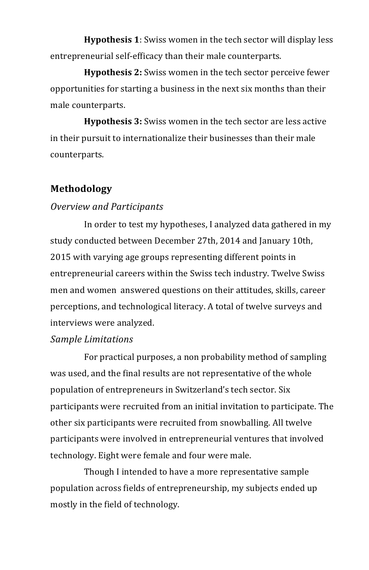**Hypothesis 1**: Swiss women in the tech sector will display less entrepreneurial self-efficacy than their male counterparts.

**Hypothesis 2:** Swiss women in the tech sector perceive fewer opportunities for starting a business in the next six months than their male counterparts.

**Hypothesis 3:** Swiss women in the tech sector are less active in their pursuit to internationalize their businesses than their male counterparts.

# **Methodology**

#### *Overview and Participants*

In order to test my hypotheses, I analyzed data gathered in my study conducted between December 27th, 2014 and January 10th, 2015 with varying age groups representing different points in entrepreneurial careers within the Swiss tech industry. Twelve Swiss men and women answered questions on their attitudes, skills, career perceptions, and technological literacy. A total of twelve surveys and interviews were analyzed.

## *Sample Limitations*

For practical purposes, a non probability method of sampling was used, and the final results are not representative of the whole population of entrepreneurs in Switzerland's tech sector. Six participants were recruited from an initial invitation to participate. The other six participants were recruited from snowballing. All twelve participants were involved in entrepreneurial ventures that involved technology. Eight were female and four were male.

Though I intended to have a more representative sample population across fields of entrepreneurship, my subjects ended up mostly in the field of technology.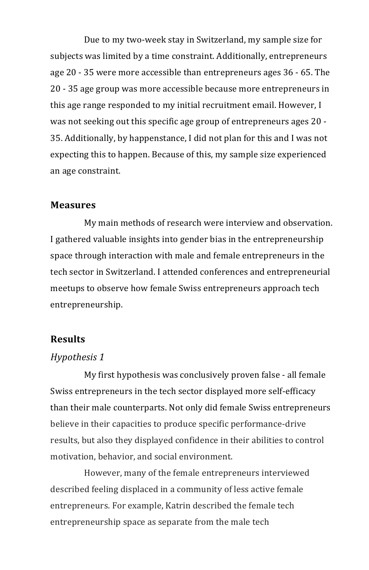Due to my two-week stay in Switzerland, my sample size for subjects was limited by a time constraint. Additionally, entrepreneurs age 20 - 35 were more accessible than entrepreneurs ages 36 - 65. The 20 - 35 age group was more accessible because more entrepreneurs in this age range responded to my initial recruitment email. However, I was not seeking out this specific age group of entrepreneurs ages 20 -35. Additionally, by happenstance, I did not plan for this and I was not expecting this to happen. Because of this, my sample size experienced an age constraint.

#### **Measures**

My main methods of research were interview and observation. I gathered valuable insights into gender bias in the entrepreneurship space through interaction with male and female entrepreneurs in the tech sector in Switzerland. I attended conferences and entrepreneurial meetups to observe how female Swiss entrepreneurs approach tech entrepreneurship.

# **Results**

#### *Hypothesis 1*

My first hypothesis was conclusively proven false - all female Swiss entrepreneurs in the tech sector displayed more self-efficacy than their male counterparts. Not only did female Swiss entrepreneurs believe in their capacities to produce specific performance-drive results, but also they displayed confidence in their abilities to control motivation, behavior, and social environment.

However, many of the female entrepreneurs interviewed described feeling displaced in a community of less active female entrepreneurs. For example, Katrin described the female tech entrepreneurship space as separate from the male tech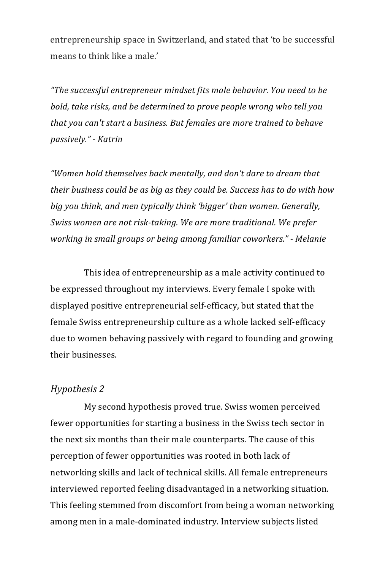entrepreneurship space in Switzerland, and stated that 'to be successful means to think like a male.'

"The successful entrepreneur mindset fits male behavior. You need to be *bold, take risks, and be determined to prove people wrong who tell you that you can't start a business. But females are more trained to behave passively." - Katrin*

"Women hold themselves back mentally, and don't dare to dream that *their business could be as big as they could be. Success has to do with how* big you think, and men typically think 'bigger' than women. Generally, Swiss women are not risk-taking. We are more traditional. We prefer *working in small groups or being among familiar coworkers." - Melanie* 

This idea of entrepreneurship as a male activity continued to be expressed throughout my interviews. Every female I spoke with displayed positive entrepreneurial self-efficacy, but stated that the female Swiss entrepreneurship culture as a whole lacked self-efficacy due to women behaving passively with regard to founding and growing their businesses.

# *Hypothesis 2*

My second hypothesis proved true. Swiss women perceived fewer opportunities for starting a business in the Swiss tech sector in the next six months than their male counterparts. The cause of this perception of fewer opportunities was rooted in both lack of networking skills and lack of technical skills. All female entrepreneurs interviewed reported feeling disadvantaged in a networking situation. This feeling stemmed from discomfort from being a woman networking among men in a male-dominated industry. Interview subjects listed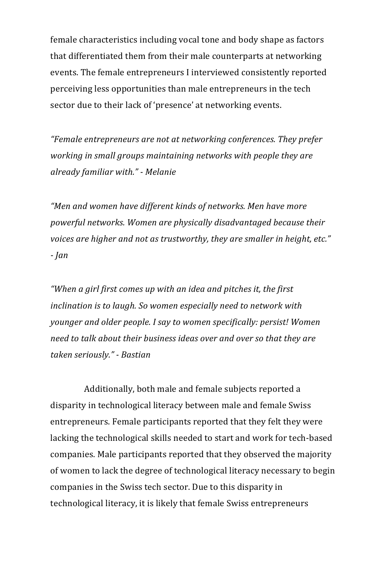female characteristics including vocal tone and body shape as factors that differentiated them from their male counterparts at networking events. The female entrepreneurs I interviewed consistently reported perceiving less opportunities than male entrepreneurs in the tech sector due to their lack of 'presence' at networking events.

"Female entrepreneurs are not at networking conferences. They prefer *working in small groups maintaining networks with people they are already familiar with." - Melanie*

*"Men and women have different kinds of networks. Men have more*  powerful networks. Women are physically disadvantaged because their voices are higher and not as trustworthy, they are smaller in height, etc." *- Jan*

"When a girl first comes up with an idea and pitches it, the first *inclination is to laugh.* So women especially need to network with *vounger and older people. I say to women specifically: persist! Women need to talk about their business ideas over and over so that they are taken seriously." - Bastian*

Additionally, both male and female subjects reported a disparity in technological literacy between male and female Swiss entrepreneurs. Female participants reported that they felt they were lacking the technological skills needed to start and work for tech-based companies. Male participants reported that they observed the majority of women to lack the degree of technological literacy necessary to begin companies in the Swiss tech sector. Due to this disparity in technological literacy, it is likely that female Swiss entrepreneurs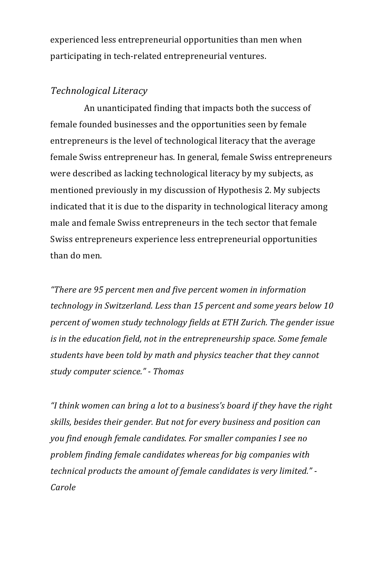experienced less entrepreneurial opportunities than men when participating in tech-related entrepreneurial ventures.

## *Technological Literacy*

An unanticipated finding that impacts both the success of female founded businesses and the opportunities seen by female entrepreneurs is the level of technological literacy that the average female Swiss entrepreneur has. In general, female Swiss entrepreneurs were described as lacking technological literacy by my subjects, as mentioned previously in my discussion of Hypothesis 2. My subjects indicated that it is due to the disparity in technological literacy among male and female Swiss entrepreneurs in the tech sector that female Swiss entrepreneurs experience less entrepreneurial opportunities than do men.

*"There are 95 percent men and five percent women in information technology* in Switzerland. Less than 15 percent and some years below 10 *percent of women study technology fields at ETH Zurich. The gender issue is* in the education field, not in the entrepreneurship space. Some female students have been told by math and physics teacher that they cannot *study computer science." - Thomas*

"I think women can bring a lot to a business's board if they have the right skills, besides their gender. But not for every business and position can *you find enough female candidates. For smaller companies I see no* problem finding female candidates whereas for big companies with technical products the amount of female candidates is very limited." -*Carole*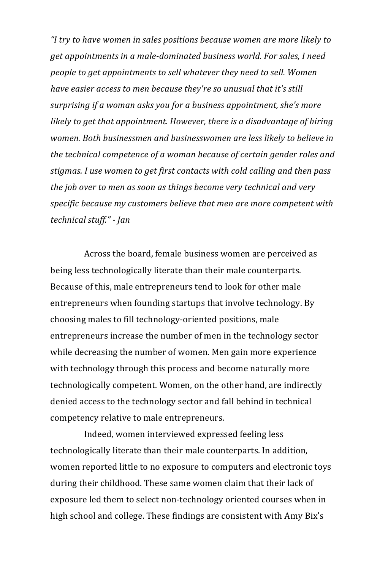"I try to have women in sales positions because women are more likely to *get appointments in a male-dominated business world. For sales, I need people to get appointments to sell whatever they need to sell. Women* have easier access to men because they're so unusual that it's still surprising if a woman asks you for a business appointment, she's more *likely to get that appointment. However, there is a disadvantage of hiring women.* Both businessmen and businesswomen are less likely to believe in *the technical competence of a woman because of certain gender roles and* stigmas. I use women to get first contacts with cold calling and then pass the job over to men as soon as things become very technical and very specific because my customers believe that men are more competent with *technical stuff." - Jan*

Across the board, female business women are perceived as being less technologically literate than their male counterparts. Because of this, male entrepreneurs tend to look for other male entrepreneurs when founding startups that involve technology. By choosing males to fill technology-oriented positions, male entrepreneurs increase the number of men in the technology sector while decreasing the number of women. Men gain more experience with technology through this process and become naturally more technologically competent. Women, on the other hand, are indirectly denied access to the technology sector and fall behind in technical competency relative to male entrepreneurs.

Indeed, women interviewed expressed feeling less technologically literate than their male counterparts. In addition, women reported little to no exposure to computers and electronic toys during their childhood. These same women claim that their lack of exposure led them to select non-technology oriented courses when in high school and college. These findings are consistent with Amy Bix's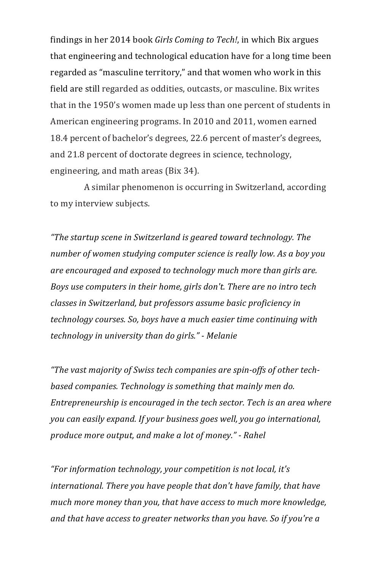findings in her 2014 book *Girls Coming to Tech!*, in which Bix argues that engineering and technological education have for a long time been regarded as "masculine territory," and that women who work in this field are still regarded as oddities, outcasts, or masculine. Bix writes that in the 1950's women made up less than one percent of students in American engineering programs. In 2010 and 2011, women earned 18.4 percent of bachelor's degrees, 22.6 percent of master's degrees, and 21.8 percent of doctorate degrees in science, technology, engineering, and math areas (Bix 34).

A similar phenomenon is occurring in Switzerland, according to my interview subjects.

"The startup scene in Switzerland is geared toward technology. The *number of women studying computer science is really low. As a boy you* are encouraged and exposed to technology much more than girls are. *Boys use computers in their home, girls don't. There are no intro tech classes in Switzerland, but professors assume basic proficiency in technology courses.* So, boys have a much easier time continuing with *technology in university than do girls." - Melanie*

"The vast majority of Swiss tech companies are spin-offs of other tech*based companies. Technology is something that mainly men do. Entrepreneurship* is encouraged in the tech sector. Tech is an area where *you can easily expand. If your business goes well, you go international, produce more output, and make a lot of money." - Rahel*

"For information technology, your competition is not local, it's *international.* There you have people that don't have family, that have *much more money than you, that have access to much more knowledge,* and that have access to greater networks than you have. So if you're a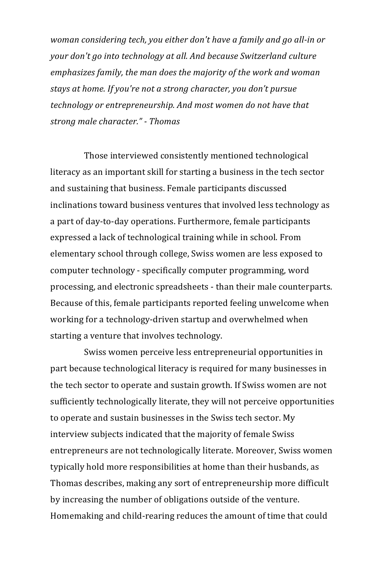*woman considering tech, you either don't have a family and go all-in or your don't go into technology at all. And because Switzerland culture* emphasizes family, the man does the majority of the work and woman stays at home. If you're not a strong character, you don't pursue technology or entrepreneurship. And most women do not have that *strong male character." - Thomas*

Those interviewed consistently mentioned technological literacy as an important skill for starting a business in the tech sector and sustaining that business. Female participants discussed inclinations toward business ventures that involved less technology as a part of day-to-day operations. Furthermore, female participants expressed a lack of technological training while in school. From elementary school through college, Swiss women are less exposed to computer technology - specifically computer programming, word processing, and electronic spreadsheets - than their male counterparts. Because of this, female participants reported feeling unwelcome when working for a technology-driven startup and overwhelmed when starting a venture that involves technology.

Swiss women perceive less entrepreneurial opportunities in part because technological literacy is required for many businesses in the tech sector to operate and sustain growth. If Swiss women are not sufficiently technologically literate, they will not perceive opportunities to operate and sustain businesses in the Swiss tech sector. My interview subjects indicated that the majority of female Swiss entrepreneurs are not technologically literate. Moreover, Swiss women typically hold more responsibilities at home than their husbands, as Thomas describes, making any sort of entrepreneurship more difficult by increasing the number of obligations outside of the venture. Homemaking and child-rearing reduces the amount of time that could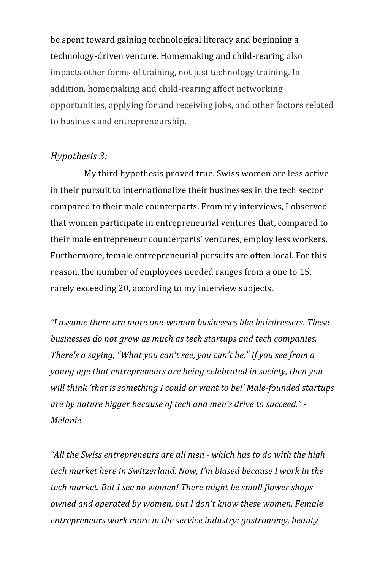be spent toward gaining technological literacy and beginning a technology-driven venture. Homemaking and child-rearing also impacts other forms of training, not just technology training. In addition, homemaking and child-rearing affect networking opportunities, applying for and receiving jobs, and other factors related to business and entrepreneurship.

## *Hypothesis 3:*

My third hypothesis proved true. Swiss women are less active in their pursuit to internationalize their businesses in the tech sector compared to their male counterparts. From my interviews, I observed that women participate in entrepreneurial ventures that, compared to their male entrepreneur counterparts' ventures, employ less workers. Furthermore, female entrepreneurial pursuits are often local. For this reason, the number of employees needed ranges from a one to 15, rarely exceeding 20, according to my interview subjects.

*"I assume there are more one-woman businesses like hairdressers. These businesses do not grow as much as tech startups and tech companies.* There's a saying, "What you can't see, you can't be." If you see from a *young age that entrepreneurs are being celebrated in society, then you* will think 'that is something I could or want to be!' Male-founded startups *are by nature bigger because of tech and men's drive to succeed."* -*Melanie*

"All the Swiss entrepreneurs are all men - which has to do with the high tech market here in Switzerland. Now, I'm biased because I work in the *tech market. But I see no women! There might be small flower shops owned and operated by women, but I don't know these women. Female* entrepreneurs work more in the service industry: gastronomy, beauty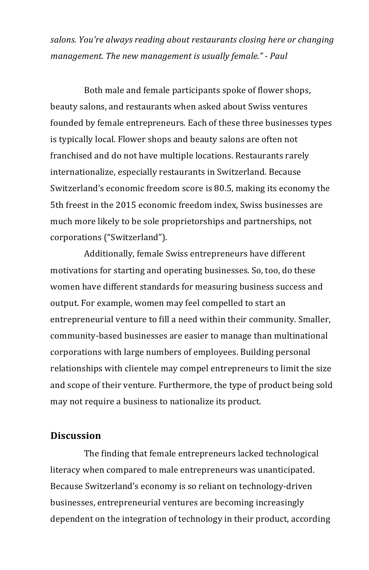salons. You're always reading about restaurants closing here or changing *management. The new management is usually female." - Paul* 

Both male and female participants spoke of flower shops, beauty salons, and restaurants when asked about Swiss ventures founded by female entrepreneurs. Each of these three businesses types is typically local. Flower shops and beauty salons are often not franchised and do not have multiple locations. Restaurants rarely internationalize, especially restaurants in Switzerland. Because Switzerland's economic freedom score is 80.5, making its economy the 5th freest in the 2015 economic freedom index, Swiss businesses are much more likely to be sole proprietorships and partnerships, not corporations ("Switzerland").

Additionally, female Swiss entrepreneurs have different motivations for starting and operating businesses. So, too, do these women have different standards for measuring business success and output. For example, women may feel compelled to start an entrepreneurial venture to fill a need within their community. Smaller, community-based businesses are easier to manage than multinational corporations with large numbers of employees. Building personal relationships with clientele may compel entrepreneurs to limit the size and scope of their venture. Furthermore, the type of product being sold may not require a business to nationalize its product.

## **Discussion**

The finding that female entrepreneurs lacked technological literacy when compared to male entrepreneurs was unanticipated. Because Switzerland's economy is so reliant on technology-driven businesses, entrepreneurial ventures are becoming increasingly dependent on the integration of technology in their product, according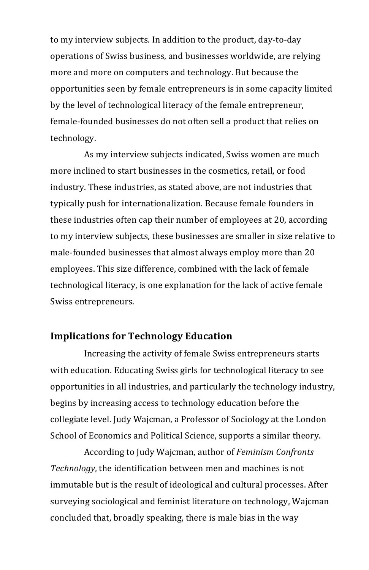to my interview subjects. In addition to the product, day-to-day operations of Swiss business, and businesses worldwide, are relying more and more on computers and technology. But because the opportunities seen by female entrepreneurs is in some capacity limited by the level of technological literacy of the female entrepreneur, female-founded businesses do not often sell a product that relies on technology.

As my interview subjects indicated, Swiss women are much more inclined to start businesses in the cosmetics, retail, or food industry. These industries, as stated above, are not industries that typically push for internationalization. Because female founders in these industries often cap their number of employees at 20, according to my interview subjects, these businesses are smaller in size relative to male-founded businesses that almost always employ more than 20 employees. This size difference, combined with the lack of female technological literacy, is one explanation for the lack of active female Swiss entrepreneurs.

# **Implications for Technology Education**

Increasing the activity of female Swiss entrepreneurs starts with education. Educating Swiss girls for technological literacy to see opportunities in all industries, and particularly the technology industry, begins by increasing access to technology education before the collegiate level. Judy Wajcman, a Professor of Sociology at the London School of Economics and Political Science, supports a similar theory.

According to Judy Wajcman, author of *Feminism Confronts Technology*, the identification between men and machines is not immutable but is the result of ideological and cultural processes. After surveying sociological and feminist literature on technology, Wajcman concluded that, broadly speaking, there is male bias in the way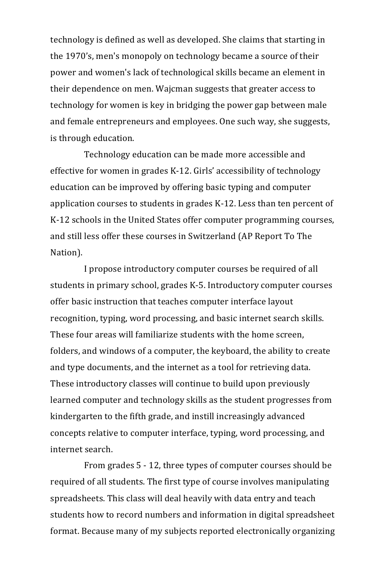technology is defined as well as developed. She claims that starting in the 1970's, men's monopoly on technology became a source of their power and women's lack of technological skills became an element in their dependence on men. Wajcman suggests that greater access to technology for women is key in bridging the power gap between male and female entrepreneurs and employees. One such way, she suggests, is through education.

Technology education can be made more accessible and effective for women in grades K-12. Girls' accessibility of technology education can be improved by offering basic typing and computer application courses to students in grades K-12. Less than ten percent of K-12 schools in the United States offer computer programming courses, and still less offer these courses in Switzerland (AP Report To The Nation).

I propose introductory computer courses be required of all students in primary school, grades K-5. Introductory computer courses offer basic instruction that teaches computer interface layout recognition, typing, word processing, and basic internet search skills. These four areas will familiarize students with the home screen, folders, and windows of a computer, the keyboard, the ability to create and type documents, and the internet as a tool for retrieving data. These introductory classes will continue to build upon previously learned computer and technology skills as the student progresses from kindergarten to the fifth grade, and instill increasingly advanced concepts relative to computer interface, typing, word processing, and internet search

From grades 5 - 12, three types of computer courses should be required of all students. The first type of course involves manipulating spreadsheets. This class will deal heavily with data entry and teach students how to record numbers and information in digital spreadsheet format. Because many of my subjects reported electronically organizing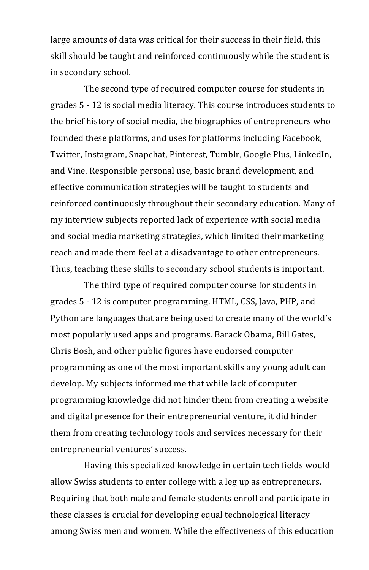large amounts of data was critical for their success in their field, this skill should be taught and reinforced continuously while the student is in secondary school.

The second type of required computer course for students in grades 5 - 12 is social media literacy. This course introduces students to the brief history of social media, the biographies of entrepreneurs who founded these platforms, and uses for platforms including Facebook, Twitter, Instagram, Snapchat, Pinterest, Tumblr, Google Plus, LinkedIn, and Vine. Responsible personal use, basic brand development, and effective communication strategies will be taught to students and reinforced continuously throughout their secondary education. Many of my interview subjects reported lack of experience with social media and social media marketing strategies, which limited their marketing reach and made them feel at a disadvantage to other entrepreneurs. Thus, teaching these skills to secondary school students is important.

The third type of required computer course for students in grades 5 - 12 is computer programming. HTML, CSS, Java, PHP, and Python are languages that are being used to create many of the world's most popularly used apps and programs. Barack Obama, Bill Gates, Chris Bosh, and other public figures have endorsed computer programming as one of the most important skills any young adult can develop. My subjects informed me that while lack of computer programming knowledge did not hinder them from creating a website and digital presence for their entrepreneurial venture, it did hinder them from creating technology tools and services necessary for their entrepreneurial ventures' success.

Having this specialized knowledge in certain tech fields would allow Swiss students to enter college with a leg up as entrepreneurs. Requiring that both male and female students enroll and participate in these classes is crucial for developing equal technological literacy among Swiss men and women. While the effectiveness of this education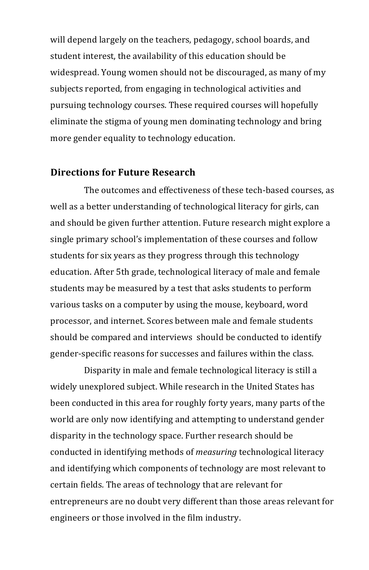will depend largely on the teachers, pedagogy, school boards, and student interest, the availability of this education should be widespread. Young women should not be discouraged, as many of my subjects reported, from engaging in technological activities and pursuing technology courses. These required courses will hopefully eliminate the stigma of young men dominating technology and bring more gender equality to technology education.

# **Directions for Future Research**

The outcomes and effectiveness of these tech-based courses, as well as a better understanding of technological literacy for girls, can and should be given further attention. Future research might explore a single primary school's implementation of these courses and follow students for six years as they progress through this technology education. After 5th grade, technological literacy of male and female students may be measured by a test that asks students to perform various tasks on a computer by using the mouse, keyboard, word processor, and internet. Scores between male and female students should be compared and interviews should be conducted to identify gender-specific reasons for successes and failures within the class.

Disparity in male and female technological literacy is still a widely unexplored subject. While research in the United States has been conducted in this area for roughly forty years, many parts of the world are only now identifying and attempting to understand gender disparity in the technology space. Further research should be conducted in identifying methods of *measuring* technological literacy and identifying which components of technology are most relevant to certain fields. The areas of technology that are relevant for entrepreneurs are no doubt very different than those areas relevant for engineers or those involved in the film industry.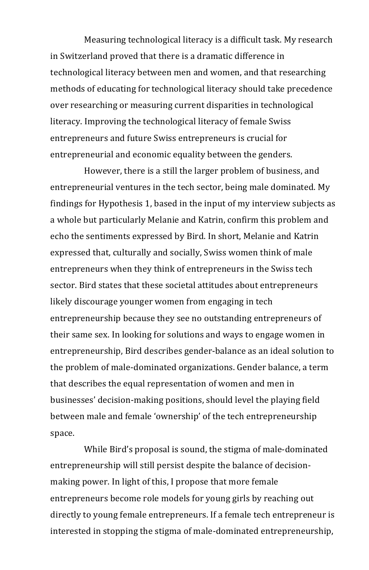Measuring technological literacy is a difficult task. My research in Switzerland proved that there is a dramatic difference in technological literacy between men and women, and that researching methods of educating for technological literacy should take precedence over researching or measuring current disparities in technological literacy. Improving the technological literacy of female Swiss entrepreneurs and future Swiss entrepreneurs is crucial for entrepreneurial and economic equality between the genders.

However, there is a still the larger problem of business, and entrepreneurial ventures in the tech sector, being male dominated. My findings for Hypothesis 1, based in the input of my interview subjects as a whole but particularly Melanie and Katrin, confirm this problem and echo the sentiments expressed by Bird. In short, Melanie and Katrin expressed that, culturally and socially, Swiss women think of male entrepreneurs when they think of entrepreneurs in the Swiss tech sector. Bird states that these societal attitudes about entrepreneurs likely discourage younger women from engaging in tech entrepreneurship because they see no outstanding entrepreneurs of their same sex. In looking for solutions and ways to engage women in entrepreneurship, Bird describes gender-balance as an ideal solution to the problem of male-dominated organizations. Gender balance, a term that describes the equal representation of women and men in businesses' decision-making positions, should level the playing field between male and female 'ownership' of the tech entrepreneurship space.

While Bird's proposal is sound, the stigma of male-dominated entrepreneurship will still persist despite the balance of decisionmaking power. In light of this, I propose that more female entrepreneurs become role models for young girls by reaching out directly to young female entrepreneurs. If a female tech entrepreneur is interested in stopping the stigma of male-dominated entrepreneurship,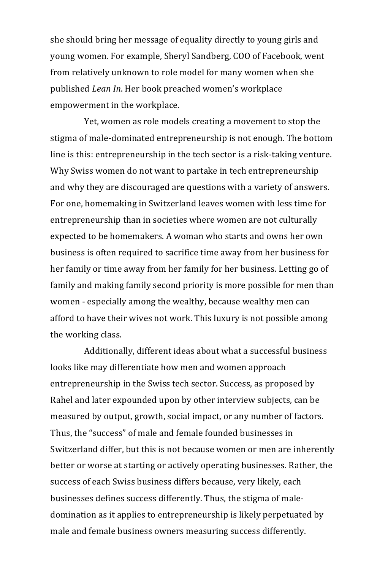she should bring her message of equality directly to young girls and young women. For example, Sheryl Sandberg, COO of Facebook, went from relatively unknown to role model for many women when she published *Lean In*. Her book preached women's workplace empowerment in the workplace.

Yet, women as role models creating a movement to stop the stigma of male-dominated entrepreneurship is not enough. The bottom line is this: entrepreneurship in the tech sector is a risk-taking venture. Why Swiss women do not want to partake in tech entrepreneurship and why they are discouraged are questions with a variety of answers. For one, homemaking in Switzerland leaves women with less time for entrepreneurship than in societies where women are not culturally expected to be homemakers. A woman who starts and owns her own business is often required to sacrifice time away from her business for her family or time away from her family for her business. Letting go of family and making family second priority is more possible for men than women - especially among the wealthy, because wealthy men can afford to have their wives not work. This luxury is not possible among the working class.

Additionally, different ideas about what a successful business looks like may differentiate how men and women approach entrepreneurship in the Swiss tech sector. Success, as proposed by Rahel and later expounded upon by other interview subjects, can be measured by output, growth, social impact, or any number of factors. Thus, the "success" of male and female founded businesses in Switzerland differ, but this is not because women or men are inherently better or worse at starting or actively operating businesses. Rather, the success of each Swiss business differs because, very likely, each businesses defines success differently. Thus, the stigma of maledomination as it applies to entrepreneurship is likely perpetuated by male and female business owners measuring success differently.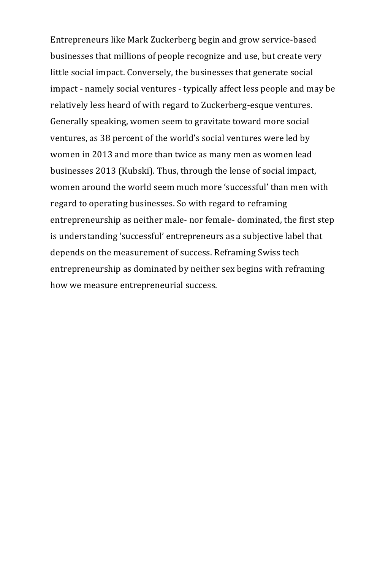Entrepreneurs like Mark Zuckerberg begin and grow service-based businesses that millions of people recognize and use, but create very little social impact. Conversely, the businesses that generate social impact - namely social ventures - typically affect less people and may be relatively less heard of with regard to Zuckerberg-esque ventures. Generally speaking, women seem to gravitate toward more social ventures, as 38 percent of the world's social ventures were led by women in 2013 and more than twice as many men as women lead businesses 2013 (Kubski). Thus, through the lense of social impact, women around the world seem much more 'successful' than men with regard to operating businesses. So with regard to reframing entrepreneurship as neither male- nor female- dominated, the first step is understanding 'successful' entrepreneurs as a subjective label that depends on the measurement of success. Reframing Swiss tech entrepreneurship as dominated by neither sex begins with reframing how we measure entrepreneurial success.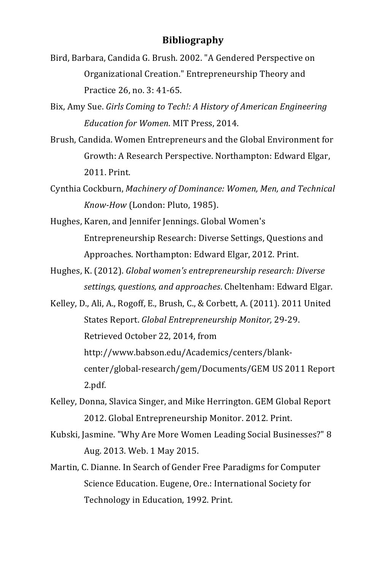## **Bibliography**

- Bird, Barbara, Candida G. Brush. 2002. "A Gendered Perspective on Organizational Creation." Entrepreneurship Theory and Practice 26, no. 3: 41-65.
- Bix, Amy Sue. Girls Coming to Tech!: A History of American Engineering *Education for Women*. MIT Press, 2014.
- Brush, Candida. Women Entrepreneurs and the Global Environment for Growth: A Research Perspective. Northampton: Edward Elgar, 2011. Print.
- Cynthia Cockburn, *Machinery of Dominance: Women, Men, and Technical Know-How* (London: Pluto, 1985).
- Hughes, Karen, and Jennifer Jennings. Global Women's Entrepreneurship Research: Diverse Settings, Questions and Approaches. Northampton: Edward Elgar, 2012. Print.
- Hughes, K. (2012). *Global women's entrepreneurship research: Diverse* settings, questions, and approaches. Cheltenham: Edward Elgar.
- Kelley, D., Ali, A., Rogoff, E., Brush, C., & Corbett, A. (2011). 2011 United States Report. *Global Entrepreneurship Monitor*, 29-29. Retrieved October 22, 2014, from http://www.babson.edu/Academics/centers/blankcenter/global-research/gem/Documents/GEM US 2011 Report 2.pdf.
- Kelley, Donna, Slavica Singer, and Mike Herrington. GEM Global Report 2012. Global Entrepreneurship Monitor. 2012. Print.
- Kubski, Jasmine. "Why Are More Women Leading Social Businesses?" 8 Aug. 2013. Web. 1 May 2015.
- Martin, C. Dianne. In Search of Gender Free Paradigms for Computer Science Education. Eugene, Ore.: International Society for Technology in Education, 1992. Print.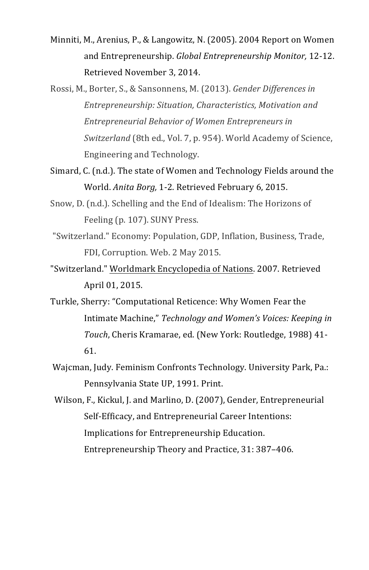- Minniti, M., Arenius, P., & Langowitz, N. (2005). 2004 Report on Women and Entrepreneurship. *Global Entrepreneurship Monitor*, 12-12. Retrieved November 3, 2014.
- Rossi, M., Borter, S., & Sansonnens, M. (2013). Gender Differences in *Entrepreneurship: Situation, Characteristics, Motivation and Entrepreneurial Behavior of Women Entrepreneurs in Switzerland* (8th ed., Vol. 7, p. 954). World Academy of Science, Engineering and Technology.
- Simard, C. (n.d.). The state of Women and Technology Fields around the World. Anita Borg, 1-2. Retrieved February 6, 2015.
- Snow, D. (n.d.). Schelling and the End of Idealism: The Horizons of Feeling (p. 107). SUNY Press.
- "Switzerland." Economy: Population, GDP, Inflation, Business, Trade, FDI, Corruption. Web. 2 May 2015.
- "Switzerland." Worldmark Encyclopedia of Nations. 2007. Retrieved April 01, 2015.
- Turkle, Sherry: "Computational Reticence: Why Women Fear the Intimate Machine," Technology and Women's Voices: Keeping in Touch, Cheris Kramarae, ed. (New York: Routledge, 1988) 41-61.
- Wajcman, Judy. Feminism Confronts Technology. University Park, Pa.: Pennsylvania State UP, 1991. Print.
- Wilson, F., Kickul, J. and Marlino, D. (2007), Gender, Entrepreneurial Self-Efficacy, and Entrepreneurial Career Intentions: Implications for Entrepreneurship Education. Entrepreneurship Theory and Practice, 31: 387-406.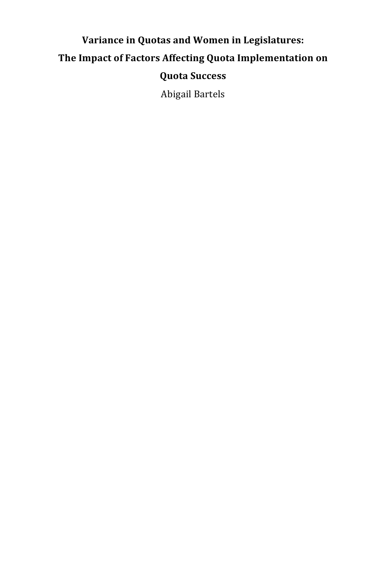# Variance in Quotas and Women in Legislatures: The Impact of Factors Affecting Quota Implementation on **Quota Success**

Abigail Bartels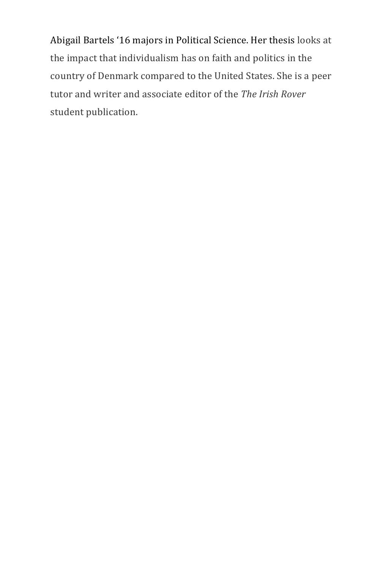Abigail Bartels '16 majors in Political Science. Her thesis looks at the impact that individualism has on faith and politics in the country of Denmark compared to the United States. She is a peer tutor and writer and associate editor of the *The Irish Rover* student publication.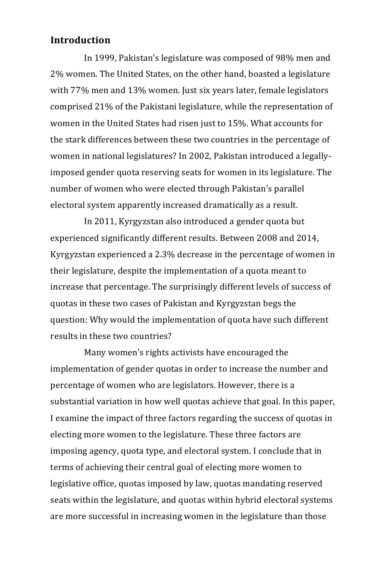### **Introduction**

In 1999, Pakistan's legislature was composed of 98% men and 2% women. The United States, on the other hand, boasted a legislature with 77% men and 13% women. Just six years later, female legislators comprised 21% of the Pakistani legislature, while the representation of women in the United States had risen just to 15%. What accounts for the stark differences between these two countries in the percentage of women in national legislatures? In 2002, Pakistan introduced a legallyimposed gender quota reserving seats for women in its legislature. The number of women who were elected through Pakistan's parallel electoral system apparently increased dramatically as a result.

In 2011, Kyrgyzstan also introduced a gender quota but experienced significantly different results. Between 2008 and 2014, Kyrgyzstan experienced a  $2.3\%$  decrease in the percentage of women in their legislature, despite the implementation of a quota meant to increase that percentage. The surprisingly different levels of success of quotas in these two cases of Pakistan and Kyrgyzstan begs the question: Why would the implementation of quota have such different results in these two countries?

Many women's rights activists have encouraged the implementation of gender quotas in order to increase the number and percentage of women who are legislators. However, there is a substantial variation in how well quotas achieve that goal. In this paper, I examine the impact of three factors regarding the success of quotas in electing more women to the legislature. These three factors are imposing agency, quota type, and electoral system. I conclude that in terms of achieving their central goal of electing more women to legislative office, quotas imposed by law, quotas mandating reserved seats within the legislature, and quotas within hybrid electoral systems are more successful in increasing women in the legislature than those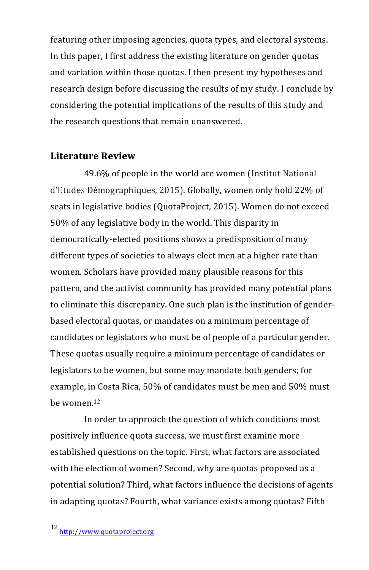featuring other imposing agencies, quota types, and electoral systems. In this paper, I first address the existing literature on gender quotas and variation within those quotas. I then present my hypotheses and research design before discussing the results of my study. I conclude by considering the potential implications of the results of this study and the research questions that remain unanswered.

# **Literature Review**

49.6% of people in the world are women (Institut National d'Etudes Démographiques, 2015). Globally, women only hold 22% of seats in legislative bodies (QuotaProject, 2015). Women do not exceed 50% of any legislative body in the world. This disparity in democratically-elected positions shows a predisposition of many different types of societies to always elect men at a higher rate than women. Scholars have provided many plausible reasons for this pattern, and the activist community has provided many potential plans to eliminate this discrepancy. One such plan is the institution of genderbased electoral quotas, or mandates on a minimum percentage of candidates or legislators who must be of people of a particular gender. These quotas usually require a minimum percentage of candidates or legislators to be women, but some may mandate both genders; for example, in Costa Rica, 50% of candidates must be men and 50% must be women.<sup>12</sup>

In order to approach the question of which conditions most positively influence quota success, we must first examine more established questions on the topic. First, what factors are associated with the election of women? Second, why are quotas proposed as a potential solution? Third, what factors influence the decisions of agents in adapting quotas? Fourth, what variance exists among quotas? Fifth

 <sup>12</sup> http://www.quotaproject.org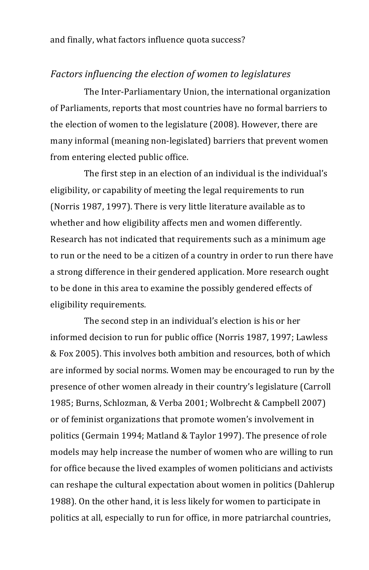# Factors influencing the election of women to legislatures

The Inter-Parliamentary Union, the international organization of Parliaments, reports that most countries have no formal barriers to the election of women to the legislature (2008). However, there are many informal (meaning non-legislated) barriers that prevent women from entering elected public office.

The first step in an election of an individual is the individual's eligibility, or capability of meeting the legal requirements to run (Norris 1987, 1997). There is very little literature available as to whether and how eligibility affects men and women differently. Research has not indicated that requirements such as a minimum age to run or the need to be a citizen of a country in order to run there have a strong difference in their gendered application. More research ought to be done in this area to examine the possibly gendered effects of eligibility requirements.

The second step in an individual's election is his or her informed decision to run for public office (Norris 1987, 1997; Lawless & Fox 2005). This involves both ambition and resources, both of which are informed by social norms. Women may be encouraged to run by the presence of other women already in their country's legislature (Carroll 1985; Burns, Schlozman, & Verba 2001; Wolbrecht & Campbell 2007) or of feminist organizations that promote women's involvement in politics (Germain 1994; Matland & Taylor 1997). The presence of role models may help increase the number of women who are willing to run for office because the lived examples of women politicians and activists can reshape the cultural expectation about women in politics (Dahlerup 1988). On the other hand, it is less likely for women to participate in politics at all, especially to run for office, in more patriarchal countries,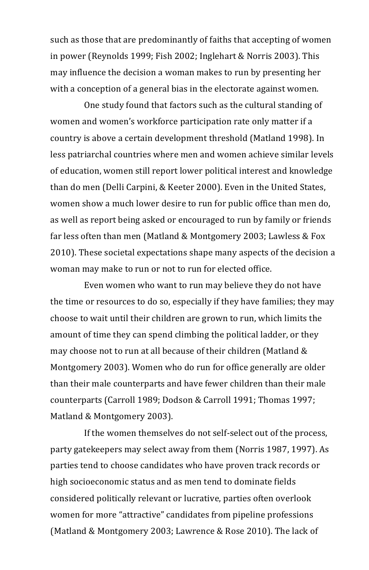such as those that are predominantly of faiths that accepting of women in power (Reynolds 1999; Fish 2002; Inglehart & Norris 2003). This may influence the decision a woman makes to run by presenting her with a conception of a general bias in the electorate against women.

One study found that factors such as the cultural standing of women and women's workforce participation rate only matter if a country is above a certain development threshold (Matland 1998). In less patriarchal countries where men and women achieve similar levels of education, women still report lower political interest and knowledge than do men (Delli Carpini, & Keeter 2000). Even in the United States, women show a much lower desire to run for public office than men do, as well as report being asked or encouraged to run by family or friends far less often than men (Matland & Montgomery 2003; Lawless & Fox 2010). These societal expectations shape many aspects of the decision a woman may make to run or not to run for elected office.

Even women who want to run may believe they do not have the time or resources to do so, especially if they have families; they may choose to wait until their children are grown to run, which limits the amount of time they can spend climbing the political ladder, or they may choose not to run at all because of their children (Matland  $&$ Montgomery 2003). Women who do run for office generally are older than their male counterparts and have fewer children than their male counterparts (Carroll 1989; Dodson & Carroll 1991; Thomas 1997; Matland & Montgomery 2003).

If the women themselves do not self-select out of the process, party gatekeepers may select away from them (Norris 1987, 1997). As parties tend to choose candidates who have proven track records or high socioeconomic status and as men tend to dominate fields considered politically relevant or lucrative, parties often overlook women for more "attractive" candidates from pipeline professions (Matland & Montgomery 2003; Lawrence & Rose 2010). The lack of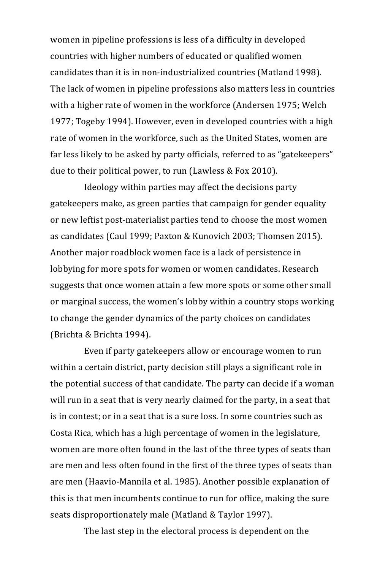women in pipeline professions is less of a difficulty in developed countries with higher numbers of educated or qualified women candidates than it is in non-industrialized countries (Matland 1998). The lack of women in pipeline professions also matters less in countries with a higher rate of women in the workforce (Andersen 1975; Welch 1977; Togeby 1994). However, even in developed countries with a high rate of women in the workforce, such as the United States, women are far less likely to be asked by party officials, referred to as "gatekeepers" due to their political power, to run (Lawless  $&$  Fox 2010).

Ideology within parties may affect the decisions party gatekeepers make, as green parties that campaign for gender equality or new leftist post-materialist parties tend to choose the most women as candidates (Caul 1999; Paxton & Kunovich 2003; Thomsen 2015). Another major roadblock women face is a lack of persistence in lobbying for more spots for women or women candidates. Research suggests that once women attain a few more spots or some other small or marginal success, the women's lobby within a country stops working to change the gender dynamics of the party choices on candidates (Brichta & Brichta 1994).

Even if party gatekeepers allow or encourage women to run within a certain district, party decision still plays a significant role in the potential success of that candidate. The party can decide if a woman will run in a seat that is very nearly claimed for the party, in a seat that is in contest; or in a seat that is a sure loss. In some countries such as Costa Rica, which has a high percentage of women in the legislature, women are more often found in the last of the three types of seats than are men and less often found in the first of the three types of seats than are men (Haavio-Mannila et al. 1985). Another possible explanation of this is that men incumbents continue to run for office, making the sure seats disproportionately male (Matland & Taylor 1997).

The last step in the electoral process is dependent on the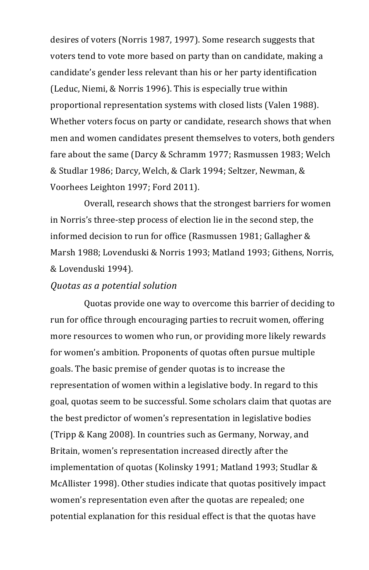desires of voters (Norris 1987, 1997). Some research suggests that voters tend to vote more based on party than on candidate, making a candidate's gender less relevant than his or her party identification (Leduc, Niemi, & Norris 1996). This is especially true within proportional representation systems with closed lists (Valen 1988). Whether voters focus on party or candidate, research shows that when men and women candidates present themselves to voters, both genders fare about the same (Darcy & Schramm 1977; Rasmussen 1983; Welch & Studlar 1986; Darcy, Welch, & Clark 1994; Seltzer, Newman, & Voorhees Leighton 1997; Ford 2011).

Overall, research shows that the strongest barriers for women in Norris's three-step process of election lie in the second step, the informed decision to run for office (Rasmussen 1981; Gallagher & Marsh 1988; Lovenduski & Norris 1993; Matland 1993; Githens, Norris, & Lovenduski 1994).

## *Quotas as a potential solution*

Quotas provide one way to overcome this barrier of deciding to run for office through encouraging parties to recruit women, offering more resources to women who run, or providing more likely rewards for women's ambition. Proponents of quotas often pursue multiple goals. The basic premise of gender quotas is to increase the representation of women within a legislative body. In regard to this goal, quotas seem to be successful. Some scholars claim that quotas are the best predictor of women's representation in legislative bodies (Tripp & Kang 2008). In countries such as Germany, Norway, and Britain, women's representation increased directly after the implementation of quotas (Kolinsky 1991; Matland 1993; Studlar & McAllister 1998). Other studies indicate that quotas positively impact women's representation even after the quotas are repealed; one potential explanation for this residual effect is that the quotas have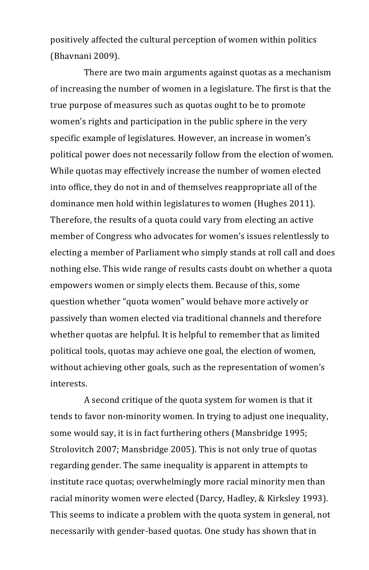positively affected the cultural perception of women within politics (Bhavnani 2009). 

There are two main arguments against quotas as a mechanism of increasing the number of women in a legislature. The first is that the true purpose of measures such as quotas ought to be to promote women's rights and participation in the public sphere in the very specific example of legislatures. However, an increase in women's political power does not necessarily follow from the election of women. While quotas may effectively increase the number of women elected into office, they do not in and of themselves reappropriate all of the dominance men hold within legislatures to women (Hughes 2011). Therefore, the results of a quota could vary from electing an active member of Congress who advocates for women's issues relentlessly to electing a member of Parliament who simply stands at roll call and does nothing else. This wide range of results casts doubt on whether a quota empowers women or simply elects them. Because of this, some question whether "quota women" would behave more actively or passively than women elected via traditional channels and therefore whether quotas are helpful. It is helpful to remember that as limited political tools, quotas may achieve one goal, the election of women, without achieving other goals, such as the representation of women's interests.

A second critique of the quota system for women is that it tends to favor non-minority women. In trying to adjust one inequality, some would say, it is in fact furthering others (Mansbridge 1995; Strolovitch 2007; Mansbridge 2005). This is not only true of quotas regarding gender. The same inequality is apparent in attempts to institute race quotas; overwhelmingly more racial minority men than racial minority women were elected (Darcy, Hadley, & Kirksley 1993). This seems to indicate a problem with the quota system in general, not necessarily with gender-based quotas. One study has shown that in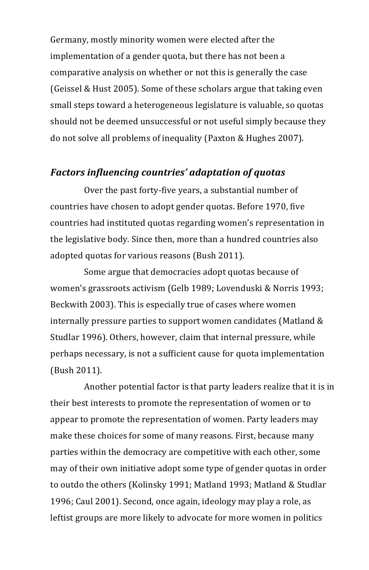Germany, mostly minority women were elected after the implementation of a gender quota, but there has not been a comparative analysis on whether or not this is generally the case (Geissel & Hust 2005). Some of these scholars argue that taking even small steps toward a heterogeneous legislature is valuable, so quotas should not be deemed unsuccessful or not useful simply because they do not solve all problems of inequality (Paxton & Hughes 2007).

# Factors influencing countries' adaptation of quotas

Over the past forty-five years, a substantial number of countries have chosen to adopt gender quotas. Before 1970, five countries had instituted quotas regarding women's representation in the legislative body. Since then, more than a hundred countries also adopted quotas for various reasons (Bush 2011).

Some argue that democracies adopt quotas because of women's grassroots activism (Gelb 1989; Lovenduski & Norris 1993; Beckwith 2003). This is especially true of cases where women internally pressure parties to support women candidates (Matland  $&$ Studlar 1996). Others, however, claim that internal pressure, while perhaps necessary, is not a sufficient cause for quota implementation (Bush 2011).

Another potential factor is that party leaders realize that it is in their best interests to promote the representation of women or to appear to promote the representation of women. Party leaders may make these choices for some of many reasons. First, because many parties within the democracy are competitive with each other, some may of their own initiative adopt some type of gender quotas in order to outdo the others (Kolinsky 1991; Matland 1993; Matland & Studlar 1996; Caul 2001). Second, once again, ideology may play a role, as leftist groups are more likely to advocate for more women in politics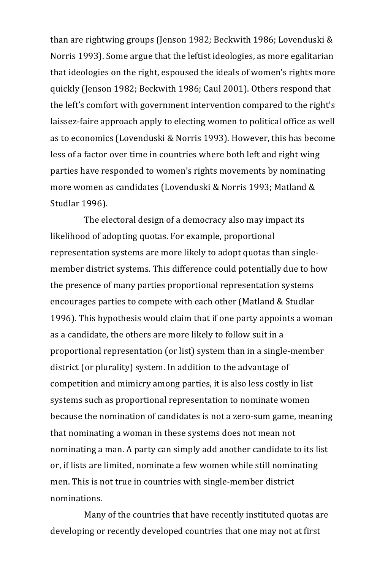than are rightwing groups (Jenson 1982; Beckwith 1986; Lovenduski  $&$ Norris 1993). Some argue that the leftist ideologies, as more egalitarian that ideologies on the right, espoused the ideals of women's rights more quickly (Jenson 1982; Beckwith 1986; Caul 2001). Others respond that the left's comfort with government intervention compared to the right's laissez-faire approach apply to electing women to political office as well as to economics (Lovenduski & Norris 1993). However, this has become less of a factor over time in countries where both left and right wing parties have responded to women's rights movements by nominating more women as candidates (Lovenduski & Norris 1993; Matland & Studlar 1996).

The electoral design of a democracy also may impact its likelihood of adopting quotas. For example, proportional representation systems are more likely to adopt quotas than singlemember district systems. This difference could potentially due to how the presence of many parties proportional representation systems encourages parties to compete with each other (Matland & Studlar 1996). This hypothesis would claim that if one party appoints a woman as a candidate, the others are more likely to follow suit in a proportional representation (or list) system than in a single-member district (or plurality) system. In addition to the advantage of competition and mimicry among parties, it is also less costly in list systems such as proportional representation to nominate women because the nomination of candidates is not a zero-sum game, meaning that nominating a woman in these systems does not mean not nominating a man. A party can simply add another candidate to its list or, if lists are limited, nominate a few women while still nominating men. This is not true in countries with single-member district nominations.

Many of the countries that have recently instituted quotas are developing or recently developed countries that one may not at first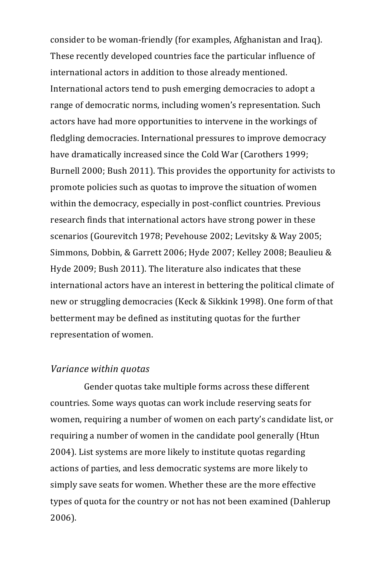consider to be woman-friendly (for examples, Afghanistan and Iraq). These recently developed countries face the particular influence of international actors in addition to those already mentioned. International actors tend to push emerging democracies to adopt a range of democratic norms, including women's representation. Such actors have had more opportunities to intervene in the workings of fledgling democracies. International pressures to improve democracy have dramatically increased since the Cold War (Carothers 1999; Burnell 2000; Bush 2011). This provides the opportunity for activists to promote policies such as quotas to improve the situation of women within the democracy, especially in post-conflict countries. Previous research finds that international actors have strong power in these scenarios (Gourevitch 1978; Pevehouse 2002; Levitsky & Way 2005; Simmons, Dobbin, & Garrett 2006; Hyde 2007; Kelley 2008; Beaulieu & Hyde 2009; Bush 2011). The literature also indicates that these international actors have an interest in bettering the political climate of new or struggling democracies (Keck & Sikkink 1998). One form of that betterment may be defined as instituting quotas for the further representation of women.

## *Variance within quotas*

Gender quotas take multiple forms across these different countries. Some ways quotas can work include reserving seats for women, requiring a number of women on each party's candidate list, or requiring a number of women in the candidate pool generally (Htun 2004). List systems are more likely to institute quotas regarding actions of parties, and less democratic systems are more likely to simply save seats for women. Whether these are the more effective types of quota for the country or not has not been examined (Dahlerup 2006).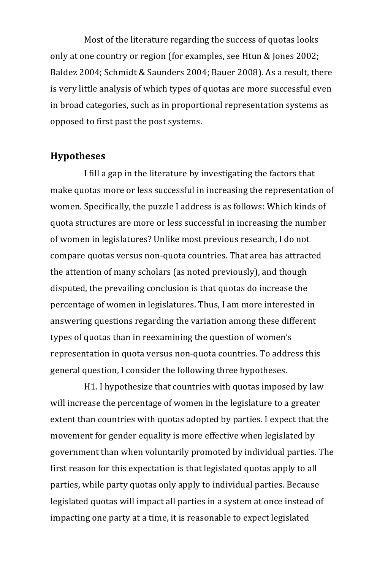Most of the literature regarding the success of quotas looks only at one country or region (for examples, see Htun & Jones 2002; Baldez 2004; Schmidt & Saunders 2004; Bauer 2008). As a result, there is very little analysis of which types of quotas are more successful even in broad categories, such as in proportional representation systems as opposed to first past the post systems.

## **Hypotheses**

I fill a gap in the literature by investigating the factors that make quotas more or less successful in increasing the representation of women. Specifically, the puzzle I address is as follows: Which kinds of quota structures are more or less successful in increasing the number of women in legislatures? Unlike most previous research, I do not compare quotas versus non-quota countries. That area has attracted the attention of many scholars (as noted previously), and though disputed, the prevailing conclusion is that quotas do increase the percentage of women in legislatures. Thus, I am more interested in answering questions regarding the variation among these different types of quotas than in reexamining the question of women's representation in quota versus non-quota countries. To address this general question, I consider the following three hypotheses.

H1. I hypothesize that countries with quotas imposed by law will increase the percentage of women in the legislature to a greater extent than countries with quotas adopted by parties. I expect that the movement for gender equality is more effective when legislated by government than when voluntarily promoted by individual parties. The first reason for this expectation is that legislated quotas apply to all parties, while party quotas only apply to individual parties. Because legislated quotas will impact all parties in a system at once instead of impacting one party at a time, it is reasonable to expect legislated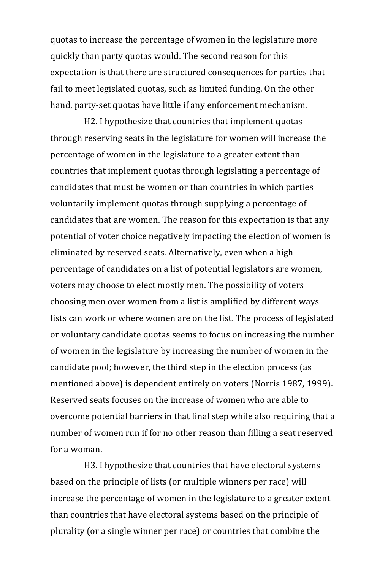quotas to increase the percentage of women in the legislature more quickly than party quotas would. The second reason for this expectation is that there are structured consequences for parties that fail to meet legislated quotas, such as limited funding. On the other hand, party-set quotas have little if any enforcement mechanism.

H2. I hypothesize that countries that implement quotas through reserving seats in the legislature for women will increase the percentage of women in the legislature to a greater extent than countries that implement quotas through legislating a percentage of candidates that must be women or than countries in which parties voluntarily implement quotas through supplying a percentage of candidates that are women. The reason for this expectation is that any potential of voter choice negatively impacting the election of women is eliminated by reserved seats. Alternatively, even when a high percentage of candidates on a list of potential legislators are women, voters may choose to elect mostly men. The possibility of voters choosing men over women from a list is amplified by different ways lists can work or where women are on the list. The process of legislated or voluntary candidate quotas seems to focus on increasing the number of women in the legislature by increasing the number of women in the candidate pool; however, the third step in the election process (as mentioned above) is dependent entirely on voters (Norris 1987, 1999). Reserved seats focuses on the increase of women who are able to overcome potential barriers in that final step while also requiring that a number of women run if for no other reason than filling a seat reserved for a woman

H3. I hypothesize that countries that have electoral systems based on the principle of lists (or multiple winners per race) will increase the percentage of women in the legislature to a greater extent than countries that have electoral systems based on the principle of plurality (or a single winner per race) or countries that combine the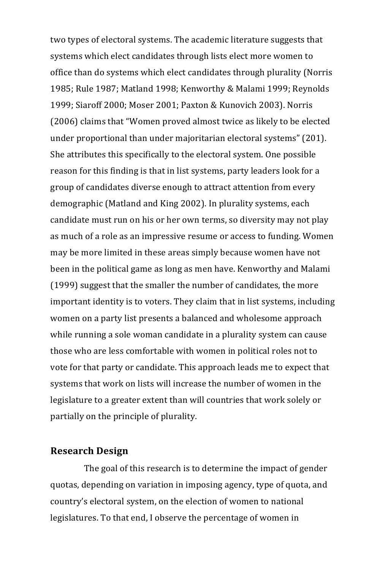two types of electoral systems. The academic literature suggests that systems which elect candidates through lists elect more women to office than do systems which elect candidates through plurality (Norris 1985; Rule 1987; Matland 1998; Kenworthy & Malami 1999; Reynolds 1999; Siaroff 2000; Moser 2001; Paxton & Kunovich 2003). Norris (2006) claims that "Women proved almost twice as likely to be elected under proportional than under majoritarian electoral systems" (201). She attributes this specifically to the electoral system. One possible reason for this finding is that in list systems, party leaders look for a group of candidates diverse enough to attract attention from every demographic (Matland and King 2002). In plurality systems, each candidate must run on his or her own terms, so diversity may not play as much of a role as an impressive resume or access to funding. Women may be more limited in these areas simply because women have not been in the political game as long as men have. Kenworthy and Malami (1999) suggest that the smaller the number of candidates, the more important identity is to voters. They claim that in list systems, including women on a party list presents a balanced and wholesome approach while running a sole woman candidate in a plurality system can cause those who are less comfortable with women in political roles not to vote for that party or candidate. This approach leads me to expect that systems that work on lists will increase the number of women in the legislature to a greater extent than will countries that work solely or partially on the principle of plurality.

## **Research Design**

The goal of this research is to determine the impact of gender quotas, depending on variation in imposing agency, type of quota, and country's electoral system, on the election of women to national legislatures. To that end, I observe the percentage of women in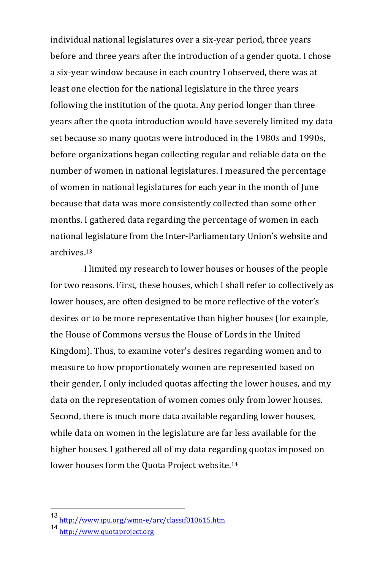individual national legislatures over a six-year period, three years before and three years after the introduction of a gender quota. I chose a six-year window because in each country I observed, there was at least one election for the national legislature in the three years following the institution of the quota. Any period longer than three years after the quota introduction would have severely limited my data set because so many quotas were introduced in the 1980s and 1990s, before organizations began collecting regular and reliable data on the number of women in national legislatures. I measured the percentage of women in national legislatures for each year in the month of June because that data was more consistently collected than some other months. I gathered data regarding the percentage of women in each national legislature from the Inter-Parliamentary Union's website and archives.13

I limited my research to lower houses or houses of the people for two reasons. First, these houses, which I shall refer to collectively as lower houses, are often designed to be more reflective of the voter's desires or to be more representative than higher houses (for example, the House of Commons versus the House of Lords in the United Kingdom). Thus, to examine voter's desires regarding women and to measure to how proportionately women are represented based on their gender, I only included quotas affecting the lower houses, and my data on the representation of women comes only from lower houses. Second, there is much more data available regarding lower houses, while data on women in the legislature are far less available for the higher houses. I gathered all of my data regarding quotas imposed on lower houses form the Quota Project website.<sup>14</sup>

 <sup>13</sup> http://www.ipu.org/wmn-e/arc/classif010615.htm

http://www.quotaproject.org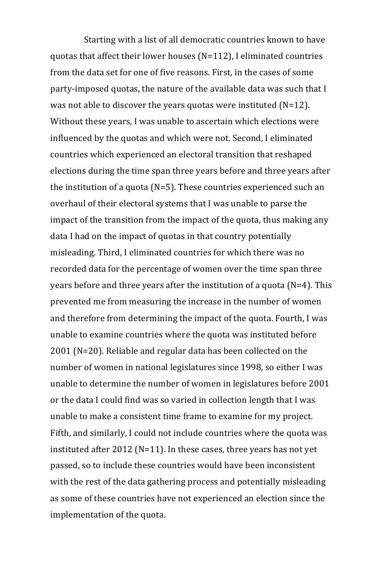Starting with a list of all democratic countries known to have quotas that affect their lower houses  $(N=112)$ , I eliminated countries from the data set for one of five reasons. First, in the cases of some party-imposed quotas, the nature of the available data was such that I was not able to discover the years quotas were instituted  $(N=12)$ . Without these years, I was unable to ascertain which elections were influenced by the quotas and which were not. Second, I eliminated countries which experienced an electoral transition that reshaped elections during the time span three years before and three years after the institution of a quota (N=5). These countries experienced such an overhaul of their electoral systems that I was unable to parse the impact of the transition from the impact of the quota, thus making any data I had on the impact of quotas in that country potentially misleading. Third, I eliminated countries for which there was no recorded data for the percentage of women over the time span three years before and three years after the institution of a quota  $(N=4)$ . This prevented me from measuring the increase in the number of women and therefore from determining the impact of the quota. Fourth, I was unable to examine countries where the quota was instituted before  $2001$  (N=20). Reliable and regular data has been collected on the number of women in national legislatures since 1998, so either I was unable to determine the number of women in legislatures before 2001 or the data I could find was so varied in collection length that I was unable to make a consistent time frame to examine for my project. Fifth, and similarly, I could not include countries where the quota was instituted after  $2012$  (N=11). In these cases, three years has not yet passed, so to include these countries would have been inconsistent with the rest of the data gathering process and potentially misleading as some of these countries have not experienced an election since the implementation of the quota.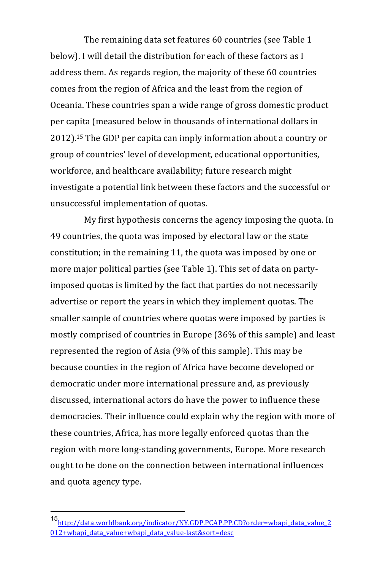The remaining data set features 60 countries (see Table 1 below). I will detail the distribution for each of these factors as I address them. As regards region, the majority of these 60 countries comes from the region of Africa and the least from the region of Oceania. These countries span a wide range of gross domestic product per capita (measured below in thousands of international dollars in 2012).<sup>15</sup> The GDP per capita can imply information about a country or group of countries' level of development, educational opportunities, workforce, and healthcare availability; future research might investigate a potential link between these factors and the successful or unsuccessful implementation of quotas.

My first hypothesis concerns the agency imposing the quota. In 49 countries, the quota was imposed by electoral law or the state constitution; in the remaining 11, the quota was imposed by one or more major political parties (see Table 1). This set of data on partyimposed quotas is limited by the fact that parties do not necessarily advertise or report the years in which they implement quotas. The smaller sample of countries where quotas were imposed by parties is mostly comprised of countries in Europe (36% of this sample) and least represented the region of Asia (9% of this sample). This may be because counties in the region of Africa have become developed or democratic under more international pressure and, as previously discussed, international actors do have the power to influence these democracies. Their influence could explain why the region with more of these countries, Africa, has more legally enforced quotas than the region with more long-standing governments, Europe. More research ought to be done on the connection between international influences and quota agency type.

<sup>15&</sup>lt;br>http://data.worldbank.org/indicator/NY.GDP.PCAP.PP.CD?order=wbapi\_data\_value\_2 012+wbapi\_data\_value+wbapi\_data\_value-last&sort=desc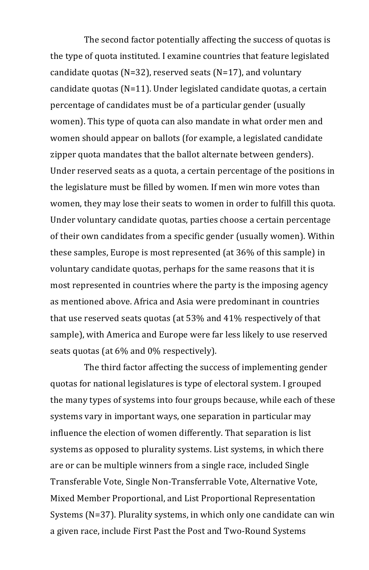The second factor potentially affecting the success of quotas is the type of quota instituted. I examine countries that feature legislated candidate quotas (N=32), reserved seats (N=17), and voluntary candidate quotas ( $N=11$ ). Under legislated candidate quotas, a certain percentage of candidates must be of a particular gender (usually women). This type of quota can also mandate in what order men and women should appear on ballots (for example, a legislated candidate zipper quota mandates that the ballot alternate between genders). Under reserved seats as a quota, a certain percentage of the positions in the legislature must be filled by women. If men win more votes than women, they may lose their seats to women in order to fulfill this quota. Under voluntary candidate quotas, parties choose a certain percentage of their own candidates from a specific gender (usually women). Within these samples, Europe is most represented (at 36% of this sample) in voluntary candidate quotas, perhaps for the same reasons that it is most represented in countries where the party is the imposing agency as mentioned above. Africa and Asia were predominant in countries that use reserved seats quotas (at  $53\%$  and  $41\%$  respectively of that sample), with America and Europe were far less likely to use reserved seats quotas (at  $6\%$  and  $0\%$  respectively).

The third factor affecting the success of implementing gender quotas for national legislatures is type of electoral system. I grouped the many types of systems into four groups because, while each of these systems vary in important ways, one separation in particular may influence the election of women differently. That separation is list systems as opposed to plurality systems. List systems, in which there are or can be multiple winners from a single race, included Single Transferable Vote, Single Non-Transferrable Vote, Alternative Vote, Mixed Member Proportional, and List Proportional Representation Systems ( $N=37$ ). Plurality systems, in which only one candidate can win a given race, include First Past the Post and Two-Round Systems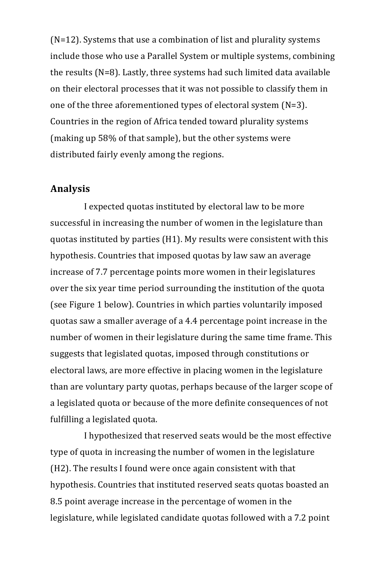$(N=12)$ . Systems that use a combination of list and plurality systems include those who use a Parallel System or multiple systems, combining the results (N=8). Lastly, three systems had such limited data available on their electoral processes that it was not possible to classify them in one of the three aforementioned types of electoral system (N=3). Countries in the region of Africa tended toward plurality systems (making up 58% of that sample), but the other systems were distributed fairly evenly among the regions.

## **Analysis**

I expected quotas instituted by electoral law to be more successful in increasing the number of women in the legislature than quotas instituted by parties (H1). My results were consistent with this hypothesis. Countries that imposed quotas by law saw an average increase of 7.7 percentage points more women in their legislatures over the six year time period surrounding the institution of the quota (see Figure 1 below). Countries in which parties voluntarily imposed quotas saw a smaller average of a 4.4 percentage point increase in the number of women in their legislature during the same time frame. This suggests that legislated quotas, imposed through constitutions or electoral laws, are more effective in placing women in the legislature than are voluntary party quotas, perhaps because of the larger scope of a legislated quota or because of the more definite consequences of not fulfilling a legislated quota.

I hypothesized that reserved seats would be the most effective type of quota in increasing the number of women in the legislature (H2). The results I found were once again consistent with that hypothesis. Countries that instituted reserved seats quotas boasted an 8.5 point average increase in the percentage of women in the legislature, while legislated candidate quotas followed with a 7.2 point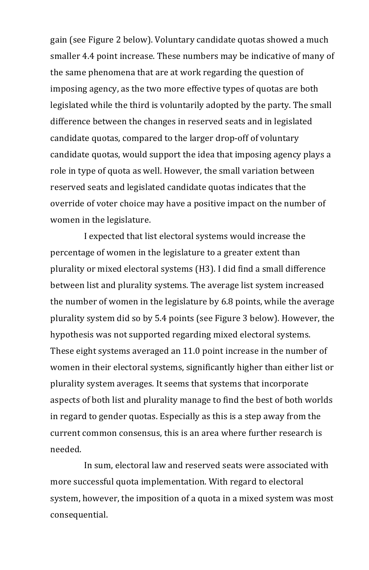gain (see Figure 2 below). Voluntary candidate quotas showed a much smaller 4.4 point increase. These numbers may be indicative of many of the same phenomena that are at work regarding the question of imposing agency, as the two more effective types of quotas are both legislated while the third is voluntarily adopted by the party. The small difference between the changes in reserved seats and in legislated candidate quotas, compared to the larger drop-off of voluntary candidate quotas, would support the idea that imposing agency plays a role in type of quota as well. However, the small variation between reserved seats and legislated candidate quotas indicates that the override of voter choice may have a positive impact on the number of women in the legislature.

I expected that list electoral systems would increase the percentage of women in the legislature to a greater extent than plurality or mixed electoral systems (H3). I did find a small difference between list and plurality systems. The average list system increased the number of women in the legislature by 6.8 points, while the average plurality system did so by 5.4 points (see Figure 3 below). However, the hypothesis was not supported regarding mixed electoral systems. These eight systems averaged an 11.0 point increase in the number of women in their electoral systems, significantly higher than either list or plurality system averages. It seems that systems that incorporate aspects of both list and plurality manage to find the best of both worlds in regard to gender quotas. Especially as this is a step away from the current common consensus, this is an area where further research is needed.

In sum, electoral law and reserved seats were associated with more successful quota implementation. With regard to electoral system, however, the imposition of a quota in a mixed system was most consequential.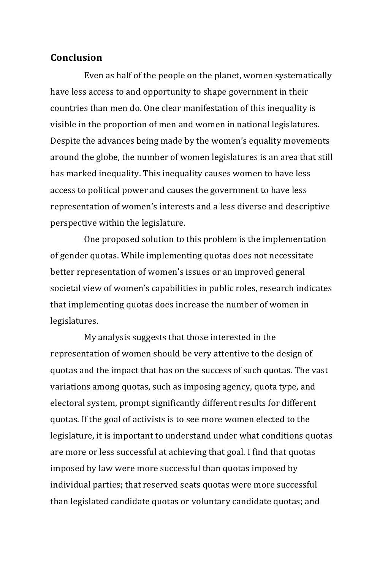## **Conclusion**

Even as half of the people on the planet, women systematically have less access to and opportunity to shape government in their countries than men do. One clear manifestation of this inequality is visible in the proportion of men and women in national legislatures. Despite the advances being made by the women's equality movements around the globe, the number of women legislatures is an area that still has marked inequality. This inequality causes women to have less access to political power and causes the government to have less representation of women's interests and a less diverse and descriptive perspective within the legislature.

One proposed solution to this problem is the implementation of gender quotas. While implementing quotas does not necessitate better representation of women's issues or an improved general societal view of women's capabilities in public roles, research indicates that implementing quotas does increase the number of women in legislatures. 

My analysis suggests that those interested in the representation of women should be very attentive to the design of quotas and the impact that has on the success of such quotas. The vast variations among quotas, such as imposing agency, quota type, and electoral system, prompt significantly different results for different quotas. If the goal of activists is to see more women elected to the legislature, it is important to understand under what conditions quotas are more or less successful at achieving that goal. I find that quotas imposed by law were more successful than quotas imposed by individual parties; that reserved seats quotas were more successful than legislated candidate quotas or voluntary candidate quotas; and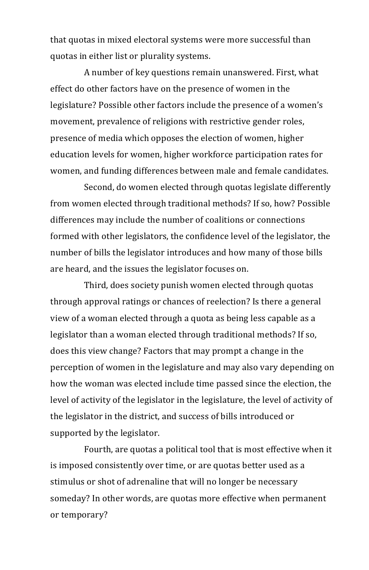that quotas in mixed electoral systems were more successful than quotas in either list or plurality systems.

A number of key questions remain unanswered. First, what effect do other factors have on the presence of women in the legislature? Possible other factors include the presence of a women's movement, prevalence of religions with restrictive gender roles, presence of media which opposes the election of women, higher education levels for women, higher workforce participation rates for women, and funding differences between male and female candidates.

Second, do women elected through quotas legislate differently from women elected through traditional methods? If so, how? Possible differences may include the number of coalitions or connections formed with other legislators, the confidence level of the legislator, the number of bills the legislator introduces and how many of those bills are heard, and the issues the legislator focuses on.

Third, does society punish women elected through quotas through approval ratings or chances of reelection? Is there a general view of a woman elected through a quota as being less capable as a legislator than a woman elected through traditional methods? If so, does this view change? Factors that may prompt a change in the perception of women in the legislature and may also vary depending on how the woman was elected include time passed since the election, the level of activity of the legislator in the legislature, the level of activity of the legislator in the district, and success of bills introduced or supported by the legislator.

Fourth, are quotas a political tool that is most effective when it is imposed consistently over time, or are quotas better used as a stimulus or shot of adrenaline that will no longer be necessary someday? In other words, are quotas more effective when permanent or temporary?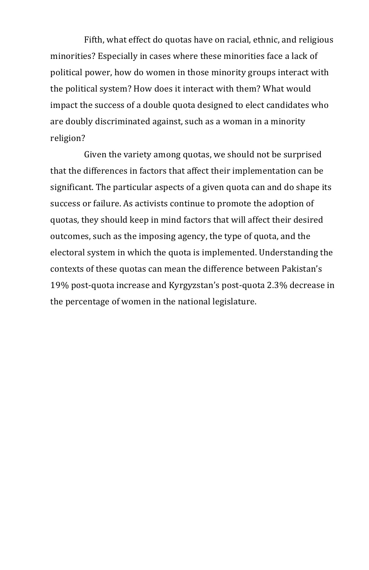Fifth, what effect do quotas have on racial, ethnic, and religious minorities? Especially in cases where these minorities face a lack of political power, how do women in those minority groups interact with the political system? How does it interact with them? What would impact the success of a double quota designed to elect candidates who are doubly discriminated against, such as a woman in a minority religion?

Given the variety among quotas, we should not be surprised that the differences in factors that affect their implementation can be significant. The particular aspects of a given quota can and do shape its success or failure. As activists continue to promote the adoption of quotas, they should keep in mind factors that will affect their desired outcomes, such as the imposing agency, the type of quota, and the electoral system in which the quota is implemented. Understanding the contexts of these quotas can mean the difference between Pakistan's 19% post-quota increase and Kyrgyzstan's post-quota 2.3% decrease in the percentage of women in the national legislature.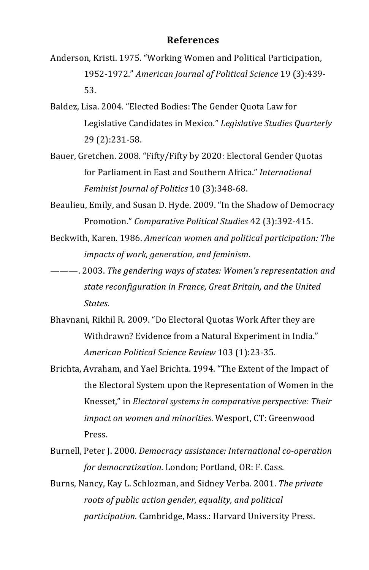#### **References**

- Anderson, Kristi. 1975. "Working Women and Political Participation, 1952-1972." *American Journal of Political Science* 19 (3):439- 53.
- Baldez, Lisa. 2004. "Elected Bodies: The Gender Quota Law for Legislative Candidates in Mexico." Legislative Studies Quarterly 29 (2):231-58.
- Bauer, Gretchen. 2008. "Fifty/Fifty by 2020: Electoral Gender Quotas for Parliament in East and Southern Africa." International *Feminist Journal of Politics* 10 (3):348-68.
- Beaulieu, Emily, and Susan D. Hyde. 2009. "In the Shadow of Democracy Promotion." *Comparative Political Studies* 42 (3):392-415.
- Beckwith, Karen. 1986. *American women and political participation: The impacts of work, generation, and feminism*.
- ———. 2003. *The gendering ways of states: Women's representation and* state reconfiguration in France, Great Britain, and the United *States*.
- Bhavnani, Rikhil R. 2009. "Do Electoral Quotas Work After they are Withdrawn? Evidence from a Natural Experiment in India." *American Political Science Review* 103 (1):23-35.
- Brichta, Avraham, and Yael Brichta. 1994. "The Extent of the Impact of the Electoral System upon the Representation of Women in the Knesset," in *Electoral systems in comparative perspective: Their* impact on women and minorities. Wesport, CT: Greenwood Press.
- Burnell, Peter J. 2000. *Democracy assistance: International co-operation for democratization.* London; Portland, OR: F. Cass.
- Burns, Nancy, Kay L. Schlozman, and Sidney Verba. 2001. The private roots of public action gender, equality, and political *participation.* Cambridge, Mass.: Harvard University Press.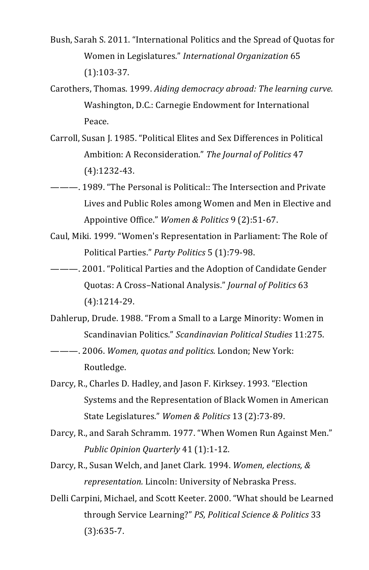- Bush, Sarah S. 2011. "International Politics and the Spread of Ouotas for Women in Legislatures." *International Organization* 65 (1):103-37.
- Carothers, Thomas. 1999. Aiding democracy abroad: The learning curve. Washington, D.C.: Carnegie Endowment for International Peace.
- Carroll, Susan J. 1985. "Political Elites and Sex Differences in Political Ambition: A Reconsideration." The *Journal of Politics* 47 (4):1232-43.
- ———. 1989. "The Personal is Political:: The Intersection and Private Lives and Public Roles among Women and Men in Elective and Appointive Office." *Women & Politics* 9 (2):51-67.
- Caul, Miki. 1999. "Women's Representation in Parliament: The Role of Political Parties." Party Politics 5 (1):79-98.
- ———. 2001. "Political Parties and the Adoption of Candidate Gender Quotas: A Cross–National Analysis." *Journal of Politics* 63 (4):1214-29.
- Dahlerup, Drude. 1988. "From a Small to a Large Minority: Women in Scandinavian Politics." *Scandinavian Political Studies* 11:275.
- ———. 2006. *Women, quotas and politics.* London; New York: Routledge.
- Darcy, R., Charles D. Hadley, and Jason F. Kirksey. 1993. "Election Systems and the Representation of Black Women in American State Legislatures." Women & Politics 13 (2):73-89.
- Darcy, R., and Sarah Schramm. 1977. "When Women Run Against Men." *Public Opinion Quarterly* 41 (1):1-12.
- Darcy, R., Susan Welch, and Janet Clark. 1994. *Women, elections, & representation.* Lincoln: University of Nebraska Press.
- Delli Carpini, Michael, and Scott Keeter, 2000. "What should be Learned through Service Learning?" *PS, Political Science & Politics* 33 (3):635-7.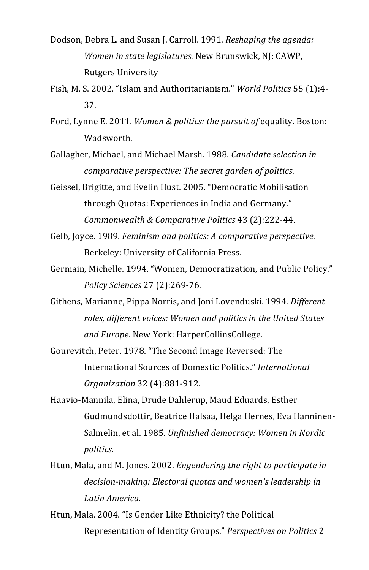- Dodson, Debra L. and Susan J. Carroll. 1991. *Reshaping the gaenda: Women in state legislatures.* New Brunswick, NJ: CAWP, Rutgers University
- Fish, M. S. 2002. "Islam and Authoritarianism." World Politics 55 (1):4-37.
- Ford, Lynne E. 2011. *Women & politics: the pursuit of equality*. Boston: Wadsworth.
- Gallagher, Michael, and Michael Marsh. 1988. *Candidate selection in comparative perspective: The secret garden of politics.*
- Geissel, Brigitte, and Evelin Hust. 2005. "Democratic Mobilisation through Quotas: Experiences in India and Germany." *Commonwealth & Comparative Politics* 43 (2):222-44.
- Gelb, Joyce. 1989. *Feminism and politics: A comparative perspective.* Berkeley: University of California Press.
- Germain, Michelle. 1994. "Women, Democratization, and Public Policy." *Policy Sciences* 27 (2):269-76.
- Githens, Marianne, Pippa Norris, and Joni Lovenduski. 1994. *Different* roles, different voices: Women and politics in the United States and *Europe*. New York: HarperCollinsCollege.
- Gourevitch, Peter. 1978. "The Second Image Reversed: The International Sources of Domestic Politics." *International Organization* 32 (4):881-912.
- Haavio-Mannila, Elina, Drude Dahlerup, Maud Eduards, Esther Gudmundsdottir, Beatrice Halsaa, Helga Hernes, Eva Hanninen-Salmelin, et al. 1985. *Unfinished democracy: Women in Nordic politics*.
- Htun, Mala, and M. Jones. 2002. *Engendering the right to participate in* decision-making: Electoral quotas and women's leadership in *Latin America*.
- Htun, Mala. 2004. "Is Gender Like Ethnicity? the Political Representation of Identity Groups." *Perspectives on Politics* 2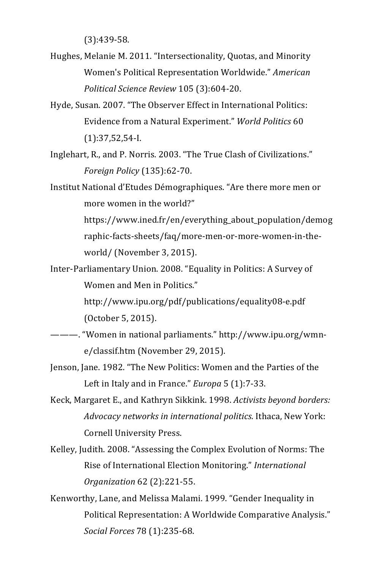(3):439-58.

- Hughes, Melanie M. 2011. "Intersectionality, Quotas, and Minority Women's Political Representation Worldwide." American *Political Science Review* 105 (3):604-20.
- Hyde, Susan. 2007. "The Observer Effect in International Politics: Evidence from a Natural Experiment." World Politics 60 (1):37,52,54-I.
- Inglehart, R., and P. Norris. 2003. "The True Clash of Civilizations." *Foreign Policy* (135):62-70.
- Institut National d'Etudes Démographiques. "Are there more men or more women in the world?"

https://www.ined.fr/en/everything\_about\_population/demog raphic-facts-sheets/faq/more-men-or-more-women-in-theworld/ (November 3, 2015).

Inter-Parliamentary Union. 2008. "Equality in Politics: A Survey of Women and Men in Politics."

> http://www.ipu.org/pdf/publications/equality08-e.pdf (October 5, 2015).

- ———. "Women in national parliaments." http://www.ipu.org/wmne/classif.htm (November 29, 2015).
- Jenson, Jane. 1982. "The New Politics: Women and the Parties of the Left in Italy and in France." *Europa* 5 (1):7-33.
- Keck, Margaret E., and Kathryn Sikkink. 1998. Activists beyond borders: Advocacy networks in international politics. Ithaca, New York: Cornell University Press.
- Kelley, Judith. 2008. "Assessing the Complex Evolution of Norms: The Rise of International Election Monitoring." International *Organization* 62 (2):221-55.
- Kenworthy, Lane, and Melissa Malami. 1999. "Gender Inequality in Political Representation: A Worldwide Comparative Analysis." *Social Forces* 78 (1):235-68.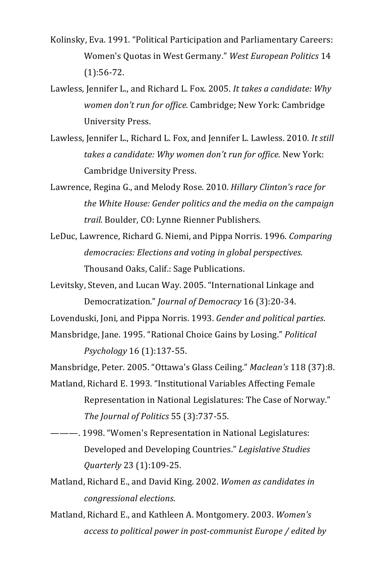- Kolinsky, Eva. 1991. "Political Participation and Parliamentary Careers: Women's Quotas in West Germany." West European Politics 14 (1):56-72.
- Lawless, Jennifer L., and Richard L. Fox. 2005. It takes a candidate: Why *women don't run for office.* Cambridge; New York: Cambridge University Press.
- Lawless, Jennifer L., Richard L. Fox, and Jennifer L. Lawless. 2010. It still takes a candidate: Why women don't run for office. New York: Cambridge University Press.
- Lawrence, Regina G., and Melody Rose. 2010. *Hillary Clinton's race for the White House: Gender politics and the media on the campaign* trail. Boulder, CO: Lynne Rienner Publishers.
- LeDuc, Lawrence, Richard G. Niemi, and Pippa Norris. 1996. *Comparing* democracies: Elections and voting in global perspectives. Thousand Oaks, Calif.: Sage Publications.
- Levitsky, Steven, and Lucan Way. 2005. "International Linkage and Democratization." *Journal of Democracy* 16 (3):20-34.

Lovenduski, Joni, and Pippa Norris. 1993. *Gender and political parties*.

Mansbridge, Jane. 1995. "Rational Choice Gains by Losing." *Political Psychology* 16 (1):137-55.

Mansbridge, Peter. 2005. "Ottawa's Glass Ceiling." *Maclean's* 118 (37):8.

- Matland, Richard E. 1993. "Institutional Variables Affecting Female Representation in National Legislatures: The Case of Norway." *The Journal of Politics* 55 (3):737-55.
- --- 1998. "Women's Representation in National Legislatures: Developed and Developing Countries." *Legislative Studies Quarterly* 23 (1):109-25.
- Matland, Richard E., and David King. 2002. *Women as candidates in congressional elections*.
- Matland, Richard E., and Kathleen A. Montgomery. 2003. Women's access to political power in post-communist Europe / edited by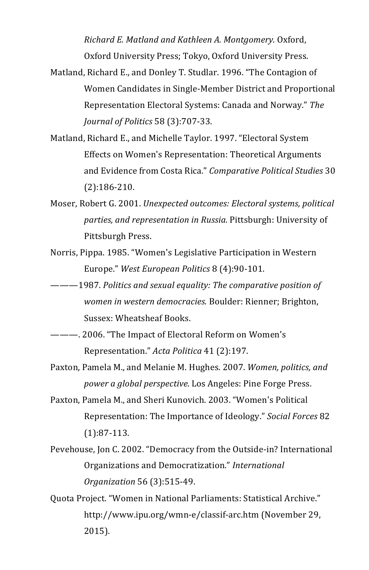*Richard E. Matland and Kathleen A. Montgomery.* Oxford, Oxford University Press; Tokyo, Oxford University Press.

- Matland, Richard E., and Donley T. Studlar. 1996. "The Contagion of Women Candidates in Single-Member District and Proportional Representation Electoral Systems: Canada and Norway." The *Journal of Politics* 58 (3):707-33.
- Matland, Richard E., and Michelle Taylor. 1997. "Electoral System Effects on Women's Representation: Theoretical Arguments and Evidence from Costa Rica." Comparative Political Studies 30 (2):186-210.
- Moser, Robert G. 2001. *Unexpected outcomes: Electoral systems, political* parties, and representation in Russia. Pittsburgh: University of Pittsburgh Press.
- Norris, Pippa. 1985. "Women's Legislative Participation in Western Europe." *West European Politics* 8 (4):90-101.
- $---1987$ . Politics and sexual equality: The comparative position of *women in western democracies.* Boulder: Rienner; Brighton, Sussex: Wheatsheaf Books.
- ———. 2006. "The Impact of Electoral Reform on Women's Representation." *Acta Politica* 41 (2):197.
- Paxton, Pamela M., and Melanie M. Hughes. 2007. Women, politics, and *power a global perspective.* Los Angeles: Pine Forge Press.
- Paxton, Pamela M., and Sheri Kunovich. 2003. "Women's Political Representation: The Importance of Ideology." *Social Forces* 82 (1):87-113.
- Pevehouse, Jon C. 2002. "Democracy from the Outside-in? International Organizations and Democratization." *International Organization* 56 (3):515-49.
- Quota Project. "Women in National Parliaments: Statistical Archive." http://www.ipu.org/wmn-e/classif-arc.htm (November 29, 2015).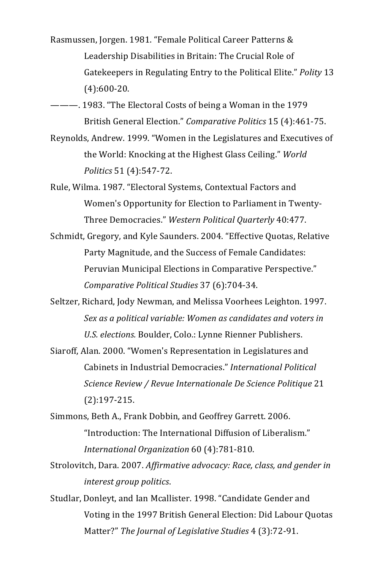Rasmussen, Jorgen, 1981. "Female Political Career Patterns & Leadership Disabilities in Britain: The Crucial Role of Gatekeepers in Regulating Entry to the Political Elite." *Polity* 13 (4):600-20.

———. 1983. "The Electoral Costs of being a Woman in the 1979 British General Election." Comparative Politics 15 (4):461-75.

Reynolds, Andrew. 1999. "Women in the Legislatures and Executives of the World: Knocking at the Highest Glass Ceiling." World *Politics* 51 (4):547-72.

Rule, Wilma. 1987. "Electoral Systems, Contextual Factors and Women's Opportunity for Election to Parliament in Twenty-Three Democracies." *Western Political Quarterly* 40:477.

- Schmidt, Gregory, and Kyle Saunders. 2004. "Effective Quotas, Relative Party Magnitude, and the Success of Female Candidates: Peruvian Municipal Elections in Comparative Perspective." *Comparative Political Studies* 37 (6):704-34.
- Seltzer, Richard, Jody Newman, and Melissa Voorhees Leighton. 1997. Sex as a political variable: Women as candidates and voters in U.S. elections. Boulder, Colo.: Lynne Rienner Publishers.
- Siaroff, Alan. 2000. "Women's Representation in Legislatures and Cabinets in Industrial Democracies." *International Political Science Review / Revue Internationale De Science Politique* 21 (2):197-215.

Simmons, Beth A., Frank Dobbin, and Geoffrey Garrett. 2006. "Introduction: The International Diffusion of Liberalism." *International Organization* 60 (4):781-810.

- Strolovitch, Dara. 2007. Affirmative advocacy: Race, class, and gender in *interest group politics*.
- Studlar, Donleyt, and Ian Mcallister. 1998. "Candidate Gender and Voting in the 1997 British General Election: Did Labour Quotas Matter?" The Journal of Legislative Studies 4 (3):72-91.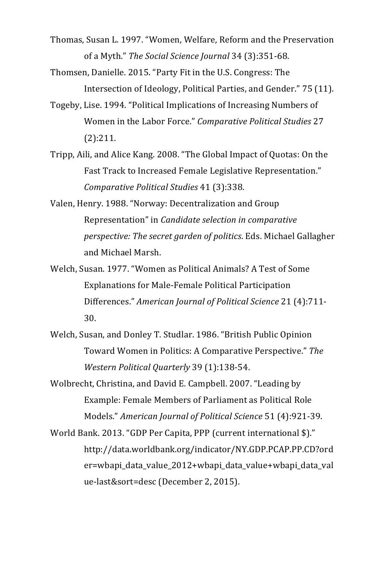- Thomas, Susan L. 1997. "Women, Welfare, Reform and the Preservation of a Myth." The Social Science Journal 34 (3):351-68.
- Thomsen, Danielle. 2015. "Party Fit in the U.S. Congress: The Intersection of Ideology, Political Parties, and Gender." 75 (11).
- Togeby, Lise. 1994. "Political Implications of Increasing Numbers of Women in the Labor Force." Comparative Political Studies 27 (2):211.
- Tripp, Aili, and Alice Kang. 2008. "The Global Impact of Quotas: On the Fast Track to Increased Female Legislative Representation." *Comparative Political Studies* 41 (3):338.
- Valen, Henry. 1988. "Norway: Decentralization and Group Representation" in *Candidate selection in comparative perspective: The secret garden of politics*. Eds. Michael Gallagher and Michael Marsh.
- Welch, Susan. 1977. "Women as Political Animals? A Test of Some Explanations for Male-Female Political Participation Differences." *American Journal of Political Science* 21 (4):711- 30.
- Welch, Susan, and Donley T. Studlar. 1986. "British Public Opinion Toward Women in Politics: A Comparative Perspective." The *Western Political Quarterly* 39 (1):138-54.
- Wolbrecht, Christina, and David E. Campbell. 2007. "Leading by Example: Female Members of Parliament as Political Role Models." *American Journal of Political Science* 51 (4):921-39.
- World Bank. 2013. "GDP Per Capita, PPP (current international \$)." http://data.worldbank.org/indicator/NY.GDP.PCAP.PP.CD?ord er=wbapi data value 2012+wbapi data value+wbapi data val ue-last&sort=desc (December 2, 2015).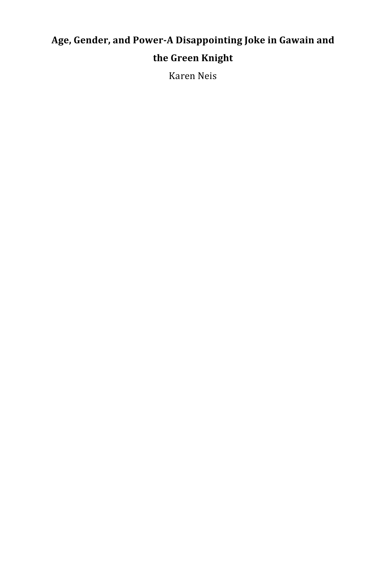# Age, Gender, and Power-A Disappointing Joke in Gawain and the Green Knight

Karen Neis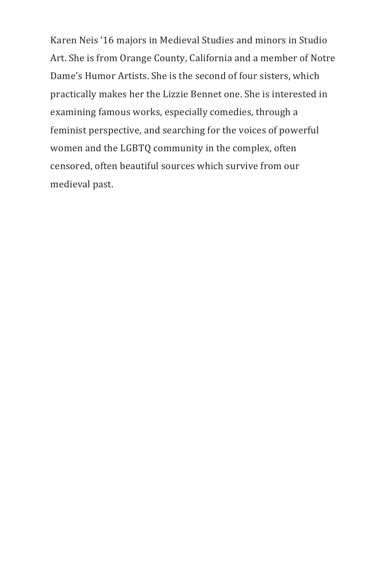Karen Neis '16 majors in Medieval Studies and minors in Studio Art. She is from Orange County, California and a member of Notre Dame's Humor Artists. She is the second of four sisters, which practically makes her the Lizzie Bennet one. She is interested in examining famous works, especially comedies, through a feminist perspective, and searching for the voices of powerful women and the LGBTQ community in the complex, often censored, often beautiful sources which survive from our medieval past.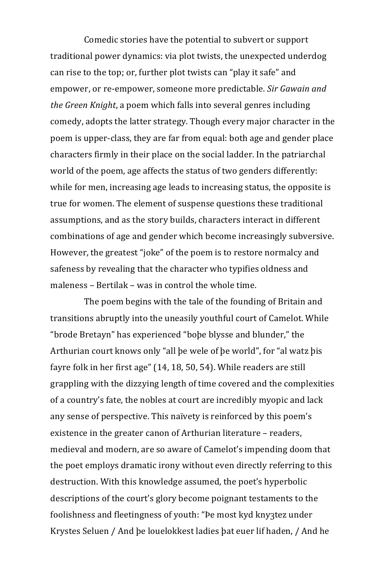Comedic stories have the potential to subvert or support traditional power dynamics: via plot twists, the unexpected underdog can rise to the top; or, further plot twists can "play it safe" and empower, or re-empower, someone more predictable. Sir Gawain and *the Green Knight*, a poem which falls into several genres including comedy, adopts the latter strategy. Though every major character in the poem is upper-class, they are far from equal: both age and gender place characters firmly in their place on the social ladder. In the patriarchal world of the poem, age affects the status of two genders differently: while for men, increasing age leads to increasing status, the opposite is true for women. The element of suspense questions these traditional assumptions, and as the story builds, characters interact in different combinations of age and gender which become increasingly subversive. However, the greatest "joke" of the poem is to restore normalcy and safeness by revealing that the character who typifies oldness and maleness – Bertilak – was in control the whole time.

The poem begins with the tale of the founding of Britain and transitions abruptly into the uneasily youthful court of Camelot. While "brode Bretayn" has experienced "bobe blysse and blunder," the Arthurian court knows only "all be wele of be world", for "al watz bis fayre folk in her first age"  $(14, 18, 50, 54)$ . While readers are still grappling with the dizzying length of time covered and the complexities of a country's fate, the nobles at court are incredibly myopic and lack any sense of perspective. This naïvety is reinforced by this poem's existence in the greater canon of Arthurian literature – readers, medieval and modern, are so aware of Camelot's impending doom that the poet employs dramatic irony without even directly referring to this destruction. With this knowledge assumed, the poet's hyperbolic descriptions of the court's glory become poignant testaments to the foolishness and fleetingness of youth: "Þe most kyd knyatez under Krystes Seluen / And be louelokkest ladies bat euer lif haden, / And he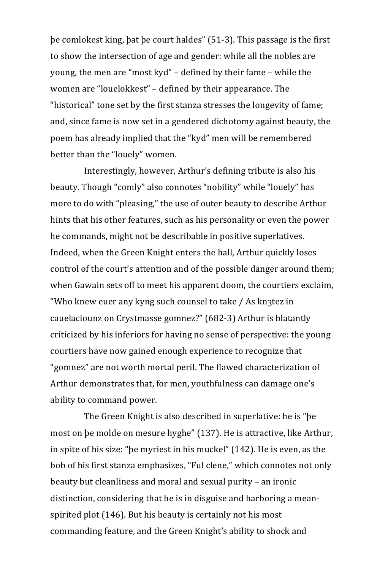be comlokest king, bat be court haldes"  $(51-3)$ . This passage is the first to show the intersection of age and gender: while all the nobles are young, the men are "most kyd" - defined by their fame - while the women are "louelokkest" - defined by their appearance. The "historical" tone set by the first stanza stresses the longevity of fame; and, since fame is now set in a gendered dichotomy against beauty, the poem has already implied that the "kyd" men will be remembered better than the "louely" women.

Interestingly, however, Arthur's defining tribute is also his beauty. Though "comly" also connotes "nobility" while "louely" has more to do with "pleasing," the use of outer beauty to describe Arthur hints that his other features, such as his personality or even the power he commands, might not be describable in positive superlatives. Indeed, when the Green Knight enters the hall, Arthur quickly loses control of the court's attention and of the possible danger around them; when Gawain sets off to meet his apparent doom, the courtiers exclaim, "Who knew euer any kyng such counsel to take  $/$  As knatez in cauelaciounz on Crystmasse gomnez?" (682-3) Arthur is blatantly criticized by his inferiors for having no sense of perspective: the young courtiers have now gained enough experience to recognize that "gomnez" are not worth mortal peril. The flawed characterization of Arthur demonstrates that, for men, youthfulness can damage one's ability to command power.

The Green Knight is also described in superlative: he is "be most on be molde on mesure hyghe" (137). He is attractive, like Arthur, in spite of his size: "be myriest in his muckel"  $(142)$ . He is even, as the bob of his first stanza emphasizes, "Ful clene," which connotes not only beauty but cleanliness and moral and sexual purity – an ironic distinction, considering that he is in disguise and harboring a meanspirited  $plot(146)$ . But his beauty is certainly not his most commanding feature, and the Green Knight's ability to shock and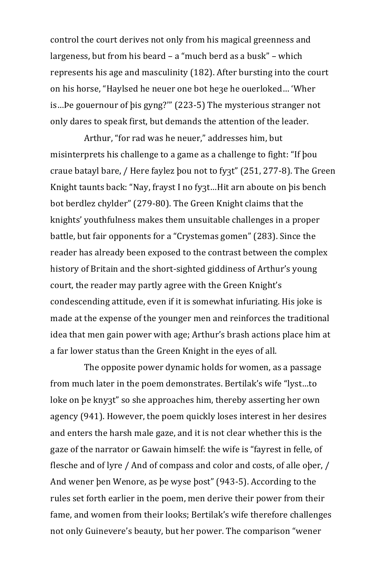control the court derives not only from his magical greenness and largeness, but from his beard  $-$  a "much berd as a busk"  $-$  which represents his age and masculinity (182). After bursting into the court on his horse, "Haylsed he neuer one bot heze he ouerloked... 'Wher is...be gouernour of bis gyng?" (223-5) The mysterious stranger not only dares to speak first, but demands the attention of the leader.

Arthur, "for rad was he neuer," addresses him, but misinterprets his challenge to a game as a challenge to fight: "If bou craue batayl bare,  $/$  Here faylez bou not to fy $3t''$  (251, 277-8). The Green Knight taunts back: "Nay, frayst I no fy3t...Hit arn aboute on bis bench bot berdlez chylder" (279-80). The Green Knight claims that the knights' youthfulness makes them unsuitable challenges in a proper battle, but fair opponents for a "Crystemas gomen" (283). Since the reader has already been exposed to the contrast between the complex history of Britain and the short-sighted giddiness of Arthur's young court, the reader may partly agree with the Green Knight's condescending attitude, even if it is somewhat infuriating. His joke is made at the expense of the younger men and reinforces the traditional idea that men gain power with age; Arthur's brash actions place him at a far lower status than the Green Knight in the eyes of all.

The opposite power dynamic holds for women, as a passage from much later in the poem demonstrates. Bertilak's wife "lyst...to" loke on be kny<sub>3</sub>t" so she approaches him, thereby asserting her own agency (941). However, the poem quickly loses interest in her desires and enters the harsh male gaze, and it is not clear whether this is the gaze of the narrator or Gawain himself: the wife is "fayrest in felle, of flesche and of lyre / And of compass and color and costs, of alle ober, / And wener ben Wenore, as be wyse bost" (943-5). According to the rules set forth earlier in the poem, men derive their power from their fame, and women from their looks: Bertilak's wife therefore challenges not only Guinevere's beauty, but her power. The comparison "wener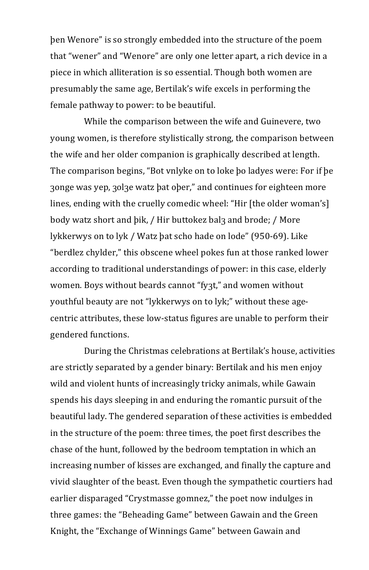ben Wenore" is so strongly embedded into the structure of the poem that "wener" and "Wenore" are only one letter apart, a rich device in a piece in which alliteration is so essential. Though both women are presumably the same age, Bertilak's wife excels in performing the female pathway to power: to be beautiful.

While the comparison between the wife and Guinevere, two young women, is therefore stylistically strong, the comparison between the wife and her older companion is graphically described at length. The comparison begins, "Bot vnlyke on to loke bo ladyes were: For if be 30nge was yep, 30l3e watz bat ober," and continues for eighteen more lines, ending with the cruelly comedic wheel: "Hir [the older woman's] body watz short and bik, / Hir buttokez bal3 and brode; / More lykkerwys on to lyk / Watz bat scho hade on lode" (950-69). Like "berdlez chylder," this obscene wheel pokes fun at those ranked lower according to traditional understandings of power: in this case, elderly women. Boys without beards cannot "fy3t," and women without youthful beauty are not "lykkerwys on to lyk;" without these agecentric attributes, these low-status figures are unable to perform their gendered functions.

During the Christmas celebrations at Bertilak's house, activities are strictly separated by a gender binary: Bertilak and his men enjoy wild and violent hunts of increasingly tricky animals, while Gawain spends his days sleeping in and enduring the romantic pursuit of the beautiful lady. The gendered separation of these activities is embedded in the structure of the poem: three times, the poet first describes the chase of the hunt, followed by the bedroom temptation in which an increasing number of kisses are exchanged, and finally the capture and vivid slaughter of the beast. Even though the sympathetic courtiers had earlier disparaged "Crystmasse gomnez," the poet now indulges in three games: the "Beheading Game" between Gawain and the Green Knight, the "Exchange of Winnings Game" between Gawain and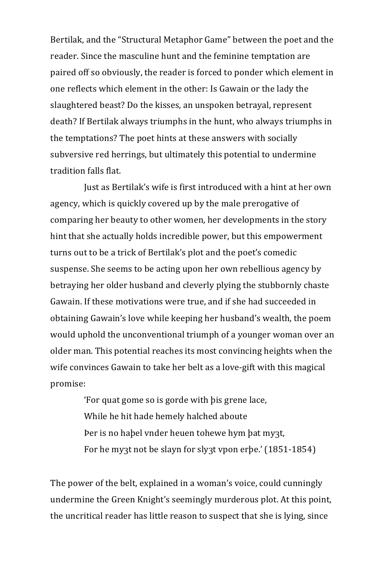Bertilak, and the "Structural Metaphor Game" between the poet and the reader. Since the masculine hunt and the feminine temptation are paired off so obviously, the reader is forced to ponder which element in one reflects which element in the other: Is Gawain or the lady the slaughtered beast? Do the kisses, an unspoken betrayal, represent death? If Bertilak always triumphs in the hunt, who always triumphs in the temptations? The poet hints at these answers with socially subversive red herrings, but ultimately this potential to undermine tradition falls flat.

Just as Bertilak's wife is first introduced with a hint at her own agency, which is quickly covered up by the male prerogative of comparing her beauty to other women, her developments in the story hint that she actually holds incredible power, but this empowerment turns out to be a trick of Bertilak's plot and the poet's comedic suspense. She seems to be acting upon her own rebellious agency by betraying her older husband and cleverly plying the stubbornly chaste Gawain. If these motivations were true, and if she had succeeded in obtaining Gawain's love while keeping her husband's wealth, the poem would uphold the unconventional triumph of a younger woman over an older man. This potential reaches its most convincing heights when the wife convinces Gawain to take her belt as a love-gift with this magical promise: 

> 'For quat gome so is gorde with bis grene lace, While he hit hade hemely halched aboute Þer is no habel ynder heuen tohewe hym bat myst. For he myst not be slayn for slyst ypon erbe.' (1851-1854)

The power of the belt, explained in a woman's voice, could cunningly undermine the Green Knight's seemingly murderous plot. At this point, the uncritical reader has little reason to suspect that she is lying, since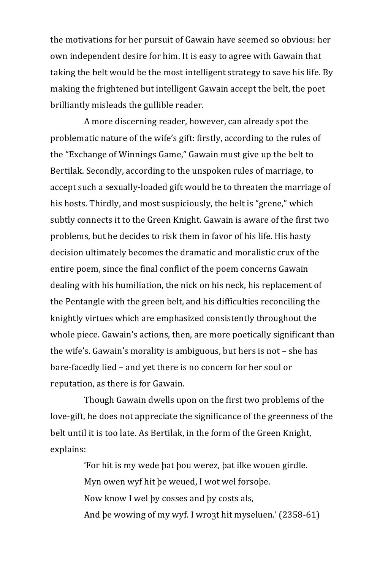the motivations for her pursuit of Gawain have seemed so obvious: her own independent desire for him. It is easy to agree with Gawain that taking the belt would be the most intelligent strategy to save his life. By making the frightened but intelligent Gawain accept the belt, the poet brilliantly misleads the gullible reader.

A more discerning reader, however, can already spot the problematic nature of the wife's gift: firstly, according to the rules of the "Exchange of Winnings Game," Gawain must give up the belt to Bertilak. Secondly, according to the unspoken rules of marriage, to accept such a sexually-loaded gift would be to threaten the marriage of his hosts. Thirdly, and most suspiciously, the belt is "grene," which subtly connects it to the Green Knight. Gawain is aware of the first two problems, but he decides to risk them in favor of his life. His hasty decision ultimately becomes the dramatic and moralistic crux of the entire poem, since the final conflict of the poem concerns Gawain dealing with his humiliation, the nick on his neck, his replacement of the Pentangle with the green belt, and his difficulties reconciling the knightly virtues which are emphasized consistently throughout the whole piece. Gawain's actions, then, are more poetically significant than the wife's. Gawain's morality is ambiguous, but hers is not  $-$  she has bare-facedly lied – and yet there is no concern for her soul or reputation, as there is for Gawain.

Though Gawain dwells upon on the first two problems of the love-gift, he does not appreciate the significance of the greenness of the belt until it is too late. As Bertilak, in the form of the Green Knight, explains:

> 'For hit is my wede bat bou werez, bat ilke wouen girdle. Myn owen wyf hit be weued, I wot wel forsobe. Now know I wel by cosses and by costs als, And be wowing of my wyf. I wroat hit myseluen.' (2358-61)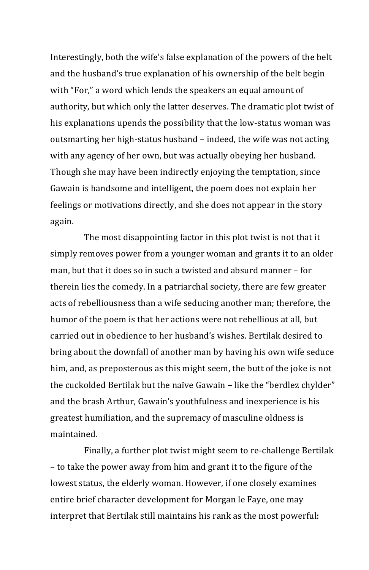Interestingly, both the wife's false explanation of the powers of the belt and the husband's true explanation of his ownership of the belt begin with "For," a word which lends the speakers an equal amount of authority, but which only the latter deserves. The dramatic plot twist of his explanations upends the possibility that the low-status woman was outsmarting her high-status husband – indeed, the wife was not acting with any agency of her own, but was actually obeying her husband. Though she may have been indirectly enjoying the temptation, since Gawain is handsome and intelligent, the poem does not explain her feelings or motivations directly, and she does not appear in the story again. 

The most disappointing factor in this plot twist is not that it simply removes power from a younger woman and grants it to an older man, but that it does so in such a twisted and absurd manner  $-$  for therein lies the comedy. In a patriarchal society, there are few greater acts of rebelliousness than a wife seducing another man; therefore, the humor of the poem is that her actions were not rebellious at all, but carried out in obedience to her husband's wishes. Bertilak desired to bring about the downfall of another man by having his own wife seduce him, and, as preposterous as this might seem, the butt of the joke is not the cuckolded Bertilak but the naïve Gawain - like the "berdlez chylder" and the brash Arthur, Gawain's youthfulness and inexperience is his greatest humiliation, and the supremacy of masculine oldness is maintained.

Finally, a further plot twist might seem to re-challenge Bertilak – to take the power away from him and grant it to the figure of the lowest status, the elderly woman. However, if one closely examines entire brief character development for Morgan le Faye, one may interpret that Bertilak still maintains his rank as the most powerful: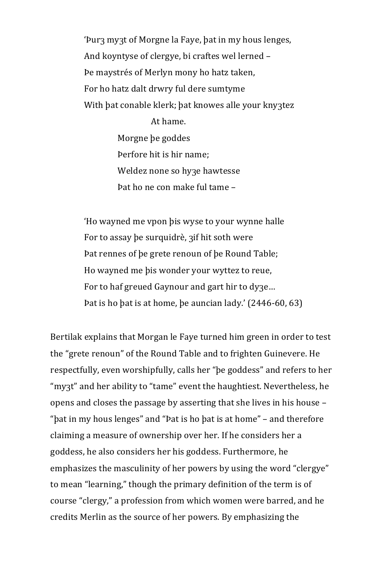'Þurȝ myȝt of Morgne la Faye, þat in my hous lenges, And koyntyse of clergye, bi craftes wel lerned -Þe maystrés of Merlyn mony ho hatz taken, For ho hatz dalt drwry ful dere sumtyme With bat conable klerk; bat knowes alle your kny3tez

> At hame. Morgne be goddes Perfore hit is hir name: Weldez none so hy3e hawtesse Pat ho ne con make ful tame -

'Ho wayned me vpon bis wyse to your wynne halle For to assay be surquidrè, 3if hit soth were Þat rennes of þe grete renoun of þe Round Table; Ho wayned me bis wonder your wyttez to reue, For to haf greued Gaynour and gart hir to dyze... Pat is ho bat is at home, be auncian lady.'  $(2446-60, 63)$ 

Bertilak explains that Morgan le Faye turned him green in order to test the "grete renoun" of the Round Table and to frighten Guinevere. He respectfully, even worshipfully, calls her "be goddess" and refers to her "my3t" and her ability to "tame" event the haughtiest. Nevertheless, he opens and closes the passage by asserting that she lives in his house – "bat in my hous lenges" and "Þat is ho þat is at home" - and therefore claiming a measure of ownership over her. If he considers her a goddess, he also considers her his goddess. Furthermore, he emphasizes the masculinity of her powers by using the word "clergye" to mean "learning," though the primary definition of the term is of course "clergy," a profession from which women were barred, and he credits Merlin as the source of her powers. By emphasizing the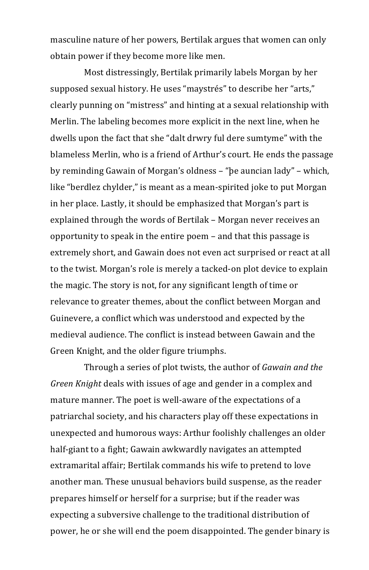masculine nature of her powers, Bertilak argues that women can only obtain power if they become more like men.

Most distressingly, Bertilak primarily labels Morgan by her supposed sexual history. He uses "maystrés" to describe her "arts," clearly punning on "mistress" and hinting at a sexual relationship with Merlin. The labeling becomes more explicit in the next line, when he dwells upon the fact that she "dalt drwry ful dere sumtyme" with the blameless Merlin, who is a friend of Arthur's court. He ends the passage by reminding Gawain of Morgan's oldness – "be auncian lady" – which, like "berdlez chylder," is meant as a mean-spirited joke to put Morgan in her place. Lastly, it should be emphasized that Morgan's part is explained through the words of Bertilak – Morgan never receives an opportunity to speak in the entire poem  $-$  and that this passage is extremely short, and Gawain does not even act surprised or react at all to the twist. Morgan's role is merely a tacked-on plot device to explain the magic. The story is not, for any significant length of time or relevance to greater themes, about the conflict between Morgan and Guinevere, a conflict which was understood and expected by the medieval audience. The conflict is instead between Gawain and the Green Knight, and the older figure triumphs.

Through a series of plot twists, the author of *Gawain and the Green Knight* deals with issues of age and gender in a complex and mature manner. The poet is well-aware of the expectations of a patriarchal society, and his characters play off these expectations in unexpected and humorous ways: Arthur foolishly challenges an older half-giant to a fight; Gawain awkwardly navigates an attempted extramarital affair; Bertilak commands his wife to pretend to love another man. These unusual behaviors build suspense, as the reader prepares himself or herself for a surprise; but if the reader was expecting a subversive challenge to the traditional distribution of power, he or she will end the poem disappointed. The gender binary is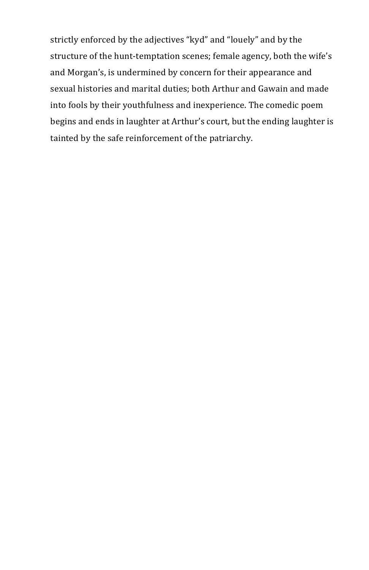strictly enforced by the adjectives "kyd" and "louely" and by the structure of the hunt-temptation scenes; female agency, both the wife's and Morgan's, is undermined by concern for their appearance and sexual histories and marital duties; both Arthur and Gawain and made into fools by their youthfulness and inexperience. The comedic poem begins and ends in laughter at Arthur's court, but the ending laughter is tainted by the safe reinforcement of the patriarchy.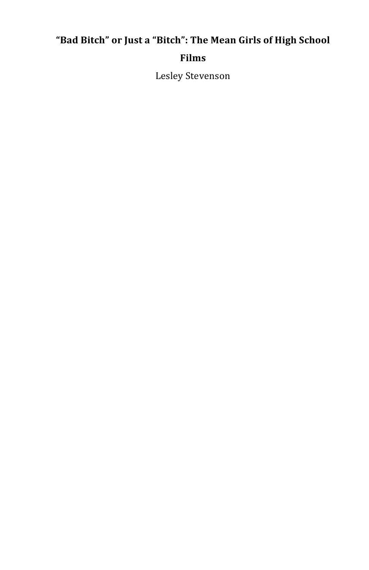## "Bad Bitch" or Just a "Bitch": The Mean Girls of High School

## **Films**

Lesley Stevenson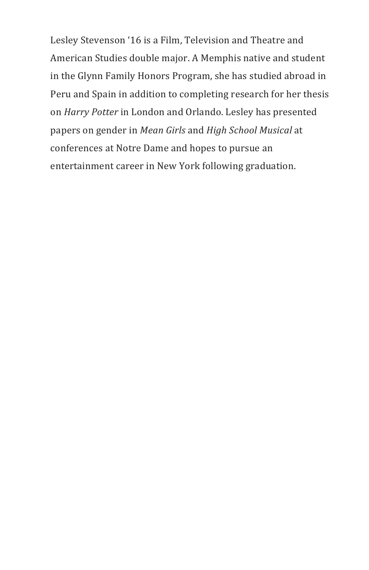Lesley Stevenson '16 is a Film, Television and Theatre and American Studies double major. A Memphis native and student in the Glynn Family Honors Program, she has studied abroad in Peru and Spain in addition to completing research for her thesis on *Harry Potter* in London and Orlando. Lesley has presented papers on gender in *Mean Girls* and *High School Musical* at conferences at Notre Dame and hopes to pursue an entertainment career in New York following graduation.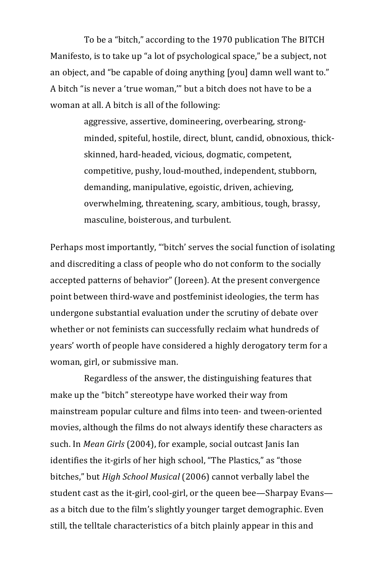To be a "bitch," according to the 1970 publication The BITCH Manifesto, is to take up "a lot of psychological space," be a subject, not an object, and "be capable of doing anything [you] damn well want to." A bitch "is never a 'true woman," but a bitch does not have to be a woman at all. A bitch is all of the following:

> aggressive, assertive, domineering, overbearing, strongminded, spiteful, hostile, direct, blunt, candid, obnoxious, thickskinned, hard-headed, vicious, dogmatic, competent, competitive, pushy, loud-mouthed, independent, stubborn, demanding, manipulative, egoistic, driven, achieving, overwhelming, threatening, scary, ambitious, tough, brassy, masculine, boisterous, and turbulent.

Perhaps most importantly, "'bitch' serves the social function of isolating and discrediting a class of people who do not conform to the socially accepted patterns of behavior" (Joreen). At the present convergence point between third-wave and postfeminist ideologies, the term has undergone substantial evaluation under the scrutiny of debate over whether or not feminists can successfully reclaim what hundreds of years' worth of people have considered a highly derogatory term for a woman, girl, or submissive man.

Regardless of the answer, the distinguishing features that make up the "bitch" stereotype have worked their way from mainstream popular culture and films into teen- and tween-oriented movies, although the films do not always identify these characters as such. In *Mean Girls* (2004), for example, social outcast Janis Ian identifies the it-girls of her high school, "The Plastics," as "those bitches," but *High School Musical* (2006) cannot verbally label the student cast as the it-girl, cool-girl, or the queen bee—Sharpay Evans as a bitch due to the film's slightly younger target demographic. Even still, the telltale characteristics of a bitch plainly appear in this and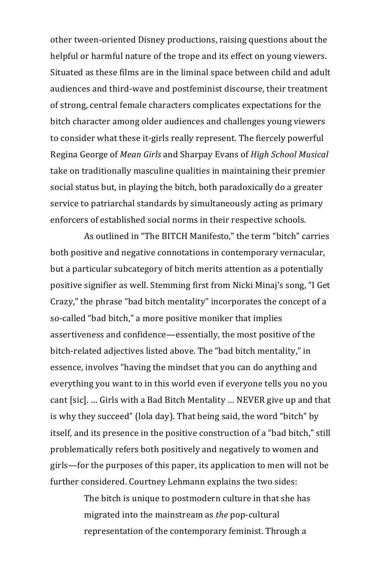other tween-oriented Disney productions, raising questions about the helpful or harmful nature of the trope and its effect on young viewers. Situated as these films are in the liminal space between child and adult audiences and third-wave and postfeminist discourse, their treatment of strong, central female characters complicates expectations for the bitch character among older audiences and challenges young viewers to consider what these it-girls really represent. The fiercely powerful Regina George of *Mean Girls* and Sharpay Evans of *High School Musical* take on traditionally masculine qualities in maintaining their premier social status but, in playing the bitch, both paradoxically do a greater service to patriarchal standards by simultaneously acting as primary enforcers of established social norms in their respective schools.

As outlined in "The BITCH Manifesto," the term "bitch" carries both positive and negative connotations in contemporary vernacular, but a particular subcategory of bitch merits attention as a potentially positive signifier as well. Stemming first from Nicki Minaj's song, "I Get Crazy," the phrase "bad bitch mentality" incorporates the concept of a so-called "bad bitch," a more positive moniker that implies assertiveness and confidence—essentially, the most positive of the bitch-related adjectives listed above. The "bad bitch mentality," in essence, involves "having the mindset that you can do anything and everything you want to in this world even if everyone tells you no you cant [sic]. ... Girls with a Bad Bitch Mentality ... NEVER give up and that is why they succeed" (lola day). That being said, the word "bitch" by itself, and its presence in the positive construction of a "bad bitch," still problematically refers both positively and negatively to women and girls—for the purposes of this paper, its application to men will not be further considered. Courtney Lehmann explains the two sides:

> The bitch is unique to postmodern culture in that she has migrated into the mainstream as *the* pop-cultural representation of the contemporary feminist. Through a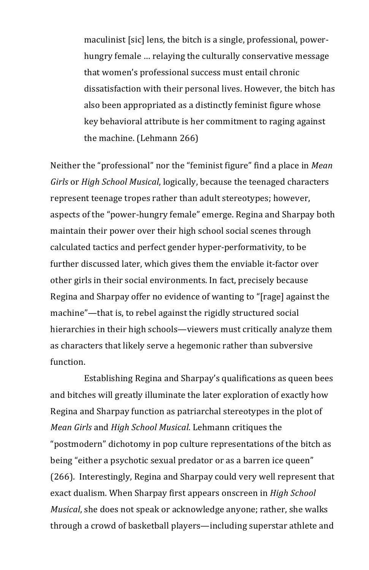maculinist [sic] lens, the bitch is a single, professional, powerhungry female ... relaying the culturally conservative message that women's professional success must entail chronic dissatisfaction with their personal lives. However, the bitch has also been appropriated as a distinctly feminist figure whose key behavioral attribute is her commitment to raging against the machine. (Lehmann  $266$ )

Neither the "professional" nor the "feminist figure" find a place in *Mean Girls* or *High School Musical*, logically, because the teenaged characters represent teenage tropes rather than adult stereotypes; however, aspects of the "power-hungry female" emerge. Regina and Sharpay both maintain their power over their high school social scenes through calculated tactics and perfect gender hyper-performativity, to be further discussed later, which gives them the enviable it-factor over other girls in their social environments. In fact, precisely because Regina and Sharpay offer no evidence of wanting to "[rage] against the machine"—that is, to rebel against the rigidly structured social hierarchies in their high schools—viewers must critically analyze them as characters that likely serve a hegemonic rather than subversive function.

Establishing Regina and Sharpay's qualifications as queen bees and bitches will greatly illuminate the later exploration of exactly how Regina and Sharpay function as patriarchal stereotypes in the plot of *Mean Girls* and *High School Musical*. Lehmann critiques the "postmodern" dichotomy in pop culture representations of the bitch as being "either a psychotic sexual predator or as a barren ice queen" (266). Interestingly, Regina and Sharpay could very well represent that exact dualism. When Sharpay first appears onscreen in *High School Musical*, she does not speak or acknowledge anyone; rather, she walks through a crowd of basketball players—including superstar athlete and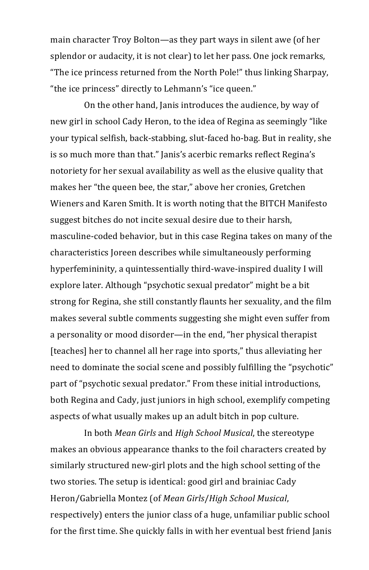main character Troy Bolton—as they part ways in silent awe (of her splendor or audacity, it is not clear) to let her pass. One jock remarks, "The ice princess returned from the North Pole!" thus linking Sharpay, "the ice princess" directly to Lehmann's "ice queen."

On the other hand, Janis introduces the audience, by way of new girl in school Cady Heron, to the idea of Regina as seemingly "like your typical selfish, back-stabbing, slut-faced ho-bag. But in reality, she is so much more than that." Janis's acerbic remarks reflect Regina's notoriety for her sexual availability as well as the elusive quality that makes her "the queen bee, the star," above her cronies, Gretchen Wieners and Karen Smith. It is worth noting that the BITCH Manifesto suggest bitches do not incite sexual desire due to their harsh, masculine-coded behavior, but in this case Regina takes on many of the characteristics Joreen describes while simultaneously performing hyperfemininity, a quintessentially third-wave-inspired duality I will explore later. Although "psychotic sexual predator" might be a bit strong for Regina, she still constantly flaunts her sexuality, and the film makes several subtle comments suggesting she might even suffer from a personality or mood disorder—in the end, "her physical therapist [teaches] her to channel all her rage into sports," thus alleviating her need to dominate the social scene and possibly fulfilling the "psychotic" part of "psychotic sexual predator." From these initial introductions, both Regina and Cady, just juniors in high school, exemplify competing aspects of what usually makes up an adult bitch in pop culture.

In both *Mean Girls* and *High School Musical*, the stereotype makes an obvious appearance thanks to the foil characters created by similarly structured new-girl plots and the high school setting of the two stories. The setup is identical: good girl and brainiac Cady Heron/Gabriella Montez (of *Mean Girls*/*High School Musical*, respectively) enters the junior class of a huge, unfamiliar public school for the first time. She quickly falls in with her eventual best friend Janis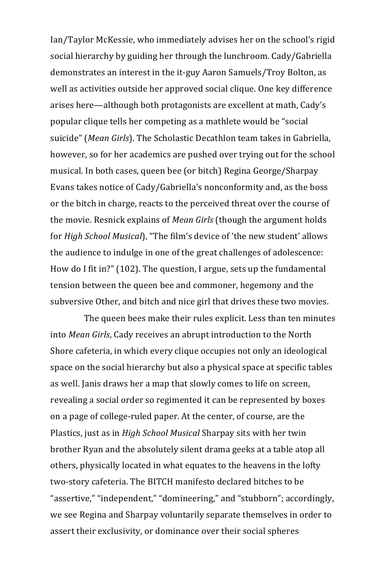Ian/Taylor McKessie, who immediately advises her on the school's rigid social hierarchy by guiding her through the lunchroom. Cady/Gabriella demonstrates an interest in the it-guy Aaron Samuels/Troy Bolton, as well as activities outside her approved social clique. One key difference arises here—although both protagonists are excellent at math, Cady's popular clique tells her competing as a mathlete would be "social suicide" (Mean Girls). The Scholastic Decathlon team takes in Gabriella, however, so for her academics are pushed over trying out for the school musical. In both cases, queen bee (or bitch) Regina George/Sharpay Evans takes notice of Cady/Gabriella's nonconformity and, as the boss or the bitch in charge, reacts to the perceived threat over the course of the movie. Resnick explains of *Mean Girls* (though the argument holds for *High School Musical*), "The film's device of 'the new student' allows the audience to indulge in one of the great challenges of adolescence: How do I fit in?" (102). The question, I argue, sets up the fundamental tension between the queen bee and commoner, hegemony and the subversive Other, and bitch and nice girl that drives these two movies.

The queen bees make their rules explicit. Less than ten minutes into *Mean Girls*, Cady receives an abrupt introduction to the North Shore cafeteria, in which every clique occupies not only an ideological space on the social hierarchy but also a physical space at specific tables as well. Janis draws her a map that slowly comes to life on screen, revealing a social order so regimented it can be represented by boxes on a page of college-ruled paper. At the center, of course, are the Plastics, just as in *High School Musical* Sharpay sits with her twin brother Ryan and the absolutely silent drama geeks at a table atop all others, physically located in what equates to the heavens in the lofty two-story cafeteria. The BITCH manifesto declared bitches to be "assertive," "independent," "domineering," and "stubborn"; accordingly, we see Regina and Sharpay voluntarily separate themselves in order to assert their exclusivity, or dominance over their social spheres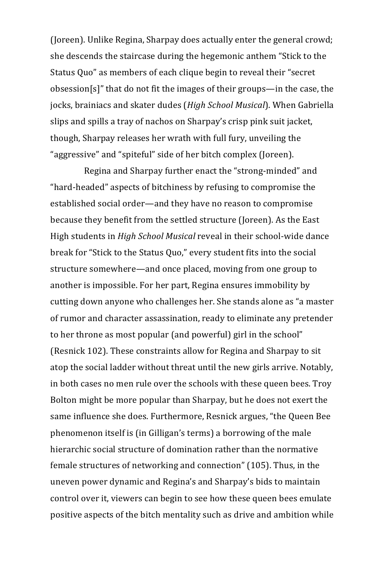(Joreen). Unlike Regina, Sharpay does actually enter the general crowd; she descends the staircase during the hegemonic anthem "Stick to the Status Quo" as members of each clique begin to reveal their "secret" obsession[s]" that do not fit the images of their groups—in the case, the jocks, brainiacs and skater dudes (*High School Musical*). When Gabriella slips and spills a tray of nachos on Sharpay's crisp pink suit jacket, though, Sharpay releases her wrath with full fury, unveiling the "aggressive" and "spiteful" side of her bitch complex (Joreen).

Regina and Sharpay further enact the "strong-minded" and "hard-headed" aspects of bitchiness by refusing to compromise the established social order—and they have no reason to compromise because they benefit from the settled structure (Joreen). As the East High students in *High School Musical* reveal in their school-wide dance break for "Stick to the Status Quo," every student fits into the social structure somewhere—and once placed, moving from one group to another is impossible. For her part, Regina ensures immobility by cutting down anyone who challenges her. She stands alone as "a master of rumor and character assassination, ready to eliminate any pretender to her throne as most popular (and powerful) girl in the school" (Resnick 102). These constraints allow for Regina and Sharpay to sit atop the social ladder without threat until the new girls arrive. Notably, in both cases no men rule over the schools with these queen bees. Troy Bolton might be more popular than Sharpay, but he does not exert the same influence she does. Furthermore, Resnick argues, "the Queen Bee phenomenon itself is (in Gilligan's terms) a borrowing of the male hierarchic social structure of domination rather than the normative female structures of networking and connection" (105). Thus, in the uneven power dynamic and Regina's and Sharpay's bids to maintain control over it, viewers can begin to see how these queen bees emulate positive aspects of the bitch mentality such as drive and ambition while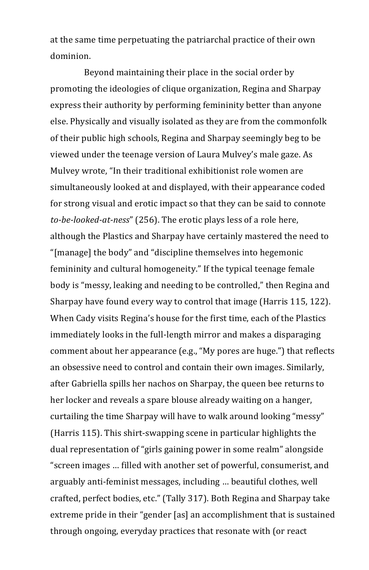at the same time perpetuating the patriarchal practice of their own dominion.

Beyond maintaining their place in the social order by promoting the ideologies of clique organization, Regina and Sharpay express their authority by performing femininity better than anyone else. Physically and visually isolated as they are from the commonfolk of their public high schools, Regina and Sharpay seemingly beg to be viewed under the teenage version of Laura Mulvey's male gaze. As Mulvey wrote, "In their traditional exhibitionist role women are simultaneously looked at and displayed, with their appearance coded for strong visual and erotic impact so that they can be said to connote to-be-looked-at-ness" (256). The erotic plays less of a role here, although the Plastics and Sharpay have certainly mastered the need to "[manage] the body" and "discipline themselves into hegemonic femininity and cultural homogeneity." If the typical teenage female body is "messy, leaking and needing to be controlled," then Regina and Sharpay have found every way to control that image (Harris 115, 122). When Cady visits Regina's house for the first time, each of the Plastics immediately looks in the full-length mirror and makes a disparaging comment about her appearance (e.g., "My pores are huge.") that reflects an obsessive need to control and contain their own images. Similarly, after Gabriella spills her nachos on Sharpay, the queen bee returns to her locker and reveals a spare blouse already waiting on a hanger, curtailing the time Sharpay will have to walk around looking "messy" (Harris 115). This shirt-swapping scene in particular highlights the dual representation of "girls gaining power in some realm" alongside "screen images ... filled with another set of powerful, consumerist, and arguably anti-feminist messages, including ... beautiful clothes, well crafted, perfect bodies, etc." (Tally 317). Both Regina and Sharpay take extreme pride in their "gender [as] an accomplishment that is sustained through ongoing, everyday practices that resonate with (or react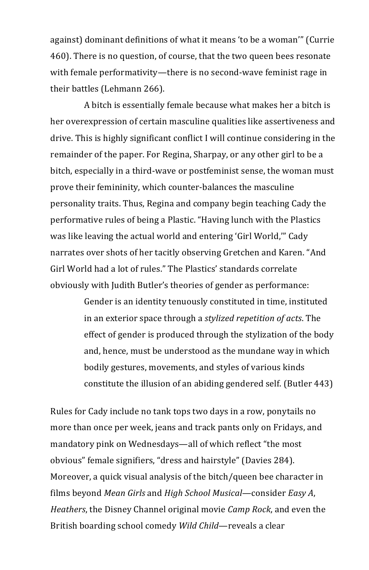against) dominant definitions of what it means 'to be a woman'" (Currie 460). There is no question, of course, that the two queen bees resonate with female performativity—there is no second-wave feminist rage in their battles (Lehmann 266).

A bitch is essentially female because what makes her a bitch is her overexpression of certain masculine qualities like assertiveness and drive. This is highly significant conflict I will continue considering in the remainder of the paper. For Regina, Sharpay, or any other girl to be a bitch, especially in a third-wave or postfeminist sense, the woman must prove their femininity, which counter-balances the masculine personality traits. Thus, Regina and company begin teaching Cady the performative rules of being a Plastic. "Having lunch with the Plastics was like leaving the actual world and entering 'Girl World," Cady narrates over shots of her tacitly observing Gretchen and Karen. "And Girl World had a lot of rules." The Plastics' standards correlate obviously with Judith Butler's theories of gender as performance:

> Gender is an identity tenuously constituted in time, instituted in an exterior space through a *stylized repetition of acts*. The effect of gender is produced through the stylization of the body and, hence, must be understood as the mundane way in which bodily gestures, movements, and styles of various kinds constitute the illusion of an abiding gendered self. (Butler 443)

Rules for Cady include no tank tops two days in a row, ponytails no more than once per week, jeans and track pants only on Fridays, and mandatory pink on Wednesdays—all of which reflect "the most obvious" female signifiers, "dress and hairstyle" (Davies 284). Moreover, a quick visual analysis of the bitch/queen bee character in films beyond *Mean Girls* and *High School Musical*—consider *Easy A*, *Heathers*, the Disney Channel original movie *Camp Rock*, and even the British boarding school comedy *Wild Child*—reveals a clear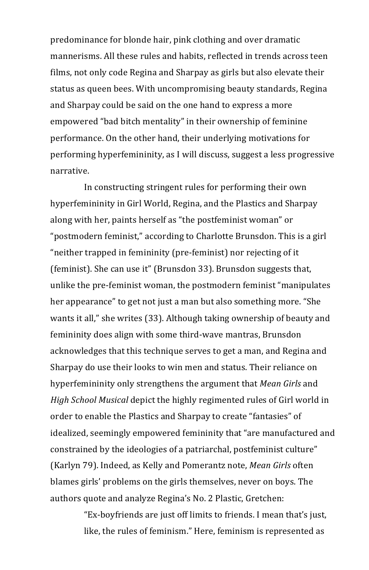predominance for blonde hair, pink clothing and over dramatic mannerisms. All these rules and habits, reflected in trends across teen films, not only code Regina and Sharpay as girls but also elevate their status as queen bees. With uncompromising beauty standards, Regina and Sharpay could be said on the one hand to express a more empowered "bad bitch mentality" in their ownership of feminine performance. On the other hand, their underlying motivations for performing hyperfemininity, as I will discuss, suggest a less progressive narrative.

In constructing stringent rules for performing their own hyperfemininity in Girl World, Regina, and the Plastics and Sharpay along with her, paints herself as "the postfeminist woman" or "postmodern feminist," according to Charlotte Brunsdon. This is a girl "neither trapped in femininity (pre-feminist) nor rejecting of it (feminist). She can use it" (Brunsdon 33). Brunsdon suggests that, unlike the pre-feminist woman, the postmodern feminist "manipulates" her appearance" to get not just a man but also something more. "She wants it all," she writes (33). Although taking ownership of beauty and femininity does align with some third-wave mantras, Brunsdon acknowledges that this technique serves to get a man, and Regina and Sharpay do use their looks to win men and status. Their reliance on hyperfemininity only strengthens the argument that *Mean Girls* and *High School Musical* depict the highly regimented rules of Girl world in order to enable the Plastics and Sharpay to create "fantasies" of idealized, seemingly empowered femininity that "are manufactured and constrained by the ideologies of a patriarchal, postfeminist culture" (Karlyn 79). Indeed, as Kelly and Pomerantz note, *Mean Girls* often blames girls' problems on the girls themselves, never on boys. The authors quote and analyze Regina's No. 2 Plastic, Gretchen:

> "Ex-boyfriends are just off limits to friends. I mean that's just, like, the rules of feminism." Here, feminism is represented as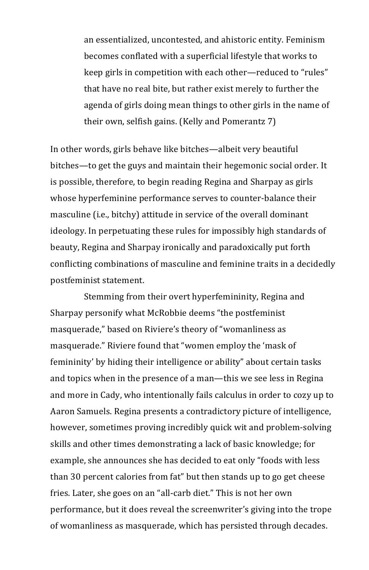an essentialized, uncontested, and ahistoric entity. Feminism becomes conflated with a superficial lifestyle that works to keep girls in competition with each other—reduced to "rules" that have no real bite, but rather exist merely to further the agenda of girls doing mean things to other girls in the name of their own, selfish gains. (Kelly and Pomerantz 7)

In other words, girls behave like bitches—albeit very beautiful bitches—to get the guys and maintain their hegemonic social order. It is possible, therefore, to begin reading Regina and Sharpay as girls whose hyperfeminine performance serves to counter-balance their masculine (i.e., bitchy) attitude in service of the overall dominant ideology. In perpetuating these rules for impossibly high standards of beauty, Regina and Sharpay ironically and paradoxically put forth conflicting combinations of masculine and feminine traits in a decidedly postfeminist statement.

Stemming from their overt hyperfemininity, Regina and Sharpay personify what McRobbie deems "the postfeminist" masquerade," based on Riviere's theory of "womanliness as masquerade." Riviere found that "women employ the 'mask of femininity' by hiding their intelligence or ability" about certain tasks and topics when in the presence of a man—this we see less in Regina and more in Cady, who intentionally fails calculus in order to cozy up to Aaron Samuels. Regina presents a contradictory picture of intelligence, however, sometimes proving incredibly quick wit and problem-solving skills and other times demonstrating a lack of basic knowledge; for example, she announces she has decided to eat only "foods with less than 30 percent calories from fat" but then stands up to go get cheese fries. Later, she goes on an "all-carb diet." This is not her own performance, but it does reveal the screenwriter's giving into the trope of womanliness as masquerade, which has persisted through decades.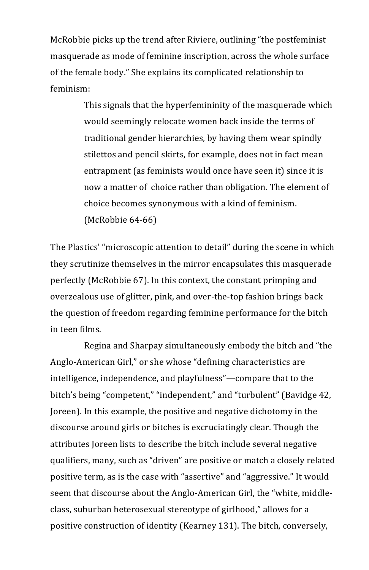McRobbie picks up the trend after Riviere, outlining "the postfeminist" masquerade as mode of feminine inscription, across the whole surface of the female body." She explains its complicated relationship to feminism:

> This signals that the hyperfemininity of the masquerade which would seemingly relocate women back inside the terms of traditional gender hierarchies, by having them wear spindly stilettos and pencil skirts, for example, does not in fact mean entrapment (as feminists would once have seen it) since it is now a matter of choice rather than obligation. The element of choice becomes synonymous with a kind of feminism.  $(McRobbie 64-66)$

The Plastics' "microscopic attention to detail" during the scene in which they scrutinize themselves in the mirror encapsulates this masquerade perfectly (McRobbie 67). In this context, the constant primping and overzealous use of glitter, pink, and over-the-top fashion brings back the question of freedom regarding feminine performance for the bitch in teen films.

Regina and Sharpay simultaneously embody the bitch and "the Anglo-American Girl," or she whose "defining characteristics are intelligence, independence, and playfulness"—compare that to the bitch's being "competent," "independent," and "turbulent" (Bavidge 42, Joreen). In this example, the positive and negative dichotomy in the discourse around girls or bitches is excruciatingly clear. Though the attributes Joreen lists to describe the bitch include several negative qualifiers, many, such as "driven" are positive or match a closely related positive term, as is the case with "assertive" and "aggressive." It would seem that discourse about the Anglo-American Girl, the "white, middleclass, suburban heterosexual stereotype of girlhood," allows for a positive construction of identity (Kearney 131). The bitch, conversely,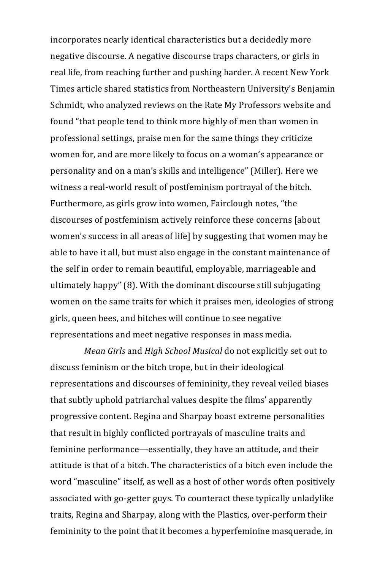incorporates nearly identical characteristics but a decidedly more negative discourse. A negative discourse traps characters, or girls in real life, from reaching further and pushing harder. A recent New York Times article shared statistics from Northeastern University's Benjamin Schmidt, who analyzed reviews on the Rate My Professors website and found "that people tend to think more highly of men than women in professional settings, praise men for the same things they criticize women for, and are more likely to focus on a woman's appearance or personality and on a man's skills and intelligence" (Miller). Here we witness a real-world result of postfeminism portrayal of the bitch. Furthermore, as girls grow into women, Fairclough notes, "the discourses of postfeminism actively reinforce these concerns [about] women's success in all areas of life] by suggesting that women may be able to have it all, but must also engage in the constant maintenance of the self in order to remain beautiful, employable, marriageable and ultimately happy" (8). With the dominant discourse still subjugating women on the same traits for which it praises men, ideologies of strong girls, queen bees, and bitches will continue to see negative representations and meet negative responses in mass media.

*Mean Girls* and *High School Musical* do not explicitly set out to discuss feminism or the bitch trope, but in their ideological representations and discourses of femininity, they reveal veiled biases that subtly uphold patriarchal values despite the films' apparently progressive content. Regina and Sharpay boast extreme personalities that result in highly conflicted portrayals of masculine traits and feminine performance—essentially, they have an attitude, and their attitude is that of a bitch. The characteristics of a bitch even include the word "masculine" itself, as well as a host of other words often positively associated with go-getter guys. To counteract these typically unladylike traits, Regina and Sharpay, along with the Plastics, over-perform their femininity to the point that it becomes a hyperfeminine masquerade, in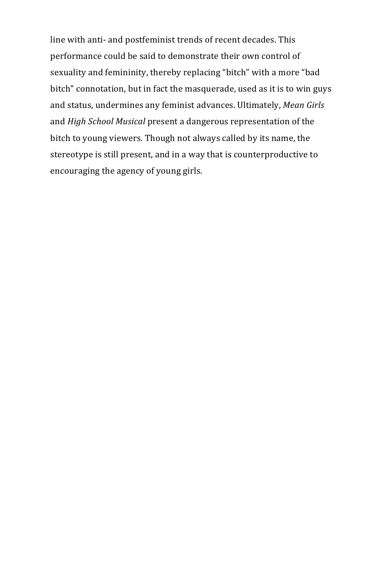line with anti- and postfeminist trends of recent decades. This performance could be said to demonstrate their own control of sexuality and femininity, thereby replacing "bitch" with a more "bad bitch" connotation, but in fact the masquerade, used as it is to win guys and status, undermines any feminist advances. Ultimately, Mean Girls and *High School Musical* present a dangerous representation of the bitch to young viewers. Though not always called by its name, the stereotype is still present, and in a way that is counterproductive to encouraging the agency of young girls.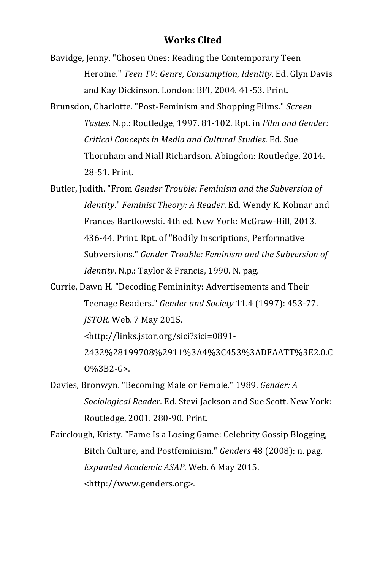#### **Works Cited**

Bavidge, Jenny. "Chosen Ones: Reading the Contemporary Teen Heroine." Teen TV: Genre, Consumption, Identity. Ed. Glyn Davis and Kay Dickinson. London: BFI, 2004. 41-53. Print.

Brunsdon, Charlotte. "Post-Feminism and Shopping Films." *Screen* Tastes. N.p.: Routledge, 1997. 81-102. Rpt. in *Film and Gender: Critical Concepts in Media and Cultural Studies*. Ed. Sue Thornham and Niall Richardson. Abingdon: Routledge, 2014. 28-51. Print.

Butler, Judith. "From *Gender Trouble: Feminism and the Subversion of Identity*." Feminist Theory: A Reader. Ed. Wendy K. Kolmar and Frances Bartkowski. 4th ed. New York: McGraw-Hill, 2013. 436-44. Print. Rpt. of "Bodily Inscriptions, Performative Subversions." Gender Trouble: Feminism and the Subversion of *Identity*. N.p.: Taylor & Francis, 1990. N. pag.

Currie, Dawn H. "Decoding Femininity: Advertisements and Their Teenage Readers." *Gender and Society* 11.4 (1997): 453-77. *JSTOR.* Web. 7 May 2015.

<http://links.jstor.org/sici?sici=0891-

2432%28199708%2911%3A4%3C453%3ADFAATT%3E2.0.C O%3B2-G>.

Davies, Bronwyn. "Becoming Male or Female." 1989. *Gender: A* Sociological Reader. Ed. Stevi Jackson and Sue Scott. New York: Routledge, 2001. 280-90. Print.

Fairclough, Kristy. "Fame Is a Losing Game: Celebrity Gossip Blogging, Bitch Culture, and Postfeminism." *Genders* 48 (2008): n. pag. *Expanded Academic ASAP*. Web. 6 May 2015. <http://www.genders.org>.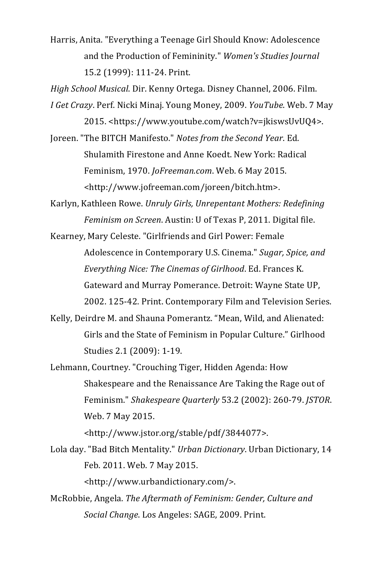Harris, Anita. "Everything a Teenage Girl Should Know: Adolescence and the Production of Femininity." *Women's Studies Journal* 15.2 (1999): 111-24. Print.

*High School Musical.* Dir. Kenny Ortega. Disney Channel, 2006. Film. *I* Get Crazy. Perf. Nicki Minaj. Young Money, 2009. *YouTube*. Web. 7 May 2015. <https://www.youtube.com/watch?v=jkiswsUvUQ4>.

Joreen. "The BITCH Manifesto." Notes from the Second Year. Ed. Shulamith Firestone and Anne Koedt. New York: Radical Feminism, 1970. *JoFreeman.com*. Web. 6 May 2015. <http://www.jofreeman.com/joreen/bitch.htm>.

Karlyn, Kathleen Rowe. *Unruly Girls, Unrepentant Mothers: Redefining Feminism on Screen.* Austin: U of Texas P, 2011. Digital file.

Kearney, Mary Celeste. "Girlfriends and Girl Power: Female Adolescence in Contemporary U.S. Cinema." Sugar, Spice, and *Everything Nice: The Cinemas of Girlhood.* Ed. Frances K. Gateward and Murray Pomerance. Detroit: Wayne State UP, 2002. 125-42. Print. Contemporary Film and Television Series.

- Kelly, Deirdre M. and Shauna Pomerantz. "Mean, Wild, and Alienated: Girls and the State of Feminism in Popular Culture." Girlhood Studies 2.1 (2009): 1-19.
- Lehmann, Courtney. "Crouching Tiger, Hidden Agenda: How Shakespeare and the Renaissance Are Taking the Rage out of Feminism." *Shakespeare Quarterly* 53.2 (2002): 260-79. *JSTOR*. Web. 7 May 2015.

<http://www.jstor.org/stable/pdf/3844077>.

Lola day. "Bad Bitch Mentality." *Urban Dictionary*. Urban Dictionary, 14 Feb. 2011. Web. 7 May 2015.

<http://www.urbandictionary.com/>.

McRobbie, Angela. The Aftermath of Feminism: Gender, Culture and Social Change. Los Angeles: SAGE, 2009. Print.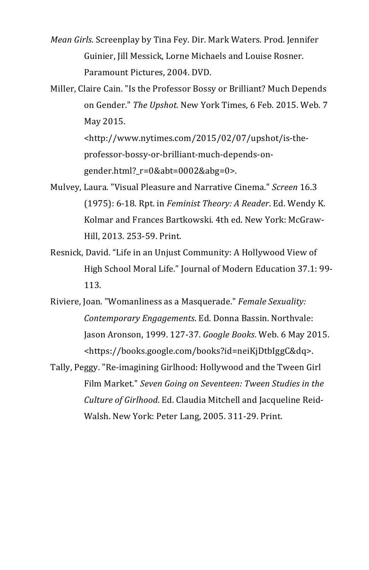- *Mean Girls*. Screenplay by Tina Fey. Dir. Mark Waters. Prod. Jennifer Guinier, Jill Messick, Lorne Michaels and Louise Rosner. Paramount Pictures, 2004. DVD.
- Miller, Claire Cain. "Is the Professor Bossy or Brilliant? Much Depends on Gender." The Upshot. New York Times, 6 Feb. 2015. Web. 7 May 2015.

<http://www.nytimes.com/2015/02/07/upshot/is-theprofessor-bossy-or-brilliant-much-depends-ongender.html?\_r=0&abt=0002&abg=0>.

- Mulvey, Laura. "Visual Pleasure and Narrative Cinema." *Screen* 16.3 (1975): 6-18. Rpt. in *Feminist Theory: A Reader*. Ed. Wendy K. Kolmar and Frances Bartkowski. 4th ed. New York: McGraw-Hill, 2013. 253-59. Print.
- Resnick, David. "Life in an Unjust Community: A Hollywood View of High School Moral Life." Journal of Modern Education 37.1: 99-113.
- Riviere, Joan. "Womanliness as a Masquerade." Female Sexuality: *Contemporary Engagements*. Ed. Donna Bassin. Northvale: Jason Aronson, 1999. 127-37. *Google Books*. Web. 6 May 2015. <https://books.google.com/books?id=neiKjDtbIggC&dq>.
- Tally, Peggy. "Re-imagining Girlhood: Hollywood and the Tween Girl Film Market." *Seven Going on Seventeen: Tween Studies in the Culture of Girlhood.* Ed. Claudia Mitchell and Jacqueline Reid-Walsh. New York: Peter Lang, 2005. 311-29. Print.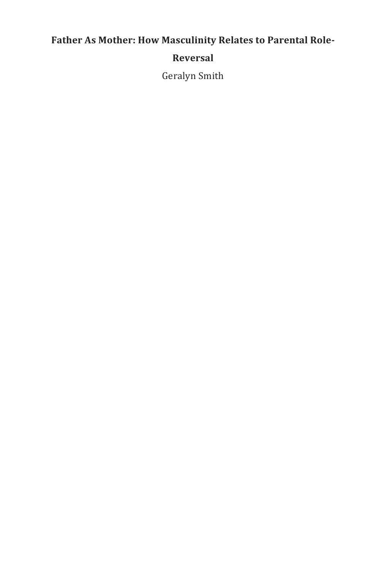# Father As Mother: How Masculinity Relates to Parental Role-

## **Reversal**

Geralyn Smith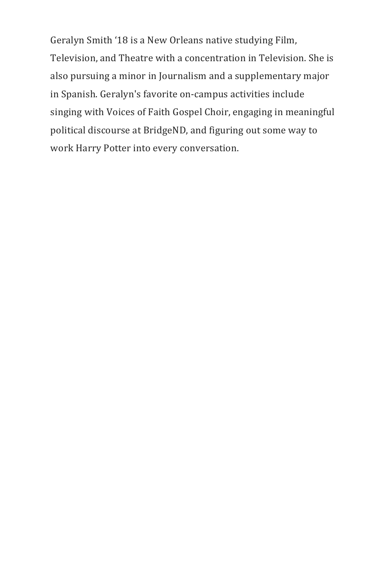Geralyn Smith '18 is a New Orleans native studying Film, Television, and Theatre with a concentration in Television. She is also pursuing a minor in Journalism and a supplementary major in Spanish. Geralyn's favorite on-campus activities include singing with Voices of Faith Gospel Choir, engaging in meaningful political discourse at BridgeND, and figuring out some way to work Harry Potter into every conversation.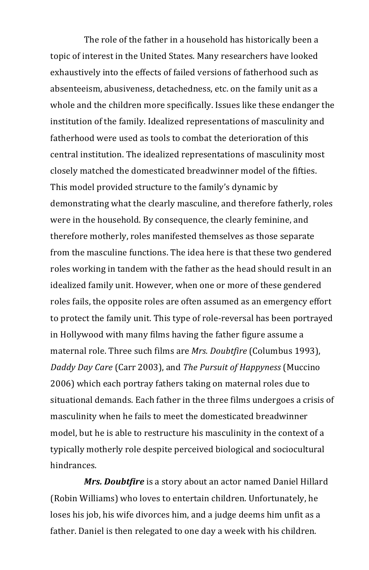The role of the father in a household has historically been a topic of interest in the United States. Many researchers have looked exhaustively into the effects of failed versions of fatherhood such as absenteeism, abusiveness, detachedness, etc. on the family unit as a whole and the children more specifically. Issues like these endanger the institution of the family. Idealized representations of masculinity and fatherhood were used as tools to combat the deterioration of this central institution. The idealized representations of masculinity most closely matched the domesticated breadwinner model of the fifties. This model provided structure to the family's dynamic by demonstrating what the clearly masculine, and therefore fatherly, roles were in the household. By consequence, the clearly feminine, and therefore motherly, roles manifested themselves as those separate from the masculine functions. The idea here is that these two gendered roles working in tandem with the father as the head should result in an idealized family unit. However, when one or more of these gendered roles fails, the opposite roles are often assumed as an emergency effort to protect the family unit. This type of role-reversal has been portrayed in Hollywood with many films having the father figure assume a maternal role. Three such films are *Mrs. Doubtfire* (Columbus 1993), *Daddy Day Care* (Carr 2003), and *The Pursuit of Happyness* (Muccino 2006) which each portray fathers taking on maternal roles due to situational demands. Each father in the three films undergoes a crisis of masculinity when he fails to meet the domesticated breadwinner model, but he is able to restructure his masculinity in the context of a typically motherly role despite perceived biological and sociocultural hindrances. 

**Mrs. Doubtfire** is a story about an actor named Daniel Hillard (Robin Williams) who loves to entertain children. Unfortunately, he loses his job, his wife divorces him, and a judge deems him unfit as a father. Daniel is then relegated to one day a week with his children.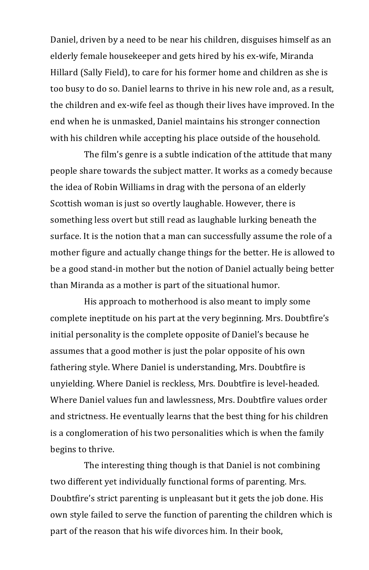Daniel, driven by a need to be near his children, disguises himself as an elderly female housekeeper and gets hired by his ex-wife, Miranda Hillard (Sally Field), to care for his former home and children as she is too busy to do so. Daniel learns to thrive in his new role and, as a result, the children and ex-wife feel as though their lives have improved. In the end when he is unmasked, Daniel maintains his stronger connection with his children while accepting his place outside of the household.

The film's genre is a subtle indication of the attitude that many people share towards the subject matter. It works as a comedy because the idea of Robin Williams in drag with the persona of an elderly Scottish woman is just so overtly laughable. However, there is something less overt but still read as laughable lurking beneath the surface. It is the notion that a man can successfully assume the role of a mother figure and actually change things for the better. He is allowed to be a good stand-in mother but the notion of Daniel actually being better than Miranda as a mother is part of the situational humor.

His approach to motherhood is also meant to imply some complete ineptitude on his part at the very beginning. Mrs. Doubtfire's initial personality is the complete opposite of Daniel's because he assumes that a good mother is just the polar opposite of his own fathering style. Where Daniel is understanding, Mrs. Doubtfire is unyielding. Where Daniel is reckless, Mrs. Doubtfire is level-headed. Where Daniel values fun and lawlessness, Mrs. Doubtfire values order and strictness. He eventually learns that the best thing for his children is a conglomeration of his two personalities which is when the family begins to thrive.

The interesting thing though is that Daniel is not combining two different yet individually functional forms of parenting. Mrs. Doubtfire's strict parenting is unpleasant but it gets the job done. His own style failed to serve the function of parenting the children which is part of the reason that his wife divorces him. In their book,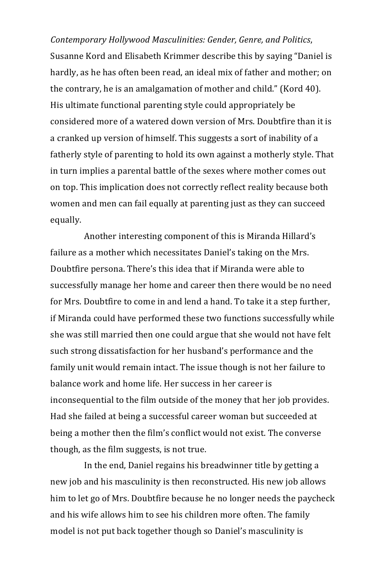*Contemporary Hollywood Masculinities: Gender, Genre, and Politics*, Susanne Kord and Elisabeth Krimmer describe this by saying "Daniel is hardly, as he has often been read, an ideal mix of father and mother; on the contrary, he is an amalgamation of mother and child." (Kord 40). His ultimate functional parenting style could appropriately be considered more of a watered down version of Mrs. Doubtfire than it is a cranked up version of himself. This suggests a sort of inability of a fatherly style of parenting to hold its own against a motherly style. That in turn implies a parental battle of the sexes where mother comes out on top. This implication does not correctly reflect reality because both women and men can fail equally at parenting just as they can succeed equally. 

Another interesting component of this is Miranda Hillard's failure as a mother which necessitates Daniel's taking on the Mrs. Doubtfire persona. There's this idea that if Miranda were able to successfully manage her home and career then there would be no need for Mrs. Doubtfire to come in and lend a hand. To take it a step further, if Miranda could have performed these two functions successfully while she was still married then one could argue that she would not have felt such strong dissatisfaction for her husband's performance and the family unit would remain intact. The issue though is not her failure to balance work and home life. Her success in her career is inconsequential to the film outside of the money that her job provides. Had she failed at being a successful career woman but succeeded at being a mother then the film's conflict would not exist. The converse though, as the film suggests, is not true.

In the end, Daniel regains his breadwinner title by getting a new job and his masculinity is then reconstructed. His new job allows him to let go of Mrs. Doubtfire because he no longer needs the paycheck and his wife allows him to see his children more often. The family model is not put back together though so Daniel's masculinity is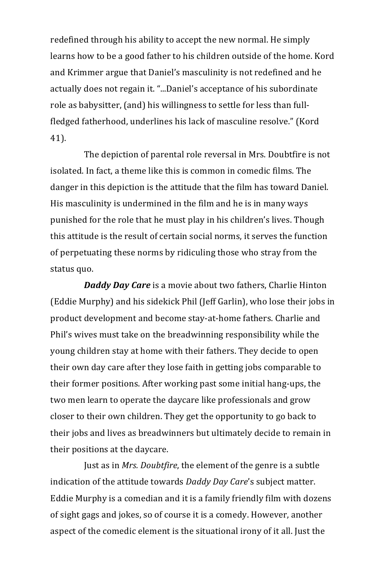redefined through his ability to accept the new normal. He simply learns how to be a good father to his children outside of the home. Kord and Krimmer argue that Daniel's masculinity is not redefined and he actually does not regain it. "...Daniel's acceptance of his subordinate role as babysitter, (and) his willingness to settle for less than fullfledged fatherhood, underlines his lack of masculine resolve." (Kord 41).

The depiction of parental role reversal in Mrs. Doubtfire is not isolated. In fact, a theme like this is common in comedic films. The danger in this depiction is the attitude that the film has toward Daniel. His masculinity is undermined in the film and he is in many ways punished for the role that he must play in his children's lives. Though this attitude is the result of certain social norms, it serves the function of perpetuating these norms by ridiculing those who stray from the status quo.

*Daddy Day Care* is a movie about two fathers, Charlie Hinton (Eddie Murphy) and his sidekick Phil (Jeff Garlin), who lose their jobs in product development and become stay-at-home fathers. Charlie and Phil's wives must take on the breadwinning responsibility while the young children stay at home with their fathers. They decide to open their own day care after they lose faith in getting jobs comparable to their former positions. After working past some initial hang-ups, the two men learn to operate the daycare like professionals and grow closer to their own children. They get the opportunity to go back to their jobs and lives as breadwinners but ultimately decide to remain in their positions at the daycare.

Just as in *Mrs. Doubtfire*, the element of the genre is a subtle indication of the attitude towards *Daddy Day Care's* subject matter. Eddie Murphy is a comedian and it is a family friendly film with dozens of sight gags and jokes, so of course it is a comedy. However, another aspect of the comedic element is the situational irony of it all. Just the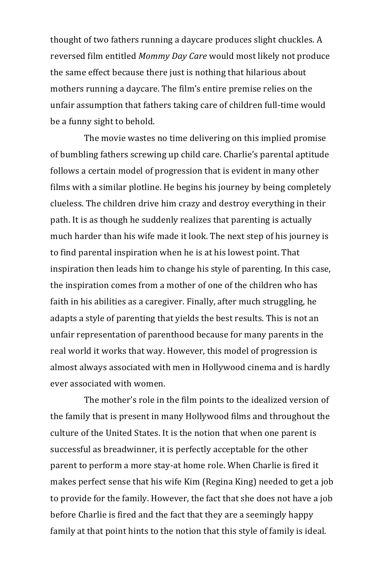thought of two fathers running a daycare produces slight chuckles. A reversed film entitled *Mommy Day Care* would most likely not produce the same effect because there just is nothing that hilarious about mothers running a daycare. The film's entire premise relies on the unfair assumption that fathers taking care of children full-time would be a funny sight to behold.

The movie wastes no time delivering on this implied promise of bumbling fathers screwing up child care. Charlie's parental aptitude follows a certain model of progression that is evident in many other films with a similar plotline. He begins his journey by being completely clueless. The children drive him crazy and destroy everything in their path. It is as though he suddenly realizes that parenting is actually much harder than his wife made it look. The next step of his journey is to find parental inspiration when he is at his lowest point. That inspiration then leads him to change his style of parenting. In this case, the inspiration comes from a mother of one of the children who has faith in his abilities as a caregiver. Finally, after much struggling, he adapts a style of parenting that yields the best results. This is not an unfair representation of parenthood because for many parents in the real world it works that way. However, this model of progression is almost always associated with men in Hollywood cinema and is hardly ever associated with women.

The mother's role in the film points to the idealized version of the family that is present in many Hollywood films and throughout the culture of the United States. It is the notion that when one parent is successful as breadwinner, it is perfectly acceptable for the other parent to perform a more stay-at home role. When Charlie is fired it makes perfect sense that his wife Kim (Regina King) needed to get a job to provide for the family. However, the fact that she does not have a job before Charlie is fired and the fact that they are a seemingly happy family at that point hints to the notion that this style of family is ideal.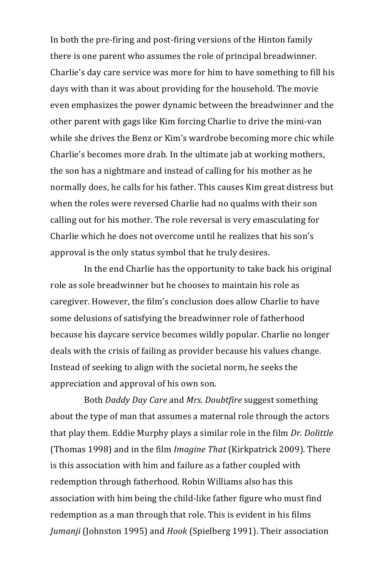In both the pre-firing and post-firing versions of the Hinton family there is one parent who assumes the role of principal breadwinner. Charlie's day care service was more for him to have something to fill his days with than it was about providing for the household. The movie even emphasizes the power dynamic between the breadwinner and the other parent with gags like Kim forcing Charlie to drive the mini-van while she drives the Benz or Kim's wardrobe becoming more chic while Charlie's becomes more drab. In the ultimate jab at working mothers, the son has a nightmare and instead of calling for his mother as he normally does, he calls for his father. This causes Kim great distress but when the roles were reversed Charlie had no qualms with their son calling out for his mother. The role reversal is very emasculating for Charlie which he does not overcome until he realizes that his son's approval is the only status symbol that he truly desires.

In the end Charlie has the opportunity to take back his original role as sole breadwinner but he chooses to maintain his role as caregiver. However, the film's conclusion does allow Charlie to have some delusions of satisfying the breadwinner role of fatherhood because his daycare service becomes wildly popular. Charlie no longer deals with the crisis of failing as provider because his values change. Instead of seeking to align with the societal norm, he seeks the appreciation and approval of his own son.

Both *Daddy Day Care* and *Mrs. Doubtfire* suggest something about the type of man that assumes a maternal role through the actors that play them. Eddie Murphy plays a similar role in the film *Dr. Dolittle* (Thomas 1998) and in the film *Imagine That* (Kirkpatrick 2009). There is this association with him and failure as a father coupled with redemption through fatherhood. Robin Williams also has this association with him being the child-like father figure who must find redemption as a man through that role. This is evident in his films *Jumanji* (Johnston 1995) and *Hook* (Spielberg 1991). Their association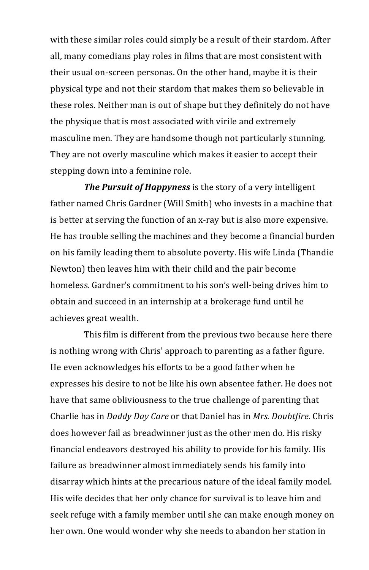with these similar roles could simply be a result of their stardom. After all, many comedians play roles in films that are most consistent with their usual on-screen personas. On the other hand, maybe it is their physical type and not their stardom that makes them so believable in these roles. Neither man is out of shape but they definitely do not have the physique that is most associated with virile and extremely masculine men. They are handsome though not particularly stunning. They are not overly masculine which makes it easier to accept their stepping down into a feminine role.

**The Pursuit of Happyness** is the story of a very intelligent father named Chris Gardner (Will Smith) who invests in a machine that is better at serving the function of an x-ray but is also more expensive. He has trouble selling the machines and they become a financial burden on his family leading them to absolute poverty. His wife Linda (Thandie Newton) then leaves him with their child and the pair become homeless. Gardner's commitment to his son's well-being drives him to obtain and succeed in an internship at a brokerage fund until he achieves great wealth.

This film is different from the previous two because here there is nothing wrong with Chris' approach to parenting as a father figure. He even acknowledges his efforts to be a good father when he expresses his desire to not be like his own absentee father. He does not have that same obliviousness to the true challenge of parenting that Charlie has in *Daddy Day Care* or that Daniel has in *Mrs. Doubtfire*. Chris does however fail as breadwinner just as the other men do. His risky financial endeavors destroyed his ability to provide for his family. His failure as breadwinner almost immediately sends his family into disarray which hints at the precarious nature of the ideal family model. His wife decides that her only chance for survival is to leave him and seek refuge with a family member until she can make enough money on her own. One would wonder why she needs to abandon her station in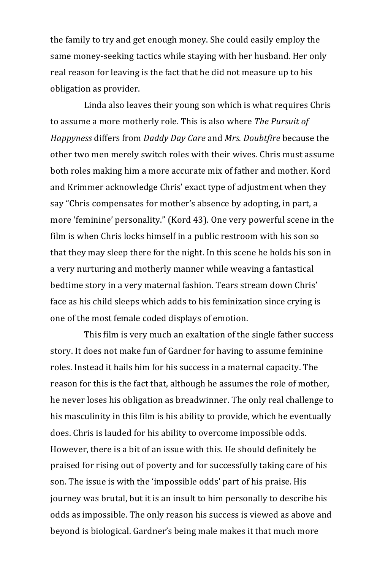the family to try and get enough money. She could easily employ the same money-seeking tactics while staying with her husband. Her only real reason for leaving is the fact that he did not measure up to his obligation as provider.

Linda also leaves their young son which is what requires Chris to assume a more motherly role. This is also where *The Pursuit of Happyness* differs from *Daddy Day Care* and *Mrs. Doubtfire* because the other two men merely switch roles with their wives. Chris must assume both roles making him a more accurate mix of father and mother. Kord and Krimmer acknowledge Chris' exact type of adjustment when they say "Chris compensates for mother's absence by adopting, in part, a more 'feminine' personality." (Kord 43). One very powerful scene in the film is when Chris locks himself in a public restroom with his son so that they may sleep there for the night. In this scene he holds his son in a very nurturing and motherly manner while weaving a fantastical bedtime story in a very maternal fashion. Tears stream down Chris' face as his child sleeps which adds to his feminization since crying is one of the most female coded displays of emotion.

This film is very much an exaltation of the single father success story. It does not make fun of Gardner for having to assume feminine roles. Instead it hails him for his success in a maternal capacity. The reason for this is the fact that, although he assumes the role of mother, he never loses his obligation as breadwinner. The only real challenge to his masculinity in this film is his ability to provide, which he eventually does. Chris is lauded for his ability to overcome impossible odds. However, there is a bit of an issue with this. He should definitely be praised for rising out of poverty and for successfully taking care of his son. The issue is with the 'impossible odds' part of his praise. His journey was brutal, but it is an insult to him personally to describe his odds as impossible. The only reason his success is viewed as above and beyond is biological. Gardner's being male makes it that much more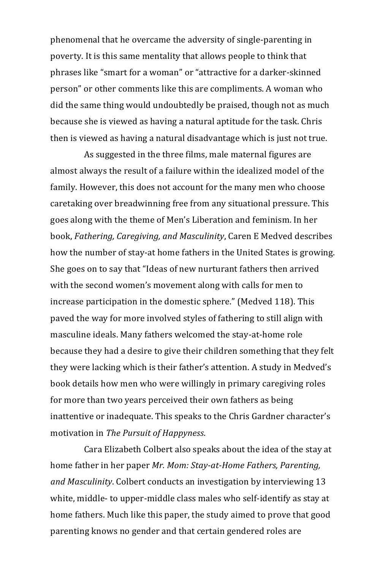phenomenal that he overcame the adversity of single-parenting in poverty. It is this same mentality that allows people to think that phrases like "smart for a woman" or "attractive for a darker-skinned person" or other comments like this are compliments. A woman who did the same thing would undoubtedly be praised, though not as much because she is viewed as having a natural aptitude for the task. Chris then is viewed as having a natural disadvantage which is just not true.

As suggested in the three films, male maternal figures are almost always the result of a failure within the idealized model of the family. However, this does not account for the many men who choose caretaking over breadwinning free from any situational pressure. This goes along with the theme of Men's Liberation and feminism. In her book, *Fathering, Caregiving, and Masculinity*, Caren E Medved describes how the number of stay-at home fathers in the United States is growing. She goes on to say that "Ideas of new nurturant fathers then arrived with the second women's movement along with calls for men to increase participation in the domestic sphere." (Medved 118). This paved the way for more involved styles of fathering to still align with masculine ideals. Many fathers welcomed the stay-at-home role because they had a desire to give their children something that they felt they were lacking which is their father's attention. A study in Medved's book details how men who were willingly in primary caregiving roles for more than two years perceived their own fathers as being inattentive or inadequate. This speaks to the Chris Gardner character's motivation in *The Pursuit of Happyness*.

Cara Elizabeth Colbert also speaks about the idea of the stay at home father in her paper *Mr. Mom: Stay-at-Home Fathers, Parenting,* and Masculinity. Colbert conducts an investigation by interviewing 13 white, middle- to upper-middle class males who self-identify as stay at home fathers. Much like this paper, the study aimed to prove that good parenting knows no gender and that certain gendered roles are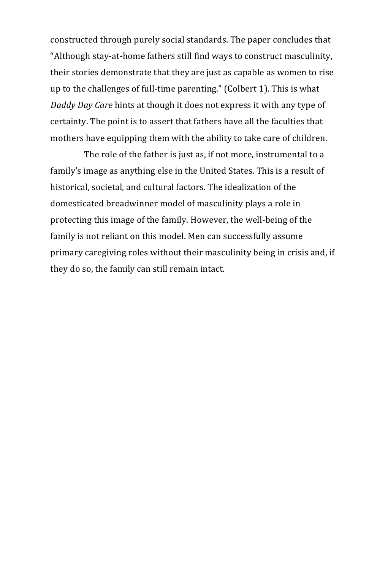constructed through purely social standards. The paper concludes that "Although stay-at-home fathers still find ways to construct masculinity, their stories demonstrate that they are just as capable as women to rise up to the challenges of full-time parenting." (Colbert 1). This is what *Daddy Day Care* hints at though it does not express it with any type of certainty. The point is to assert that fathers have all the faculties that mothers have equipping them with the ability to take care of children.

The role of the father is just as, if not more, instrumental to a family's image as anything else in the United States. This is a result of historical, societal, and cultural factors. The idealization of the domesticated breadwinner model of masculinity plays a role in protecting this image of the family. However, the well-being of the family is not reliant on this model. Men can successfully assume primary caregiving roles without their masculinity being in crisis and, if they do so, the family can still remain intact.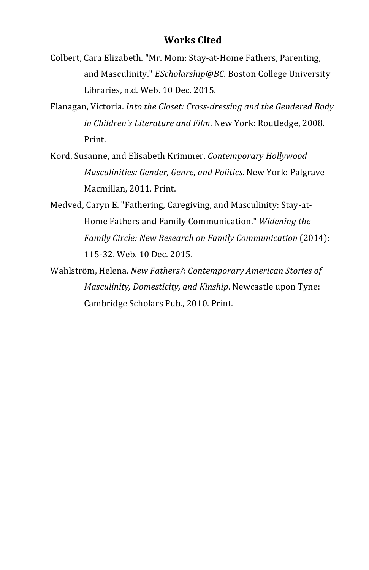## **Works Cited**

- Colbert, Cara Elizabeth. "Mr. Mom: Stay-at-Home Fathers, Parenting, and Masculinity." *EScholarship@BC*. Boston College University Libraries, n.d. Web. 10 Dec. 2015.
- Flanagan, Victoria. *Into the Closet: Cross-dressing and the Gendered Body* in Children's Literature and Film. New York: Routledge, 2008. Print.
- Kord, Susanne, and Elisabeth Krimmer. *Contemporary Hollywood Masculinities: Gender, Genre, and Politics. New York: Palgrave* Macmillan, 2011. Print.
- Medved, Caryn E. "Fathering, Caregiving, and Masculinity: Stay-at-Home Fathers and Family Communication." Widening the *Family Circle: New Research on Family Communication* (2014): 115-32. Web. 10 Dec. 2015.
- Wahlström, Helena. New Fathers?: Contemporary American Stories of *Masculinity, Domesticity, and Kinship*. Newcastle upon Tyne: Cambridge Scholars Pub., 2010. Print.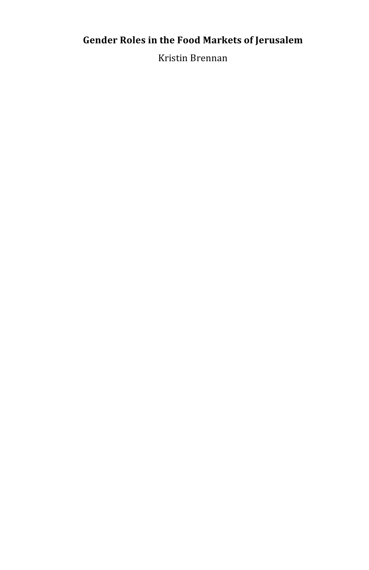# Gender Roles in the Food Markets of Jerusalem

Kristin Brennan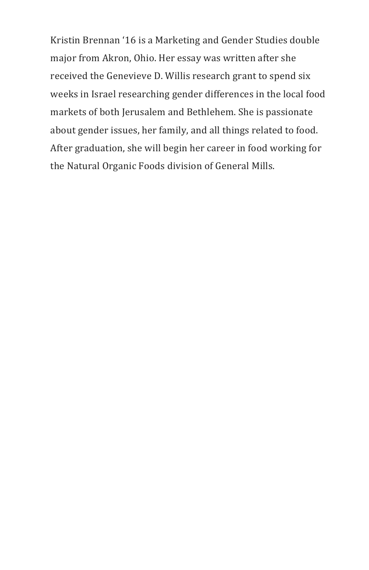Kristin Brennan '16 is a Marketing and Gender Studies double major from Akron, Ohio. Her essay was written after she received the Genevieve D. Willis research grant to spend six weeks in Israel researching gender differences in the local food markets of both Jerusalem and Bethlehem. She is passionate about gender issues, her family, and all things related to food. After graduation, she will begin her career in food working for the Natural Organic Foods division of General Mills.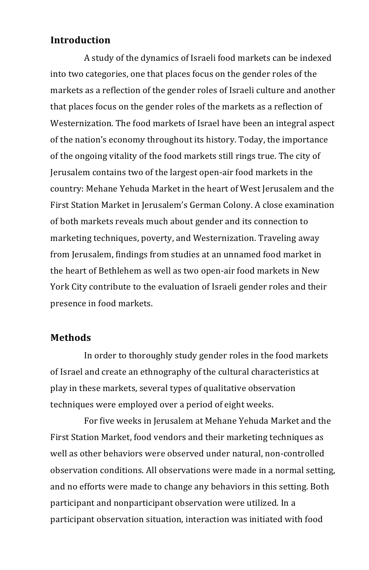#### **Introduction**

A study of the dynamics of Israeli food markets can be indexed into two categories, one that places focus on the gender roles of the markets as a reflection of the gender roles of Israeli culture and another that places focus on the gender roles of the markets as a reflection of Westernization. The food markets of Israel have been an integral aspect of the nation's economy throughout its history. Today, the importance of the ongoing vitality of the food markets still rings true. The city of Jerusalem contains two of the largest open-air food markets in the country: Mehane Yehuda Market in the heart of West Jerusalem and the First Station Market in Jerusalem's German Colony. A close examination of both markets reveals much about gender and its connection to marketing techniques, poverty, and Westernization. Traveling away from Jerusalem, findings from studies at an unnamed food market in the heart of Bethlehem as well as two open-air food markets in New York City contribute to the evaluation of Israeli gender roles and their presence in food markets.

#### **Methods**

In order to thoroughly study gender roles in the food markets of Israel and create an ethnography of the cultural characteristics at play in these markets, several types of qualitative observation techniques were employed over a period of eight weeks.

For five weeks in Jerusalem at Mehane Yehuda Market and the First Station Market, food vendors and their marketing techniques as well as other behaviors were observed under natural, non-controlled observation conditions. All observations were made in a normal setting, and no efforts were made to change any behaviors in this setting. Both participant and nonparticipant observation were utilized. In a participant observation situation, interaction was initiated with food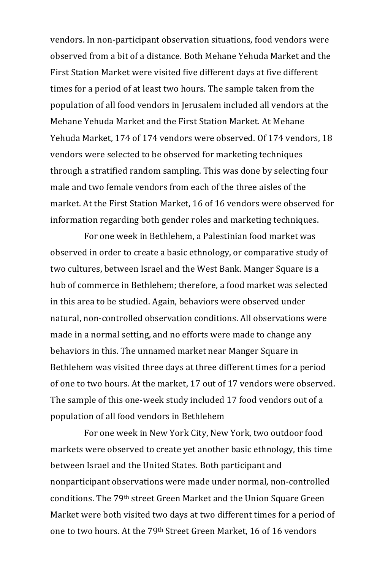vendors. In non-participant observation situations, food vendors were observed from a bit of a distance. Both Mehane Yehuda Market and the First Station Market were visited five different days at five different times for a period of at least two hours. The sample taken from the population of all food vendors in Jerusalem included all vendors at the Mehane Yehuda Market and the First Station Market. At Mehane Yehuda Market, 174 of 174 vendors were observed. Of 174 vendors, 18 vendors were selected to be observed for marketing techniques through a stratified random sampling. This was done by selecting four male and two female vendors from each of the three aisles of the market. At the First Station Market, 16 of 16 vendors were observed for information regarding both gender roles and marketing techniques.

For one week in Bethlehem, a Palestinian food market was observed in order to create a basic ethnology, or comparative study of two cultures, between Israel and the West Bank. Manger Square is a hub of commerce in Bethlehem; therefore, a food market was selected in this area to be studied. Again, behaviors were observed under natural, non-controlled observation conditions. All observations were made in a normal setting, and no efforts were made to change any behaviors in this. The unnamed market near Manger Square in Bethlehem was visited three days at three different times for a period of one to two hours. At the market, 17 out of 17 vendors were observed. The sample of this one-week study included 17 food vendors out of a population of all food vendors in Bethlehem

For one week in New York City, New York, two outdoor food markets were observed to create yet another basic ethnology, this time between Israel and the United States. Both participant and nonparticipant observations were made under normal, non-controlled conditions. The 79<sup>th</sup> street Green Market and the Union Square Green Market were both visited two days at two different times for a period of one to two hours. At the 79<sup>th</sup> Street Green Market, 16 of 16 vendors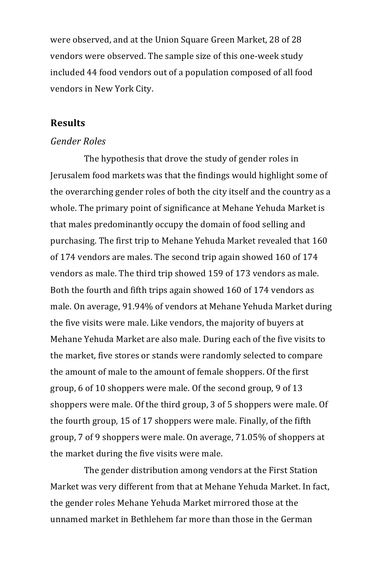were observed, and at the Union Square Green Market, 28 of 28 vendors were observed. The sample size of this one-week study included 44 food vendors out of a population composed of all food vendors in New York City.

### **Results**

#### *Gender Roles*

The hypothesis that drove the study of gender roles in Jerusalem food markets was that the findings would highlight some of the overarching gender roles of both the city itself and the country as a whole. The primary point of significance at Mehane Yehuda Market is that males predominantly occupy the domain of food selling and purchasing. The first trip to Mehane Yehuda Market revealed that 160 of 174 vendors are males. The second trip again showed 160 of 174 vendors as male. The third trip showed 159 of 173 vendors as male. Both the fourth and fifth trips again showed 160 of 174 vendors as male. On average, 91.94% of vendors at Mehane Yehuda Market during the five visits were male. Like vendors, the majority of buyers at Mehane Yehuda Market are also male. During each of the five visits to the market, five stores or stands were randomly selected to compare the amount of male to the amount of female shoppers. Of the first group, 6 of 10 shoppers were male. Of the second group, 9 of 13 shoppers were male. Of the third group, 3 of 5 shoppers were male. Of the fourth group,  $15$  of  $17$  shoppers were male. Finally, of the fifth group,  $7$  of  $9$  shoppers were male. On average,  $71.05\%$  of shoppers at the market during the five visits were male.

The gender distribution among vendors at the First Station Market was very different from that at Mehane Yehuda Market. In fact, the gender roles Mehane Yehuda Market mirrored those at the unnamed market in Bethlehem far more than those in the German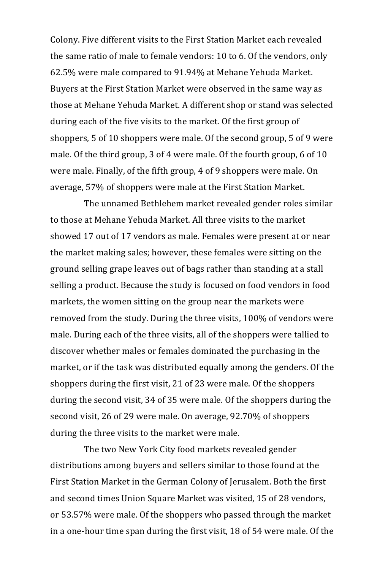Colony. Five different visits to the First Station Market each revealed the same ratio of male to female vendors: 10 to 6. Of the vendors, only 62.5% were male compared to 91.94% at Mehane Yehuda Market. Buyers at the First Station Market were observed in the same way as those at Mehane Yehuda Market. A different shop or stand was selected during each of the five visits to the market. Of the first group of shoppers,  $5$  of 10 shoppers were male. Of the second group,  $5$  of 9 were male. Of the third group, 3 of 4 were male. Of the fourth group, 6 of  $10$ were male. Finally, of the fifth group, 4 of 9 shoppers were male. On average, 57% of shoppers were male at the First Station Market.

The unnamed Bethlehem market revealed gender roles similar to those at Mehane Yehuda Market. All three visits to the market showed 17 out of 17 vendors as male. Females were present at or near the market making sales; however, these females were sitting on the ground selling grape leaves out of bags rather than standing at a stall selling a product. Because the study is focused on food vendors in food markets, the women sitting on the group near the markets were removed from the study. During the three visits, 100% of vendors were male. During each of the three visits, all of the shoppers were tallied to discover whether males or females dominated the purchasing in the market, or if the task was distributed equally among the genders. Of the shoppers during the first visit, 21 of 23 were male. Of the shoppers during the second visit, 34 of 35 were male. Of the shoppers during the second visit, 26 of 29 were male. On average, 92.70% of shoppers during the three visits to the market were male.

The two New York City food markets revealed gender distributions among buyers and sellers similar to those found at the First Station Market in the German Colony of Jerusalem. Both the first and second times Union Square Market was visited, 15 of 28 vendors, or 53.57% were male. Of the shoppers who passed through the market in a one-hour time span during the first visit, 18 of 54 were male. Of the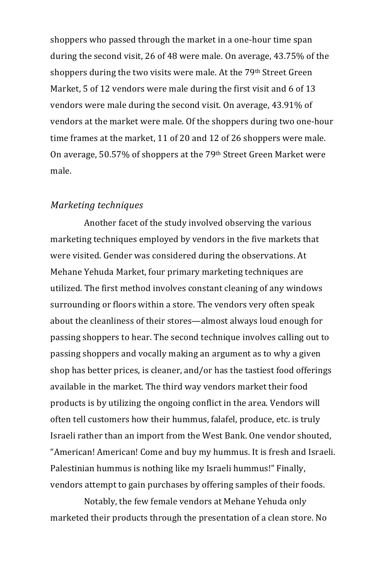shoppers who passed through the market in a one-hour time span during the second visit,  $26$  of 48 were male. On average, 43.75% of the shoppers during the two visits were male. At the 79<sup>th</sup> Street Green Market, 5 of 12 vendors were male during the first visit and 6 of 13 vendors were male during the second visit. On average, 43.91% of vendors at the market were male. Of the shoppers during two one-hour time frames at the market,  $11$  of 20 and  $12$  of 26 shoppers were male. On average, 50.57% of shoppers at the 79<sup>th</sup> Street Green Market were male.

#### *Marketing techniques*

Another facet of the study involved observing the various marketing techniques employed by vendors in the five markets that were visited. Gender was considered during the observations. At Mehane Yehuda Market, four primary marketing techniques are utilized. The first method involves constant cleaning of any windows surrounding or floors within a store. The vendors very often speak about the cleanliness of their stores—almost always loud enough for passing shoppers to hear. The second technique involves calling out to passing shoppers and vocally making an argument as to why a given shop has better prices, is cleaner, and/or has the tastiest food offerings available in the market. The third way vendors market their food products is by utilizing the ongoing conflict in the area. Vendors will often tell customers how their hummus, falafel, produce, etc. is truly Israeli rather than an import from the West Bank. One vendor shouted, "American! American! Come and buy my hummus. It is fresh and Israeli. Palestinian hummus is nothing like my Israeli hummus!" Finally, vendors attempt to gain purchases by offering samples of their foods.

Notably, the few female vendors at Mehane Yehuda only marketed their products through the presentation of a clean store. No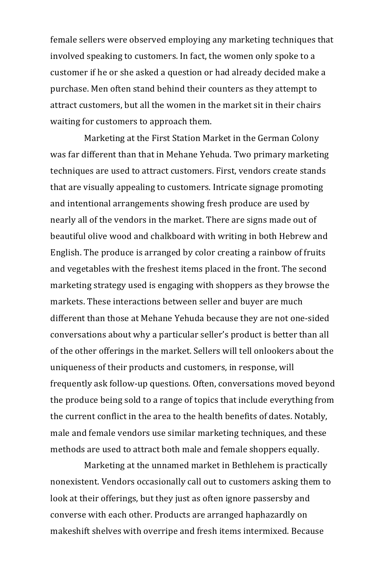female sellers were observed employing any marketing techniques that involved speaking to customers. In fact, the women only spoke to a customer if he or she asked a question or had already decided make a purchase. Men often stand behind their counters as they attempt to attract customers, but all the women in the market sit in their chairs waiting for customers to approach them.

Marketing at the First Station Market in the German Colony was far different than that in Mehane Yehuda. Two primary marketing techniques are used to attract customers. First, vendors create stands that are visually appealing to customers. Intricate signage promoting and intentional arrangements showing fresh produce are used by nearly all of the vendors in the market. There are signs made out of beautiful olive wood and chalkboard with writing in both Hebrew and English. The produce is arranged by color creating a rainbow of fruits and vegetables with the freshest items placed in the front. The second marketing strategy used is engaging with shoppers as they browse the markets. These interactions between seller and buyer are much different than those at Mehane Yehuda because they are not one-sided conversations about why a particular seller's product is better than all of the other offerings in the market. Sellers will tell onlookers about the uniqueness of their products and customers, in response, will frequently ask follow-up questions. Often, conversations moved beyond the produce being sold to a range of topics that include everything from the current conflict in the area to the health benefits of dates. Notably, male and female vendors use similar marketing techniques, and these methods are used to attract both male and female shoppers equally.

Marketing at the unnamed market in Bethlehem is practically nonexistent. Vendors occasionally call out to customers asking them to look at their offerings, but they just as often ignore passersby and converse with each other. Products are arranged haphazardly on makeshift shelves with overripe and fresh items intermixed. Because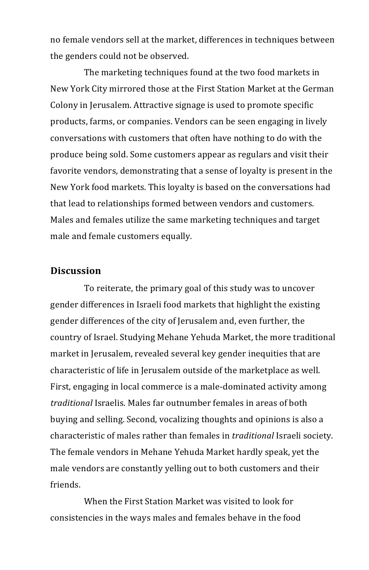no female vendors sell at the market, differences in techniques between the genders could not be observed.

The marketing techniques found at the two food markets in New York City mirrored those at the First Station Market at the German Colony in Jerusalem. Attractive signage is used to promote specific products, farms, or companies. Vendors can be seen engaging in lively conversations with customers that often have nothing to do with the produce being sold. Some customers appear as regulars and visit their favorite vendors, demonstrating that a sense of loyalty is present in the New York food markets. This loyalty is based on the conversations had that lead to relationships formed between vendors and customers. Males and females utilize the same marketing techniques and target male and female customers equally.

## **Discussion**

To reiterate, the primary goal of this study was to uncover gender differences in Israeli food markets that highlight the existing gender differences of the city of Jerusalem and, even further, the country of Israel. Studying Mehane Yehuda Market, the more traditional market in Jerusalem, revealed several key gender inequities that are characteristic of life in Jerusalem outside of the marketplace as well. First, engaging in local commerce is a male-dominated activity among *traditional* Israelis. Males far outnumber females in areas of both buying and selling. Second, vocalizing thoughts and opinions is also a characteristic of males rather than females in *traditional* Israeli society. The female vendors in Mehane Yehuda Market hardly speak, yet the male vendors are constantly yelling out to both customers and their friends.

When the First Station Market was visited to look for consistencies in the ways males and females behave in the food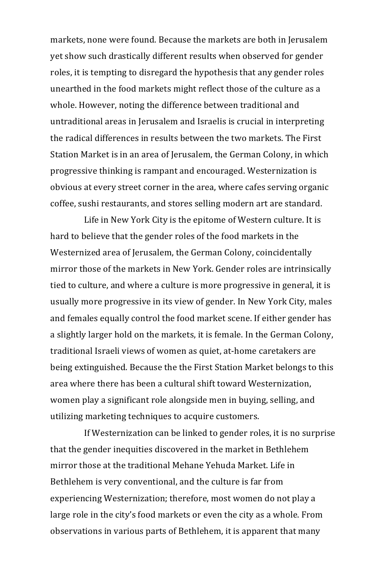markets, none were found. Because the markets are both in Jerusalem yet show such drastically different results when observed for gender roles, it is tempting to disregard the hypothesis that any gender roles unearthed in the food markets might reflect those of the culture as a whole. However, noting the difference between traditional and untraditional areas in Jerusalem and Israelis is crucial in interpreting the radical differences in results between the two markets. The First Station Market is in an area of Jerusalem, the German Colony, in which progressive thinking is rampant and encouraged. Westernization is obvious at every street corner in the area, where cafes serving organic coffee, sushi restaurants, and stores selling modern art are standard.

Life in New York City is the epitome of Western culture. It is hard to believe that the gender roles of the food markets in the Westernized area of Jerusalem, the German Colony, coincidentally mirror those of the markets in New York. Gender roles are intrinsically tied to culture, and where a culture is more progressive in general, it is usually more progressive in its view of gender. In New York City, males and females equally control the food market scene. If either gender has a slightly larger hold on the markets, it is female. In the German Colony, traditional Israeli views of women as quiet, at-home caretakers are being extinguished. Because the the First Station Market belongs to this area where there has been a cultural shift toward Westernization, women play a significant role alongside men in buying, selling, and utilizing marketing techniques to acquire customers.

If Westernization can be linked to gender roles, it is no surprise that the gender inequities discovered in the market in Bethlehem mirror those at the traditional Mehane Yehuda Market. Life in Bethlehem is very conventional, and the culture is far from experiencing Westernization; therefore, most women do not play a large role in the city's food markets or even the city as a whole. From observations in various parts of Bethlehem, it is apparent that many